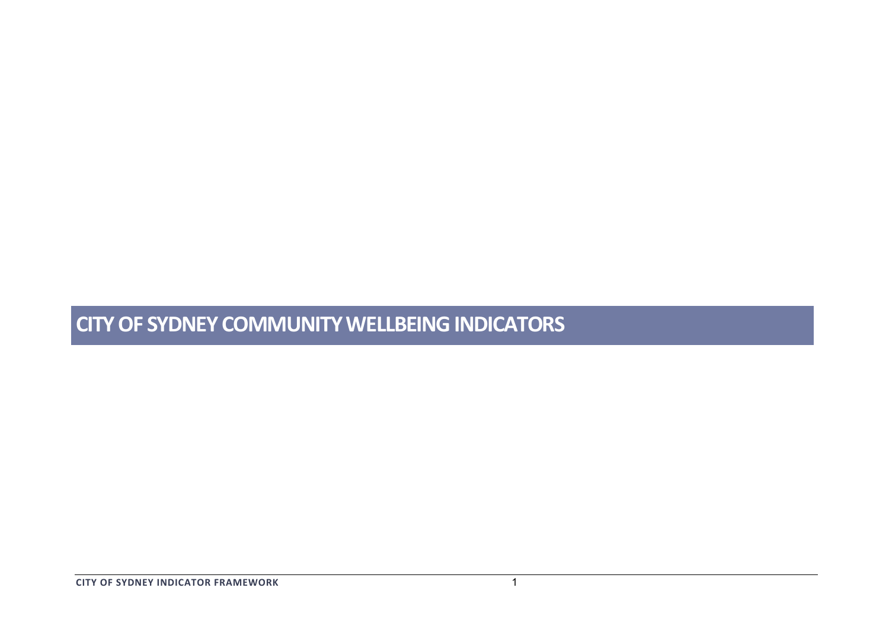# **CITY OF SYDNEY COMMUNITY WELLBEING INDICATORS**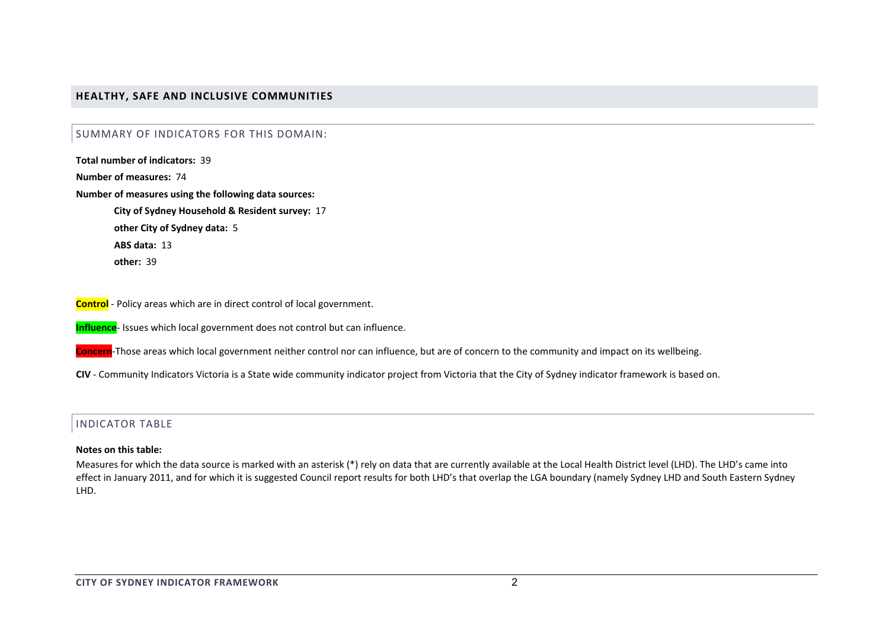## **HEALTHY, SAFE AND INCLUSIVE COMMUNITIES**

## SUMMARY OF INDICATORS FOR THIS DOMAIN:

**Total number of indicators:** 39**Number of measures:** 74**Number of measures using the following data sources: City of Sydney Household & Resident survey:** 17 **other City of Sydney data:** 5 **ABS data:** 13**other:** 39

**Control** ‐ Policy areas which are in direct control of local government.

**Influence**‐ Issues which local government does not control but can influence.

**Concern**‐Those areas which local government neither control nor can influence, but are of concern to the community and impact on its wellbeing.

**CIV** ‐ Community Indicators Victoria is <sup>a</sup> State wide community indicator project from Victoria that the City of Sydney indicator framework is based on.

#### INDICATOR TABLE

#### **Notes on this table:**

Measures for which the data source is marked with an asterisk (\*) rely on data that are currently available at the Local Health District level (LHD). The LHD's came into effect in January 2011, and for which it is suggested Council report results for both LHD's that overlap the LGA boundary (namely Sydney LHD and South Eastern Sydney LHD.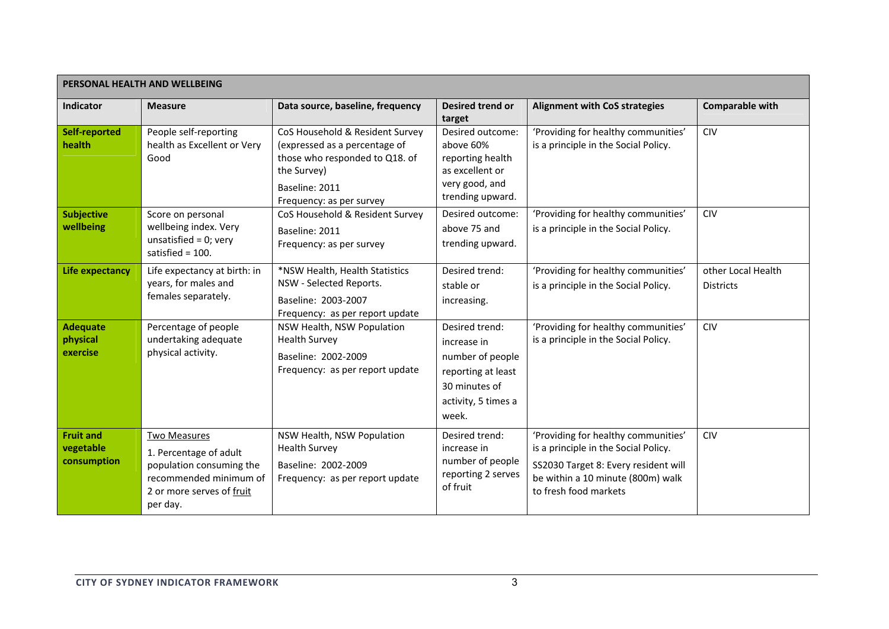| PERSONAL HEALTH AND WELLBEING                |                                                                                                                                       |                                                                                                                                                                 |                                                                                                                          |                                                                                                                                                                                   |                                        |  |  |
|----------------------------------------------|---------------------------------------------------------------------------------------------------------------------------------------|-----------------------------------------------------------------------------------------------------------------------------------------------------------------|--------------------------------------------------------------------------------------------------------------------------|-----------------------------------------------------------------------------------------------------------------------------------------------------------------------------------|----------------------------------------|--|--|
| Indicator                                    | <b>Measure</b>                                                                                                                        | Data source, baseline, frequency                                                                                                                                | <b>Desired trend or</b><br>target                                                                                        | <b>Alignment with CoS strategies</b>                                                                                                                                              | <b>Comparable with</b>                 |  |  |
| <b>Self-reported</b><br>health               | People self-reporting<br>health as Excellent or Very<br>Good                                                                          | CoS Household & Resident Survey<br>(expressed as a percentage of<br>those who responded to Q18. of<br>the Survey)<br>Baseline: 2011<br>Frequency: as per survey | Desired outcome:<br>above 60%<br>reporting health<br>as excellent or<br>very good, and<br>trending upward.               | 'Providing for healthy communities'<br>is a principle in the Social Policy.                                                                                                       | <b>CIV</b>                             |  |  |
| <b>Subjective</b><br>wellbeing               | Score on personal<br>wellbeing index. Very<br>unsatisfied = $0$ ; very<br>satisfied = $100$ .                                         | CoS Household & Resident Survey<br>Baseline: 2011<br>Frequency: as per survey                                                                                   | Desired outcome:<br>above 75 and<br>trending upward.                                                                     | 'Providing for healthy communities'<br>is a principle in the Social Policy.                                                                                                       | <b>CIV</b>                             |  |  |
| <b>Life expectancy</b>                       | Life expectancy at birth: in<br>years, for males and<br>females separately.                                                           | *NSW Health, Health Statistics<br>NSW - Selected Reports.<br>Baseline: 2003-2007<br>Frequency: as per report update                                             | Desired trend:<br>stable or<br>increasing.                                                                               | 'Providing for healthy communities'<br>is a principle in the Social Policy.                                                                                                       | other Local Health<br><b>Districts</b> |  |  |
| <b>Adequate</b><br>physical<br>exercise      | Percentage of people<br>undertaking adequate<br>physical activity.                                                                    | NSW Health, NSW Population<br><b>Health Survey</b><br>Baseline: 2002-2009<br>Frequency: as per report update                                                    | Desired trend:<br>increase in<br>number of people<br>reporting at least<br>30 minutes of<br>activity, 5 times a<br>week. | 'Providing for healthy communities'<br>is a principle in the Social Policy.                                                                                                       | <b>CIV</b>                             |  |  |
| <b>Fruit and</b><br>vegetable<br>consumption | Two Measures<br>1. Percentage of adult<br>population consuming the<br>recommended minimum of<br>2 or more serves of fruit<br>per day. | NSW Health, NSW Population<br><b>Health Survey</b><br>Baseline: 2002-2009<br>Frequency: as per report update                                                    | Desired trend:<br>increase in<br>number of people<br>reporting 2 serves<br>of fruit                                      | 'Providing for healthy communities'<br>is a principle in the Social Policy.<br>SS2030 Target 8: Every resident will<br>be within a 10 minute (800m) walk<br>to fresh food markets | <b>CIV</b>                             |  |  |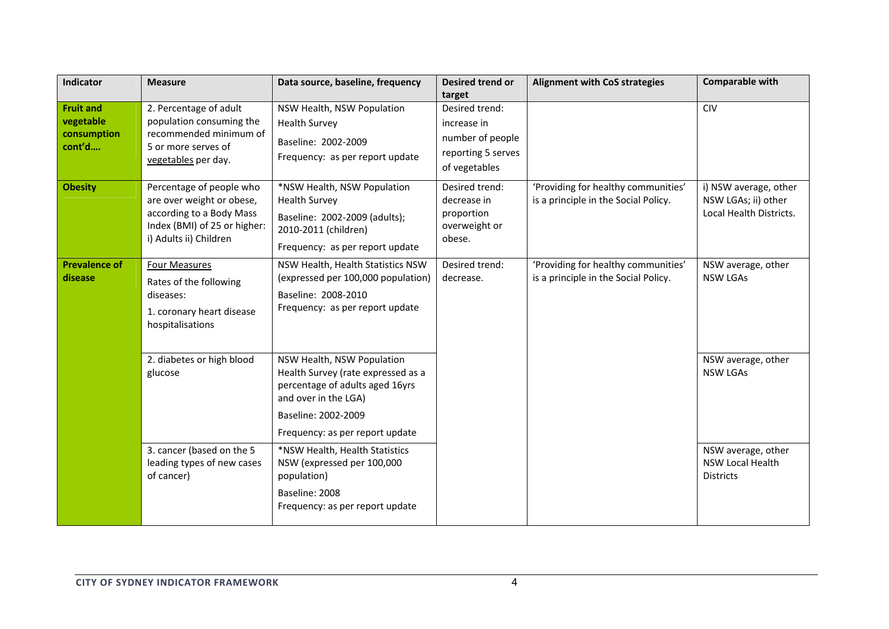| Indicator                                              | <b>Measure</b>                                                                                                                              | Data source, baseline, frequency                                                                                                                                                      | <b>Desired trend or</b><br>target                                                        | <b>Alignment with CoS strategies</b>                                        | <b>Comparable with</b>                                                  |
|--------------------------------------------------------|---------------------------------------------------------------------------------------------------------------------------------------------|---------------------------------------------------------------------------------------------------------------------------------------------------------------------------------------|------------------------------------------------------------------------------------------|-----------------------------------------------------------------------------|-------------------------------------------------------------------------|
| <b>Fruit and</b><br>vegetable<br>consumption<br>cont'd | 2. Percentage of adult<br>population consuming the<br>recommended minimum of<br>5 or more serves of<br>vegetables per day.                  | NSW Health, NSW Population<br><b>Health Survey</b><br>Baseline: 2002-2009<br>Frequency: as per report update                                                                          | Desired trend:<br>increase in<br>number of people<br>reporting 5 serves<br>of vegetables |                                                                             | <b>CIV</b>                                                              |
| <b>Obesity</b>                                         | Percentage of people who<br>are over weight or obese,<br>according to a Body Mass<br>Index (BMI) of 25 or higher:<br>i) Adults ii) Children | *NSW Health, NSW Population<br><b>Health Survey</b><br>Baseline: 2002-2009 (adults);<br>2010-2011 (children)<br>Frequency: as per report update                                       | Desired trend:<br>decrease in<br>proportion<br>overweight or<br>obese.                   | 'Providing for healthy communities'<br>is a principle in the Social Policy. | i) NSW average, other<br>NSW LGAs; ii) other<br>Local Health Districts. |
| <b>Prevalence of</b><br>disease                        | <b>Four Measures</b><br>Rates of the following<br>diseases:<br>1. coronary heart disease<br>hospitalisations                                | NSW Health, Health Statistics NSW<br>(expressed per 100,000 population)<br>Baseline: 2008-2010<br>Frequency: as per report update                                                     | Desired trend:<br>decrease.                                                              | 'Providing for healthy communities'<br>is a principle in the Social Policy. | NSW average, other<br><b>NSW LGAs</b>                                   |
|                                                        | 2. diabetes or high blood<br>glucose                                                                                                        | NSW Health, NSW Population<br>Health Survey (rate expressed as a<br>percentage of adults aged 16yrs<br>and over in the LGA)<br>Baseline: 2002-2009<br>Frequency: as per report update | NSW average, other<br><b>NSW LGAs</b>                                                    |                                                                             |                                                                         |
|                                                        | 3. cancer (based on the 5<br>leading types of new cases<br>of cancer)                                                                       | *NSW Health, Health Statistics<br>NSW (expressed per 100,000<br>population)<br>Baseline: 2008<br>Frequency: as per report update                                                      |                                                                                          |                                                                             | NSW average, other<br>NSW Local Health<br><b>Districts</b>              |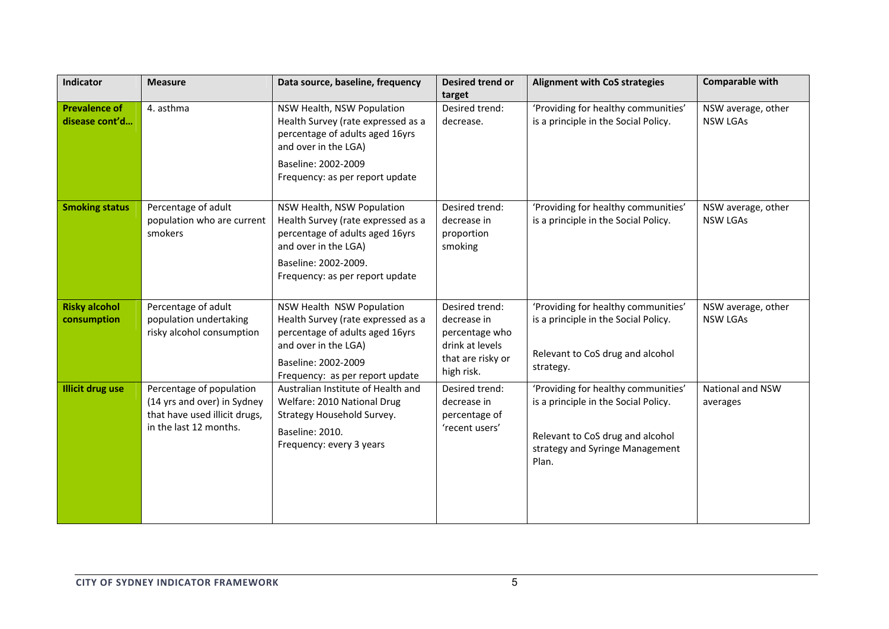| Indicator                              | <b>Measure</b>                                                                                                     | Data source, baseline, frequency                                                                                                                                                       | Desired trend or<br>target                                                                            | <b>Alignment with CoS strategies</b>                                                                                                                        | <b>Comparable with</b>                |
|----------------------------------------|--------------------------------------------------------------------------------------------------------------------|----------------------------------------------------------------------------------------------------------------------------------------------------------------------------------------|-------------------------------------------------------------------------------------------------------|-------------------------------------------------------------------------------------------------------------------------------------------------------------|---------------------------------------|
| <b>Prevalence of</b><br>disease cont'd | 4. asthma                                                                                                          | NSW Health, NSW Population<br>Health Survey (rate expressed as a<br>percentage of adults aged 16yrs<br>and over in the LGA)<br>Baseline: 2002-2009<br>Frequency: as per report update  | Desired trend:<br>decrease.                                                                           | 'Providing for healthy communities'<br>is a principle in the Social Policy.                                                                                 | NSW average, other<br><b>NSW LGAs</b> |
| <b>Smoking status</b>                  | Percentage of adult<br>population who are current<br>smokers                                                       | NSW Health, NSW Population<br>Health Survey (rate expressed as a<br>percentage of adults aged 16yrs<br>and over in the LGA)<br>Baseline: 2002-2009.<br>Frequency: as per report update | Desired trend:<br>decrease in<br>proportion<br>smoking                                                | 'Providing for healthy communities'<br>is a principle in the Social Policy.                                                                                 | NSW average, other<br><b>NSW LGAs</b> |
| <b>Risky alcohol</b><br>consumption    | Percentage of adult<br>population undertaking<br>risky alcohol consumption                                         | NSW Health NSW Population<br>Health Survey (rate expressed as a<br>percentage of adults aged 16yrs<br>and over in the LGA)<br>Baseline: 2002-2009<br>Frequency: as per report update   | Desired trend:<br>decrease in<br>percentage who<br>drink at levels<br>that are risky or<br>high risk. | 'Providing for healthy communities'<br>is a principle in the Social Policy.<br>Relevant to CoS drug and alcohol<br>strategy.                                | NSW average, other<br><b>NSW LGAs</b> |
| <b>Illicit drug use</b>                | Percentage of population<br>(14 yrs and over) in Sydney<br>that have used illicit drugs,<br>in the last 12 months. | Australian Institute of Health and<br>Welfare: 2010 National Drug<br>Strategy Household Survey.<br>Baseline: 2010.<br>Frequency: every 3 years                                         | Desired trend:<br>decrease in<br>percentage of<br>'recent users'                                      | 'Providing for healthy communities'<br>is a principle in the Social Policy.<br>Relevant to CoS drug and alcohol<br>strategy and Syringe Management<br>Plan. | National and NSW<br>averages          |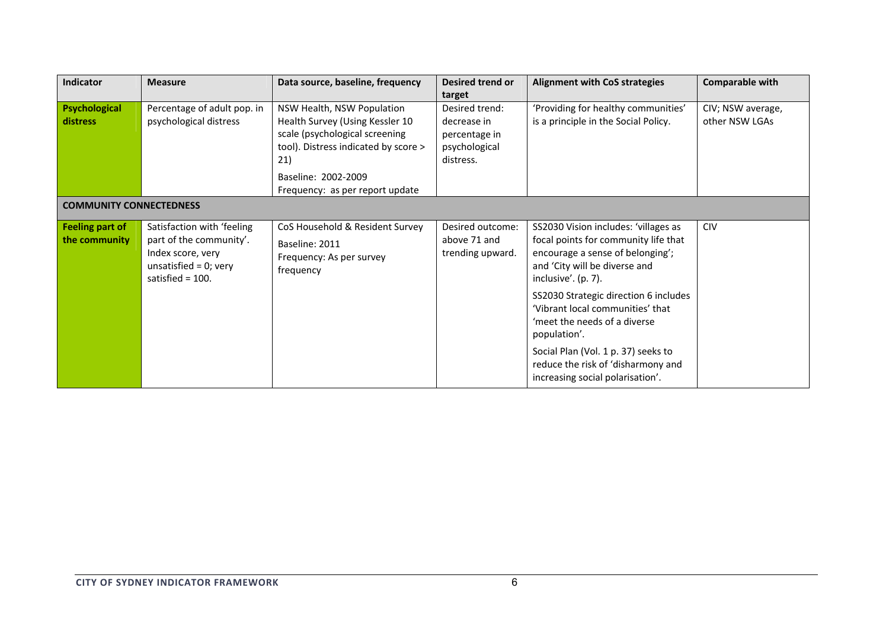| Indicator                               | <b>Measure</b>                                                                                                                | Data source, baseline, frequency                                                           | Desired trend or                                     | <b>Alignment with CoS strategies</b>                                                                                                                                                                                                                                                                                                                                                                                      | Comparable with   |
|-----------------------------------------|-------------------------------------------------------------------------------------------------------------------------------|--------------------------------------------------------------------------------------------|------------------------------------------------------|---------------------------------------------------------------------------------------------------------------------------------------------------------------------------------------------------------------------------------------------------------------------------------------------------------------------------------------------------------------------------------------------------------------------------|-------------------|
|                                         |                                                                                                                               |                                                                                            | target                                               |                                                                                                                                                                                                                                                                                                                                                                                                                           |                   |
| Psychological                           | Percentage of adult pop. in                                                                                                   | NSW Health, NSW Population                                                                 | Desired trend:                                       | 'Providing for healthy communities'                                                                                                                                                                                                                                                                                                                                                                                       | CIV; NSW average, |
| distress                                | psychological distress                                                                                                        | Health Survey (Using Kessler 10                                                            | decrease in                                          | is a principle in the Social Policy.                                                                                                                                                                                                                                                                                                                                                                                      | other NSW LGAs    |
|                                         |                                                                                                                               | scale (psychological screening                                                             | percentage in                                        |                                                                                                                                                                                                                                                                                                                                                                                                                           |                   |
|                                         |                                                                                                                               | tool). Distress indicated by score >                                                       | psychological                                        |                                                                                                                                                                                                                                                                                                                                                                                                                           |                   |
|                                         |                                                                                                                               | 21)                                                                                        | distress.                                            |                                                                                                                                                                                                                                                                                                                                                                                                                           |                   |
|                                         |                                                                                                                               | Baseline: 2002-2009                                                                        |                                                      |                                                                                                                                                                                                                                                                                                                                                                                                                           |                   |
|                                         |                                                                                                                               | Frequency: as per report update                                                            |                                                      |                                                                                                                                                                                                                                                                                                                                                                                                                           |                   |
| <b>COMMUNITY CONNECTEDNESS</b>          |                                                                                                                               |                                                                                            |                                                      |                                                                                                                                                                                                                                                                                                                                                                                                                           |                   |
| <b>Feeling part of</b><br>the community | Satisfaction with 'feeling<br>part of the community'.<br>Index score, very<br>unsatisfied = $0$ ; very<br>satisfied = $100$ . | CoS Household & Resident Survey<br>Baseline: 2011<br>Frequency: As per survey<br>frequency | Desired outcome:<br>above 71 and<br>trending upward. | SS2030 Vision includes: 'villages as<br>focal points for community life that<br>encourage a sense of belonging';<br>and 'City will be diverse and<br>inclusive'. $(p. 7)$ .<br>SS2030 Strategic direction 6 includes<br>'Vibrant local communities' that<br>'meet the needs of a diverse<br>population'.<br>Social Plan (Vol. 1 p. 37) seeks to<br>reduce the risk of 'disharmony and<br>increasing social polarisation'. | <b>CIV</b>        |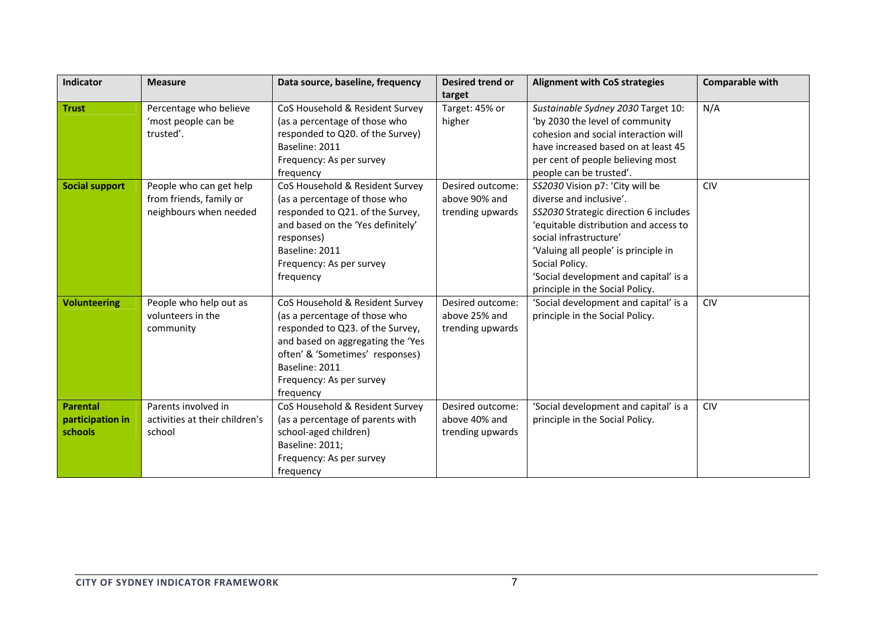| Indicator                                      | <b>Measure</b>                                                               | Data source, baseline, frequency                                                                                                                                                                                                        | Desired trend or                                      | <b>Alignment with CoS strategies</b>                                                                                                                                                                                                                                                                         | <b>Comparable with</b> |
|------------------------------------------------|------------------------------------------------------------------------------|-----------------------------------------------------------------------------------------------------------------------------------------------------------------------------------------------------------------------------------------|-------------------------------------------------------|--------------------------------------------------------------------------------------------------------------------------------------------------------------------------------------------------------------------------------------------------------------------------------------------------------------|------------------------|
| <b>Trust</b>                                   | Percentage who believe<br>'most people can be<br>trusted'.                   | CoS Household & Resident Survey<br>(as a percentage of those who<br>responded to Q20. of the Survey)<br>Baseline: 2011<br>Frequency: As per survey<br>frequency                                                                         | target<br>Target: 45% or<br>higher                    | Sustainable Sydney 2030 Target 10:<br>'by 2030 the level of community<br>cohesion and social interaction will<br>have increased based on at least 45<br>per cent of people believing most<br>people can be trusted'.                                                                                         | N/A                    |
| <b>Social support</b>                          | People who can get help<br>from friends, family or<br>neighbours when needed | CoS Household & Resident Survey<br>(as a percentage of those who<br>responded to Q21. of the Survey,<br>and based on the 'Yes definitely'<br>responses)<br>Baseline: 2011<br>Frequency: As per survey<br>frequency                      | Desired outcome:<br>above 90% and<br>trending upwards | SS2030 Vision p7: 'City will be<br>diverse and inclusive'.<br>SS2030 Strategic direction 6 includes<br>'equitable distribution and access to<br>social infrastructure'<br>'Valuing all people' is principle in<br>Social Policy.<br>'Social development and capital' is a<br>principle in the Social Policy. | <b>CIV</b>             |
| <b>Volunteering</b>                            | People who help out as<br>volunteers in the<br>community                     | CoS Household & Resident Survey<br>(as a percentage of those who<br>responded to Q23. of the Survey,<br>and based on aggregating the 'Yes<br>often' & 'Sometimes' responses)<br>Baseline: 2011<br>Frequency: As per survey<br>frequency | Desired outcome:<br>above 25% and<br>trending upwards | 'Social development and capital' is a<br>principle in the Social Policy.                                                                                                                                                                                                                                     | <b>CIV</b>             |
| <b>Parental</b><br>participation in<br>schools | Parents involved in<br>activities at their children's<br>school              | CoS Household & Resident Survey<br>(as a percentage of parents with<br>school-aged children)<br>Baseline: 2011;<br>Frequency: As per survey<br>frequency                                                                                | Desired outcome:<br>above 40% and<br>trending upwards | 'Social development and capital' is a<br>principle in the Social Policy.                                                                                                                                                                                                                                     | <b>CIV</b>             |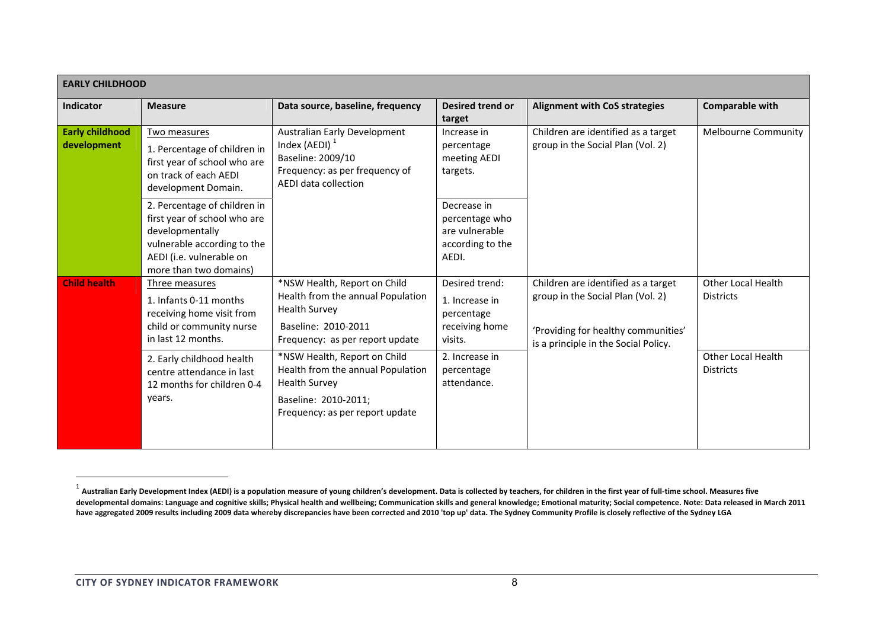| <b>EARLY CHILDHOOD</b>                                                                                                                                               |                                                                                                                              |                                                                                                                                                      |                                                                             |                                                                                                                                                         |                                        |  |  |  |
|----------------------------------------------------------------------------------------------------------------------------------------------------------------------|------------------------------------------------------------------------------------------------------------------------------|------------------------------------------------------------------------------------------------------------------------------------------------------|-----------------------------------------------------------------------------|---------------------------------------------------------------------------------------------------------------------------------------------------------|----------------------------------------|--|--|--|
| Indicator                                                                                                                                                            | <b>Measure</b>                                                                                                               | Data source, baseline, frequency                                                                                                                     | <b>Desired trend or</b><br>target                                           | <b>Alignment with CoS strategies</b>                                                                                                                    | <b>Comparable with</b>                 |  |  |  |
| <b>Early childhood</b><br>development                                                                                                                                | Two measures<br>1. Percentage of children in<br>first year of school who are<br>on track of each AEDI<br>development Domain. | Australian Early Development<br>Index (AEDI) $1$<br>Baseline: 2009/10<br>Frequency: as per frequency of<br>AEDI data collection                      | Increase in<br>percentage<br>meeting AEDI<br>targets.                       | Children are identified as a target<br>group in the Social Plan (Vol. 2)                                                                                | <b>Melbourne Community</b>             |  |  |  |
| 2. Percentage of children in<br>first year of school who are<br>developmentally<br>vulnerable according to the<br>AEDI (i.e. vulnerable on<br>more than two domains) |                                                                                                                              | Decrease in<br>percentage who<br>are vulnerable<br>according to the<br>AEDI.                                                                         |                                                                             |                                                                                                                                                         |                                        |  |  |  |
| <b>Child health</b>                                                                                                                                                  | Three measures<br>1. Infants 0-11 months<br>receiving home visit from<br>child or community nurse<br>in last 12 months.      | *NSW Health, Report on Child<br>Health from the annual Population<br><b>Health Survey</b><br>Baseline: 2010-2011<br>Frequency: as per report update  | Desired trend:<br>1. Increase in<br>percentage<br>receiving home<br>visits. | Children are identified as a target<br>group in the Social Plan (Vol. 2)<br>'Providing for healthy communities'<br>is a principle in the Social Policy. | Other Local Health<br><b>Districts</b> |  |  |  |
|                                                                                                                                                                      | 2. Early childhood health<br>centre attendance in last<br>12 months for children 0-4<br>years.                               | *NSW Health, Report on Child<br>Health from the annual Population<br><b>Health Survey</b><br>Baseline: 2010-2011;<br>Frequency: as per report update | 2. Increase in<br>percentage<br>attendance.                                 |                                                                                                                                                         | Other Local Health<br><b>Districts</b> |  |  |  |

 $^{\rm 1}$  Australian Early Development Index (AEDI) is a population measure of young children's development. Data is collected by teachers, for children in the first year of full-time school. Measures five developmental domains: Language and cognitive skills; Physical health and wellbeing; Communication skills and general knowledge; Emotional maturity; Social competence. Note: Data released in March 2011 have aggregated 2009 results including 2009 data whereby discrepancies have been corrected and 2010 'top up' data. The Sydney Community Profile is closely reflective of the Sydney LGA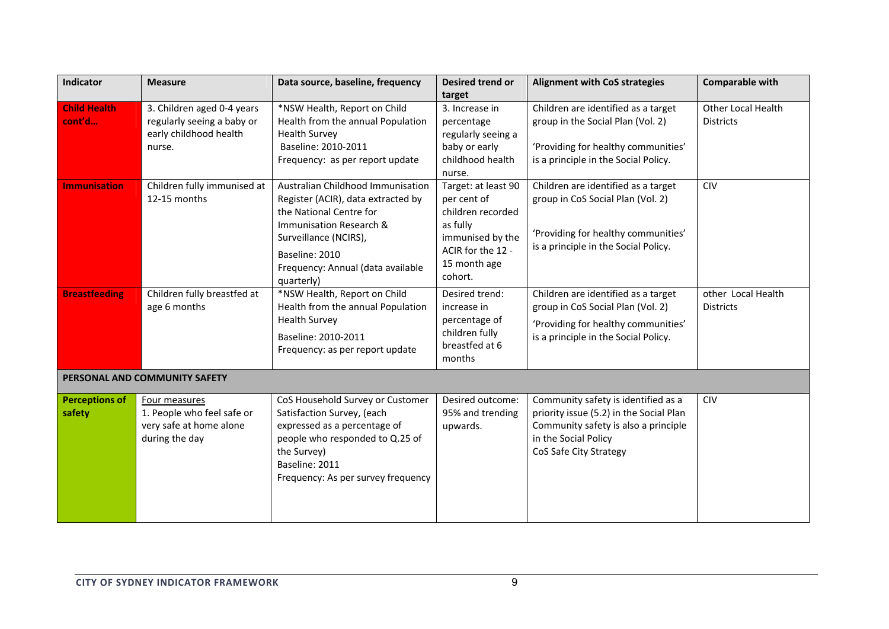| <b>Indicator</b>                | <b>Measure</b>                                                                               | Data source, baseline, frequency                                                                                                                                                                                            | Desired trend or                                                                                                                        | <b>Alignment with CoS strategies</b>                                                                                                                                     | <b>Comparable with</b>                 |
|---------------------------------|----------------------------------------------------------------------------------------------|-----------------------------------------------------------------------------------------------------------------------------------------------------------------------------------------------------------------------------|-----------------------------------------------------------------------------------------------------------------------------------------|--------------------------------------------------------------------------------------------------------------------------------------------------------------------------|----------------------------------------|
| <b>Child Health</b><br>cont'd   | 3. Children aged 0-4 years<br>regularly seeing a baby or<br>early childhood health<br>nurse. | *NSW Health, Report on Child<br>Health from the annual Population<br><b>Health Survey</b><br>Baseline: 2010-2011<br>Frequency: as per report update                                                                         | target<br>3. Increase in<br>percentage<br>regularly seeing a<br>baby or early<br>childhood health<br>nurse.                             | Children are identified as a target<br>group in the Social Plan (Vol. 2)<br>'Providing for healthy communities'<br>is a principle in the Social Policy.                  | Other Local Health<br><b>Districts</b> |
| <b>Immunisation</b>             | Children fully immunised at<br>12-15 months                                                  | Australian Childhood Immunisation<br>Register (ACIR), data extracted by<br>the National Centre for<br>Immunisation Research &<br>Surveillance (NCIRS),<br>Baseline: 2010<br>Frequency: Annual (data available<br>quarterly) | Target: at least 90<br>per cent of<br>children recorded<br>as fully<br>immunised by the<br>ACIR for the 12 -<br>15 month age<br>cohort. | Children are identified as a target<br>group in CoS Social Plan (Vol. 2)<br>'Providing for healthy communities'<br>is a principle in the Social Policy.                  | <b>CIV</b>                             |
| <b>Breastfeeding</b>            | Children fully breastfed at<br>age 6 months                                                  | *NSW Health, Report on Child<br>Health from the annual Population<br><b>Health Survey</b><br>Baseline: 2010-2011<br>Frequency: as per report update                                                                         | Desired trend:<br>increase in<br>percentage of<br>children fully<br>breastfed at 6<br>months                                            | Children are identified as a target<br>group in CoS Social Plan (Vol. 2)<br>'Providing for healthy communities'<br>is a principle in the Social Policy.                  | other Local Health<br><b>Districts</b> |
|                                 | PERSONAL AND COMMUNITY SAFETY                                                                |                                                                                                                                                                                                                             |                                                                                                                                         |                                                                                                                                                                          |                                        |
| <b>Perceptions of</b><br>safety | Four measures<br>1. People who feel safe or<br>very safe at home alone<br>during the day     | CoS Household Survey or Customer<br>Satisfaction Survey, (each<br>expressed as a percentage of<br>people who responded to Q.25 of<br>the Survey)<br>Baseline: 2011<br>Frequency: As per survey frequency                    | Desired outcome:<br>95% and trending<br>upwards.                                                                                        | Community safety is identified as a<br>priority issue (5.2) in the Social Plan<br>Community safety is also a principle<br>in the Social Policy<br>CoS Safe City Strategy | <b>CIV</b>                             |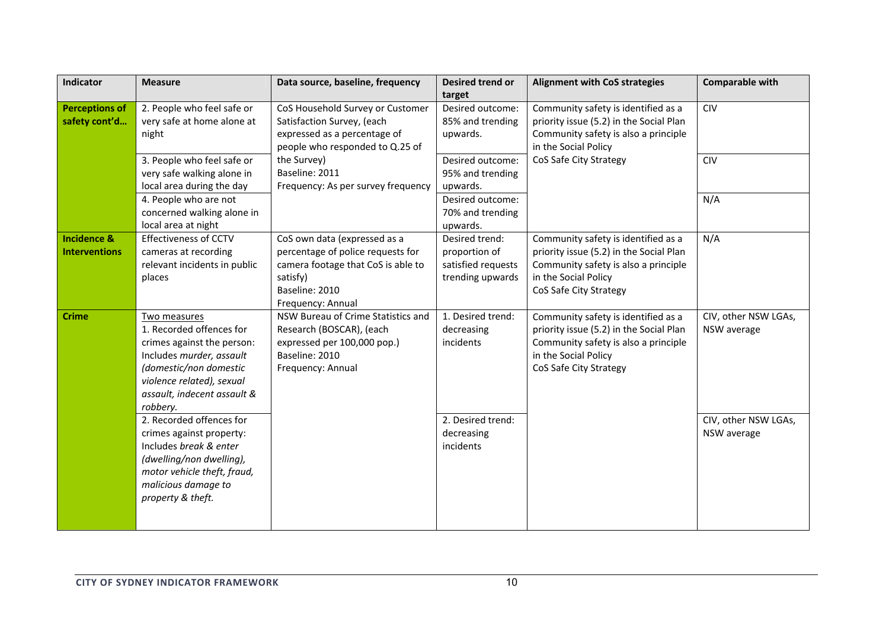| Indicator                                      | <b>Measure</b>                                                                                                                                                                                       | Data source, baseline, frequency                                                                                                                           | Desired trend or<br>target                                                | <b>Alignment with CoS strategies</b>                                                                                                                                     | <b>Comparable with</b>              |
|------------------------------------------------|------------------------------------------------------------------------------------------------------------------------------------------------------------------------------------------------------|------------------------------------------------------------------------------------------------------------------------------------------------------------|---------------------------------------------------------------------------|--------------------------------------------------------------------------------------------------------------------------------------------------------------------------|-------------------------------------|
| <b>Perceptions of</b><br>safety cont'd         | 2. People who feel safe or<br>very safe at home alone at<br>night                                                                                                                                    | CoS Household Survey or Customer<br>Satisfaction Survey, (each<br>expressed as a percentage of<br>people who responded to Q.25 of                          | Desired outcome:<br>85% and trending<br>upwards.                          | Community safety is identified as a<br>priority issue (5.2) in the Social Plan<br>Community safety is also a principle<br>in the Social Policy                           | <b>CIV</b>                          |
|                                                | 3. People who feel safe or<br>very safe walking alone in<br>local area during the day                                                                                                                | the Survey)<br>Baseline: 2011<br>Frequency: As per survey frequency                                                                                        | Desired outcome:<br>95% and trending<br>upwards.                          | CoS Safe City Strategy                                                                                                                                                   | <b>CIV</b>                          |
|                                                | 4. People who are not<br>concerned walking alone in<br>local area at night                                                                                                                           |                                                                                                                                                            | Desired outcome:<br>70% and trending<br>upwards.                          |                                                                                                                                                                          | N/A                                 |
| <b>Incidence &amp;</b><br><b>Interventions</b> | <b>Effectiveness of CCTV</b><br>cameras at recording<br>relevant incidents in public<br>places                                                                                                       | CoS own data (expressed as a<br>percentage of police requests for<br>camera footage that CoS is able to<br>satisfy)<br>Baseline: 2010<br>Frequency: Annual | Desired trend:<br>proportion of<br>satisfied requests<br>trending upwards | Community safety is identified as a<br>priority issue (5.2) in the Social Plan<br>Community safety is also a principle<br>in the Social Policy<br>CoS Safe City Strategy | N/A                                 |
| <b>Crime</b>                                   | Two measures<br>1. Recorded offences for<br>crimes against the person:<br>Includes murder, assault<br>(domestic/non domestic<br>violence related), sexual<br>assault, indecent assault &<br>robbery. | NSW Bureau of Crime Statistics and<br>Research (BOSCAR), (each<br>expressed per 100,000 pop.)<br>Baseline: 2010<br>Frequency: Annual                       | 1. Desired trend:<br>decreasing<br>incidents                              | Community safety is identified as a<br>priority issue (5.2) in the Social Plan<br>Community safety is also a principle<br>in the Social Policy<br>CoS Safe City Strategy | CIV, other NSW LGAs,<br>NSW average |
|                                                | 2. Recorded offences for<br>crimes against property:<br>Includes break & enter<br>(dwelling/non dwelling),<br>motor vehicle theft, fraud,<br>malicious damage to<br>property & theft.                |                                                                                                                                                            | 2. Desired trend:<br>decreasing<br>incidents                              |                                                                                                                                                                          | CIV, other NSW LGAs,<br>NSW average |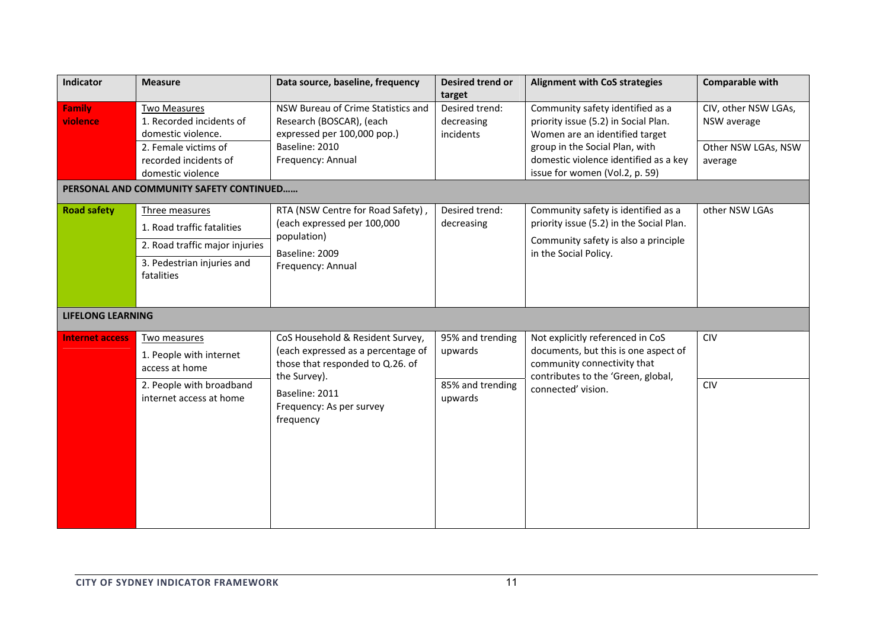| Indicator                 | <b>Measure</b>                                                                                                                              | Data source, baseline, frequency                                                                                                                                                      | <b>Desired trend or</b><br>target                          | <b>Alignment with CoS strategies</b>                                                                                                                                                                                    | <b>Comparable with</b>                                                |
|---------------------------|---------------------------------------------------------------------------------------------------------------------------------------------|---------------------------------------------------------------------------------------------------------------------------------------------------------------------------------------|------------------------------------------------------------|-------------------------------------------------------------------------------------------------------------------------------------------------------------------------------------------------------------------------|-----------------------------------------------------------------------|
| <b>Family</b><br>violence | <b>Two Measures</b><br>1. Recorded incidents of<br>domestic violence.<br>2. Female victims of<br>recorded incidents of<br>domestic violence | NSW Bureau of Crime Statistics and<br>Research (BOSCAR), (each<br>expressed per 100,000 pop.)<br>Baseline: 2010<br>Frequency: Annual                                                  | Desired trend:<br>decreasing<br>incidents                  | Community safety identified as a<br>priority issue (5.2) in Social Plan.<br>Women are an identified target<br>group in the Social Plan, with<br>domestic violence identified as a key<br>issue for women (Vol.2, p. 59) | CIV, other NSW LGAs,<br>NSW average<br>Other NSW LGAs, NSW<br>average |
|                           | PERSONAL AND COMMUNITY SAFETY CONTINUED                                                                                                     |                                                                                                                                                                                       |                                                            |                                                                                                                                                                                                                         |                                                                       |
| <b>Road safety</b>        | Three measures<br>1. Road traffic fatalities<br>2. Road traffic major injuries<br>3. Pedestrian injuries and<br>fatalities                  | RTA (NSW Centre for Road Safety),<br>(each expressed per 100,000<br>population)<br>Baseline: 2009<br>Frequency: Annual                                                                | Desired trend:<br>decreasing                               | Community safety is identified as a<br>priority issue (5.2) in the Social Plan.<br>Community safety is also a principle<br>in the Social Policy.                                                                        | other NSW LGAs                                                        |
| <b>LIFELONG LEARNING</b>  |                                                                                                                                             |                                                                                                                                                                                       |                                                            |                                                                                                                                                                                                                         |                                                                       |
| <b>Internet access</b>    | Two measures<br>1. People with internet<br>access at home<br>2. People with broadband<br>internet access at home                            | CoS Household & Resident Survey,<br>(each expressed as a percentage of<br>those that responded to Q.26. of<br>the Survey).<br>Baseline: 2011<br>Frequency: As per survey<br>frequency | 95% and trending<br>upwards<br>85% and trending<br>upwards | Not explicitly referenced in CoS<br>documents, but this is one aspect of<br>community connectivity that<br>contributes to the 'Green, global,<br>connected' vision.                                                     | <b>CIV</b><br><b>CIV</b>                                              |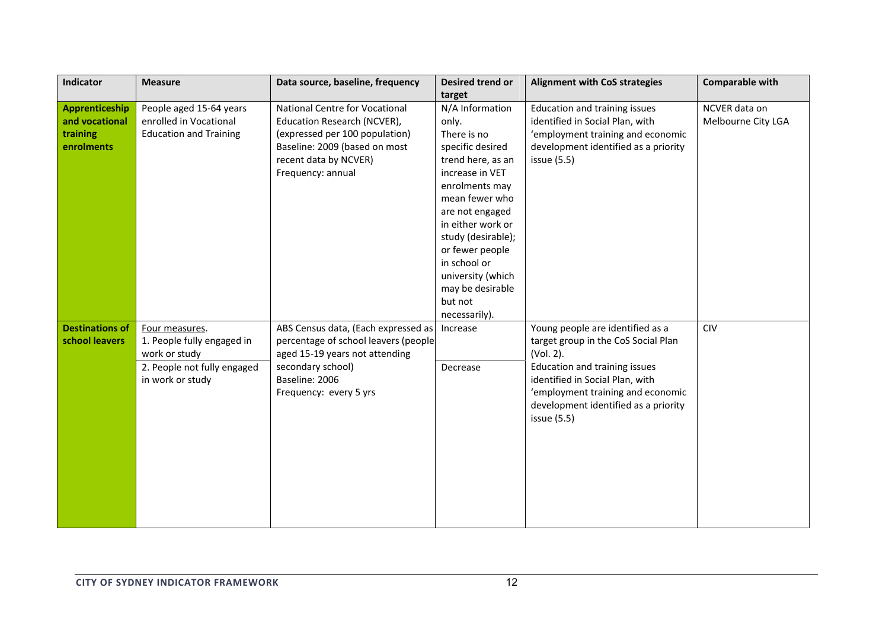| Indicator                                                  | <b>Measure</b>                                                                                                   | Data source, baseline, frequency                                                                                                                                                      | <b>Desired trend or</b><br>target                                                                                                                                                                                                                                                                             | <b>Alignment with CoS strategies</b>                                                                                                                                                                                                                 | <b>Comparable with</b>              |
|------------------------------------------------------------|------------------------------------------------------------------------------------------------------------------|---------------------------------------------------------------------------------------------------------------------------------------------------------------------------------------|---------------------------------------------------------------------------------------------------------------------------------------------------------------------------------------------------------------------------------------------------------------------------------------------------------------|------------------------------------------------------------------------------------------------------------------------------------------------------------------------------------------------------------------------------------------------------|-------------------------------------|
| Apprenticeship<br>and vocational<br>training<br>enrolments | People aged 15-64 years<br>enrolled in Vocational<br><b>Education and Training</b>                               | <b>National Centre for Vocational</b><br>Education Research (NCVER),<br>(expressed per 100 population)<br>Baseline: 2009 (based on most<br>recent data by NCVER)<br>Frequency: annual | N/A Information<br>only.<br>There is no<br>specific desired<br>trend here, as an<br>increase in VET<br>enrolments may<br>mean fewer who<br>are not engaged<br>in either work or<br>study (desirable);<br>or fewer people<br>in school or<br>university (which<br>may be desirable<br>but not<br>necessarily). | Education and training issues<br>identified in Social Plan, with<br>'employment training and economic<br>development identified as a priority<br>issue (5.5)                                                                                         | NCVER data on<br>Melbourne City LGA |
| <b>Destinations of</b><br>school leavers                   | Four measures.<br>1. People fully engaged in<br>work or study<br>2. People not fully engaged<br>in work or study | ABS Census data, (Each expressed as<br>percentage of school leavers (people<br>aged 15-19 years not attending<br>secondary school)<br>Baseline: 2006<br>Frequency: every 5 yrs        | Increase<br>Decrease                                                                                                                                                                                                                                                                                          | Young people are identified as a<br>target group in the CoS Social Plan<br>(Vol. 2).<br>Education and training issues<br>identified in Social Plan, with<br>'employment training and economic<br>development identified as a priority<br>issue (5.5) | <b>CIV</b>                          |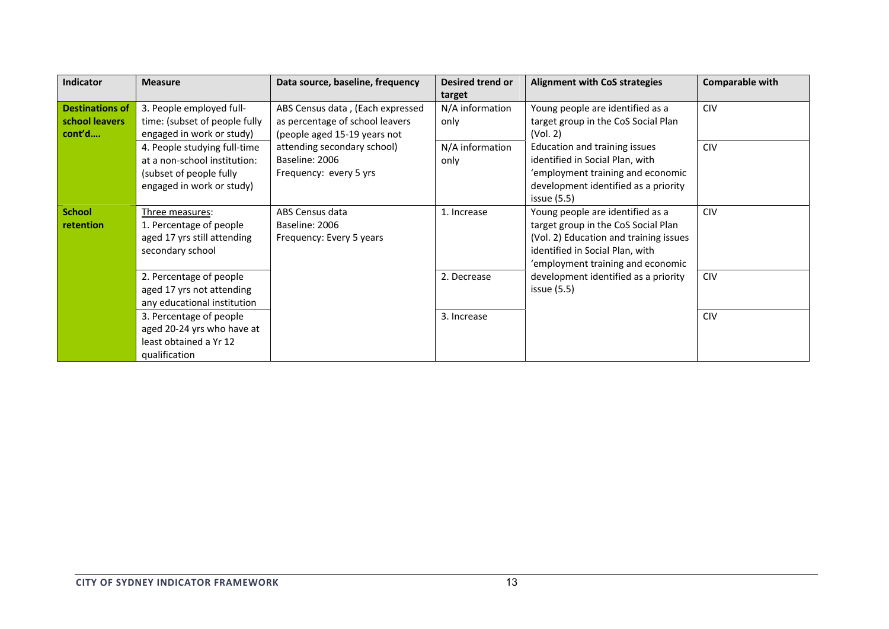| Indicator                                          | <b>Measure</b>                                                                                                       | Data source, baseline, frequency                                                                    | Desired trend or<br>target | <b>Alignment with CoS strategies</b>                                                                                                                                                      | <b>Comparable with</b> |
|----------------------------------------------------|----------------------------------------------------------------------------------------------------------------------|-----------------------------------------------------------------------------------------------------|----------------------------|-------------------------------------------------------------------------------------------------------------------------------------------------------------------------------------------|------------------------|
| <b>Destinations of</b><br>school leavers<br>cont'd | 3. People employed full-<br>time: (subset of people fully<br>engaged in work or study)                               | ABS Census data, (Each expressed<br>as percentage of school leavers<br>(people aged 15-19 years not | N/A information<br>only    | Young people are identified as a<br>target group in the CoS Social Plan<br>(Vol. 2)                                                                                                       | CIV                    |
|                                                    | 4. People studying full-time<br>at a non-school institution:<br>(subset of people fully<br>engaged in work or study) | attending secondary school)<br>Baseline: 2006<br>Frequency: every 5 yrs                             | N/A information<br>only    | Education and training issues<br>identified in Social Plan, with<br>'employment training and economic<br>development identified as a priority<br>issue(5.5)                               | <b>CIV</b>             |
| <b>School</b><br><b>retention</b>                  | Three measures:<br>1. Percentage of people<br>aged 17 yrs still attending<br>secondary school                        | ABS Census data<br>Baseline: 2006<br>Frequency: Every 5 years                                       | 1. Increase                | Young people are identified as a<br>target group in the CoS Social Plan<br>(Vol. 2) Education and training issues<br>identified in Social Plan, with<br>'employment training and economic | <b>CIV</b>             |
|                                                    | 2. Percentage of people<br>aged 17 yrs not attending<br>any educational institution                                  |                                                                                                     | 2. Decrease                | development identified as a priority<br>issue(5.5)                                                                                                                                        | <b>CIV</b>             |
|                                                    | 3. Percentage of people<br>aged 20-24 yrs who have at<br>least obtained a Yr 12<br>qualification                     |                                                                                                     | 3. Increase                |                                                                                                                                                                                           | <b>CIV</b>             |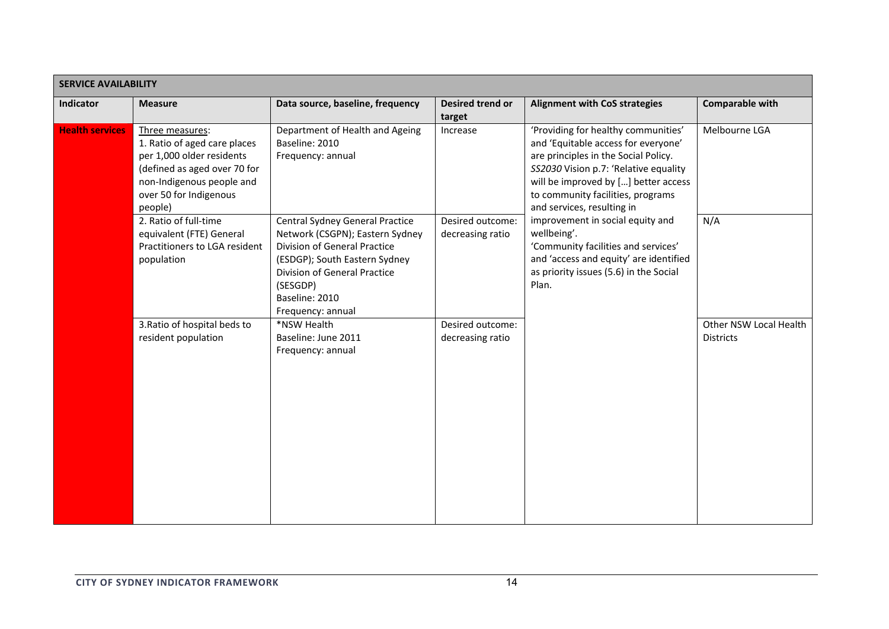| <b>SERVICE AVAILABILITY</b> |                                                                                                                                                                                |                                                                                                                                                                                                                               |                                      |                                                                                                                                                                                                                                                                                                                                                                                                                                                               |                                            |  |  |
|-----------------------------|--------------------------------------------------------------------------------------------------------------------------------------------------------------------------------|-------------------------------------------------------------------------------------------------------------------------------------------------------------------------------------------------------------------------------|--------------------------------------|---------------------------------------------------------------------------------------------------------------------------------------------------------------------------------------------------------------------------------------------------------------------------------------------------------------------------------------------------------------------------------------------------------------------------------------------------------------|--------------------------------------------|--|--|
| <b>Indicator</b>            | <b>Measure</b>                                                                                                                                                                 | Data source, baseline, frequency                                                                                                                                                                                              | <b>Desired trend or</b><br>target    | <b>Alignment with CoS strategies</b>                                                                                                                                                                                                                                                                                                                                                                                                                          | <b>Comparable with</b>                     |  |  |
| <b>Health services</b>      | Three measures:<br>1. Ratio of aged care places<br>per 1,000 older residents<br>(defined as aged over 70 for<br>non-Indigenous people and<br>over 50 for Indigenous<br>people) | Department of Health and Ageing<br>Baseline: 2010<br>Frequency: annual                                                                                                                                                        | Increase                             | 'Providing for healthy communities'<br>and 'Equitable access for everyone'<br>are principles in the Social Policy.<br>SS2030 Vision p.7: 'Relative equality<br>will be improved by [] better access<br>to community facilities, programs<br>and services, resulting in<br>improvement in social equity and<br>wellbeing'.<br>'Community facilities and services'<br>and 'access and equity' are identified<br>as priority issues (5.6) in the Social<br>Plan. | Melbourne LGA                              |  |  |
|                             | 2. Ratio of full-time<br>equivalent (FTE) General<br>Practitioners to LGA resident<br>population                                                                               | Central Sydney General Practice<br>Network (CSGPN); Eastern Sydney<br>Division of General Practice<br>(ESDGP); South Eastern Sydney<br><b>Division of General Practice</b><br>(SESGDP)<br>Baseline: 2010<br>Frequency: annual | Desired outcome:<br>decreasing ratio |                                                                                                                                                                                                                                                                                                                                                                                                                                                               | N/A                                        |  |  |
|                             | 3. Ratio of hospital beds to<br>resident population                                                                                                                            | *NSW Health<br>Baseline: June 2011<br>Frequency: annual                                                                                                                                                                       | Desired outcome:<br>decreasing ratio |                                                                                                                                                                                                                                                                                                                                                                                                                                                               | Other NSW Local Health<br><b>Districts</b> |  |  |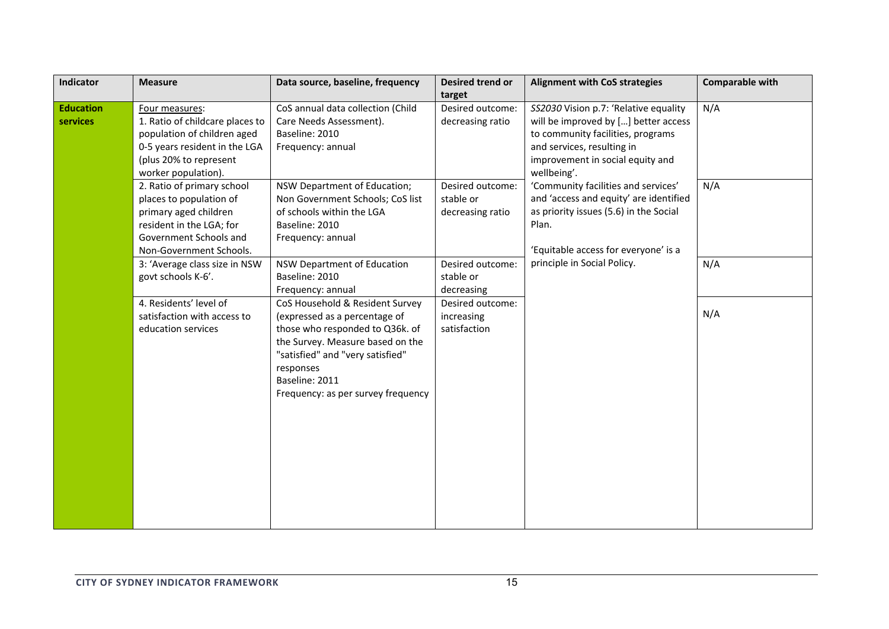| Indicator                    | <b>Measure</b>                                                                                                                                                  | Data source, baseline, frequency                                                                                                                                                                                                                 | Desired trend or<br>target                        | <b>Alignment with CoS strategies</b>                                                                                                                                                                    | <b>Comparable with</b> |
|------------------------------|-----------------------------------------------------------------------------------------------------------------------------------------------------------------|--------------------------------------------------------------------------------------------------------------------------------------------------------------------------------------------------------------------------------------------------|---------------------------------------------------|---------------------------------------------------------------------------------------------------------------------------------------------------------------------------------------------------------|------------------------|
| <b>Education</b><br>services | Four measures:<br>1. Ratio of childcare places to<br>population of children aged                                                                                | CoS annual data collection (Child<br>Care Needs Assessment).<br>Baseline: 2010                                                                                                                                                                   | Desired outcome:<br>decreasing ratio              | SS2030 Vision p.7: 'Relative equality<br>will be improved by [] better access<br>to community facilities, programs                                                                                      | N/A                    |
|                              | 0-5 years resident in the LGA<br>(plus 20% to represent<br>worker population).                                                                                  | Frequency: annual                                                                                                                                                                                                                                |                                                   | and services, resulting in<br>improvement in social equity and<br>wellbeing'.                                                                                                                           |                        |
|                              | 2. Ratio of primary school<br>places to population of<br>primary aged children<br>resident in the LGA; for<br>Government Schools and<br>Non-Government Schools. | NSW Department of Education;<br>Non Government Schools; CoS list<br>of schools within the LGA<br>Baseline: 2010<br>Frequency: annual                                                                                                             | Desired outcome:<br>stable or<br>decreasing ratio | 'Community facilities and services'<br>and 'access and equity' are identified<br>as priority issues (5.6) in the Social<br>Plan.<br>'Equitable access for everyone' is a<br>principle in Social Policy. | N/A                    |
|                              | 3: 'Average class size in NSW<br>govt schools K-6'.                                                                                                             | NSW Department of Education<br>Baseline: 2010<br>Frequency: annual                                                                                                                                                                               | Desired outcome:<br>stable or<br>decreasing       |                                                                                                                                                                                                         | N/A                    |
|                              | 4. Residents' level of<br>satisfaction with access to<br>education services                                                                                     | CoS Household & Resident Survey<br>(expressed as a percentage of<br>those who responded to Q36k. of<br>the Survey. Measure based on the<br>"satisfied" and "very satisfied"<br>responses<br>Baseline: 2011<br>Frequency: as per survey frequency | Desired outcome:<br>increasing<br>satisfaction    |                                                                                                                                                                                                         | N/A                    |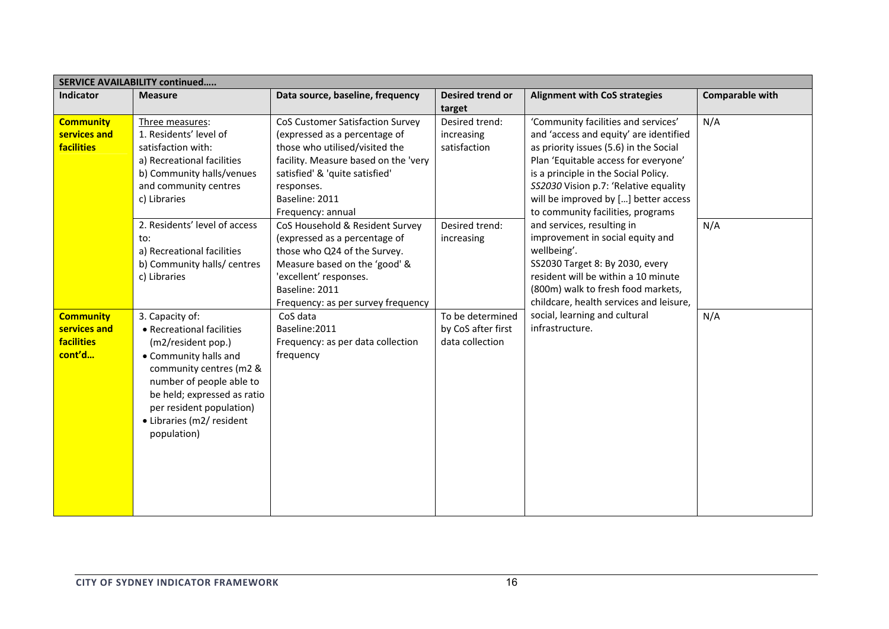| <b>SERVICE AVAILABILITY continued</b>                           |                                                                                                                                                                                                                                                                                          |                                                                                                                                                                                                                                                                                                                                                                                                                            |                                                                              |                                                                                                                                                                                                                                                                                                                                                                                                                                                                                                                                |                 |  |  |
|-----------------------------------------------------------------|------------------------------------------------------------------------------------------------------------------------------------------------------------------------------------------------------------------------------------------------------------------------------------------|----------------------------------------------------------------------------------------------------------------------------------------------------------------------------------------------------------------------------------------------------------------------------------------------------------------------------------------------------------------------------------------------------------------------------|------------------------------------------------------------------------------|--------------------------------------------------------------------------------------------------------------------------------------------------------------------------------------------------------------------------------------------------------------------------------------------------------------------------------------------------------------------------------------------------------------------------------------------------------------------------------------------------------------------------------|-----------------|--|--|
| Indicator                                                       | <b>Measure</b>                                                                                                                                                                                                                                                                           | Data source, baseline, frequency                                                                                                                                                                                                                                                                                                                                                                                           | <b>Desired trend or</b><br>target                                            | <b>Alignment with CoS strategies</b>                                                                                                                                                                                                                                                                                                                                                                                                                                                                                           | Comparable with |  |  |
| <b>Community</b><br>services and<br><b>facilities</b>           | Three measures:<br>1. Residents' level of<br>satisfaction with:<br>a) Recreational facilities<br>b) Community halls/venues<br>and community centres<br>c) Libraries<br>2. Residents' level of access<br>to:<br>a) Recreational facilities<br>b) Community halls/ centres<br>c) Libraries | <b>CoS Customer Satisfaction Survey</b><br>(expressed as a percentage of<br>those who utilised/visited the<br>facility. Measure based on the 'very<br>satisfied' & 'quite satisfied'<br>responses.<br>Baseline: 2011<br>Frequency: annual<br>CoS Household & Resident Survey<br>(expressed as a percentage of<br>those who Q24 of the Survey.<br>Measure based on the 'good' &<br>'excellent' responses.<br>Baseline: 2011 | Desired trend:<br>increasing<br>satisfaction<br>Desired trend:<br>increasing | 'Community facilities and services'<br>and 'access and equity' are identified<br>as priority issues (5.6) in the Social<br>Plan 'Equitable access for everyone'<br>is a principle in the Social Policy.<br>SS2030 Vision p.7: 'Relative equality<br>will be improved by [] better access<br>to community facilities, programs<br>and services, resulting in<br>improvement in social equity and<br>wellbeing'.<br>SS2030 Target 8: By 2030, every<br>resident will be within a 10 minute<br>(800m) walk to fresh food markets, | N/A<br>N/A      |  |  |
| <b>Community</b><br>services and<br><b>facilities</b><br>cont'd | 3. Capacity of:<br>• Recreational facilities<br>(m2/resident pop.)<br>• Community halls and<br>community centres (m2 &<br>number of people able to<br>be held; expressed as ratio<br>per resident population)<br>• Libraries (m2/ resident<br>population)                                | Frequency: as per survey frequency<br>CoS data<br>Baseline:2011<br>Frequency: as per data collection<br>frequency                                                                                                                                                                                                                                                                                                          | To be determined<br>by CoS after first<br>data collection                    | childcare, health services and leisure,<br>social, learning and cultural<br>infrastructure.                                                                                                                                                                                                                                                                                                                                                                                                                                    | N/A             |  |  |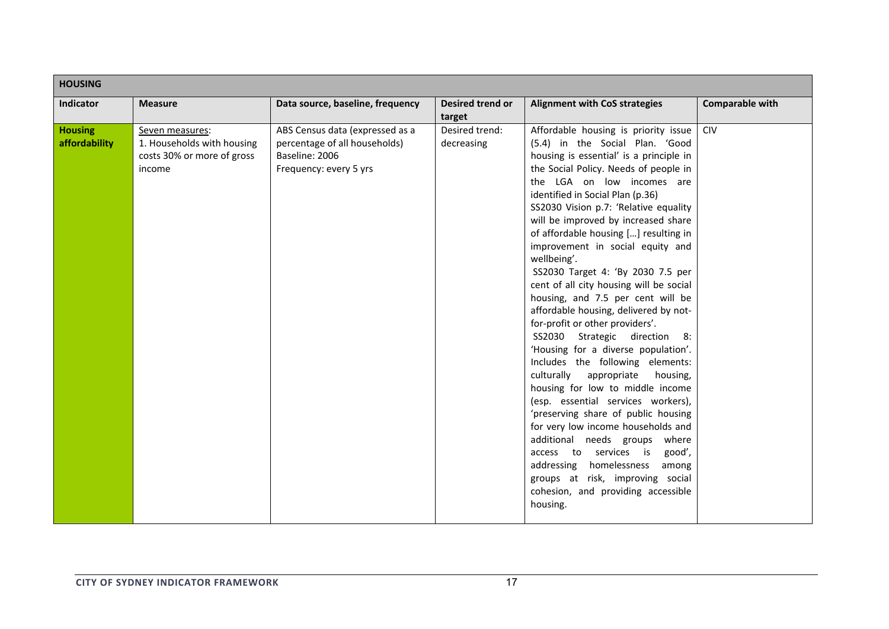| <b>HOUSING</b>                  |                                                                                       |                                                                                                              |                                   |                                                                                                                                                                                                                                                                                                                                                                                                                                                                                                                                                                                                                                                                                                                                                                                                                                                                                                                                                                                                                                                                                                                      |                        |  |
|---------------------------------|---------------------------------------------------------------------------------------|--------------------------------------------------------------------------------------------------------------|-----------------------------------|----------------------------------------------------------------------------------------------------------------------------------------------------------------------------------------------------------------------------------------------------------------------------------------------------------------------------------------------------------------------------------------------------------------------------------------------------------------------------------------------------------------------------------------------------------------------------------------------------------------------------------------------------------------------------------------------------------------------------------------------------------------------------------------------------------------------------------------------------------------------------------------------------------------------------------------------------------------------------------------------------------------------------------------------------------------------------------------------------------------------|------------------------|--|
| <b>Indicator</b>                | <b>Measure</b>                                                                        | Data source, baseline, frequency                                                                             | <b>Desired trend or</b><br>target | <b>Alignment with CoS strategies</b>                                                                                                                                                                                                                                                                                                                                                                                                                                                                                                                                                                                                                                                                                                                                                                                                                                                                                                                                                                                                                                                                                 | <b>Comparable with</b> |  |
| <b>Housing</b><br>affordability | Seven measures:<br>1. Households with housing<br>costs 30% or more of gross<br>income | ABS Census data (expressed as a<br>percentage of all households)<br>Baseline: 2006<br>Frequency: every 5 yrs | Desired trend:<br>decreasing      | Affordable housing is priority issue<br>(5.4) in the Social Plan. 'Good<br>housing is essential' is a principle in<br>the Social Policy. Needs of people in<br>the LGA on low incomes are<br>identified in Social Plan (p.36)<br>SS2030 Vision p.7: 'Relative equality<br>will be improved by increased share<br>of affordable housing [] resulting in<br>improvement in social equity and<br>wellbeing'.<br>SS2030 Target 4: 'By 2030 7.5 per<br>cent of all city housing will be social<br>housing, and 7.5 per cent will be<br>affordable housing, delivered by not-<br>for-profit or other providers'.<br>SS2030 Strategic direction 8:<br>'Housing for a diverse population'.<br>Includes the following elements:<br>culturally<br>appropriate<br>housing,<br>housing for low to middle income<br>(esp. essential services workers),<br>'preserving share of public housing<br>for very low income households and<br>additional needs groups where<br>access to services is<br>good',<br>addressing homelessness<br>among<br>groups at risk, improving social<br>cohesion, and providing accessible<br>housing. | <b>CIV</b>             |  |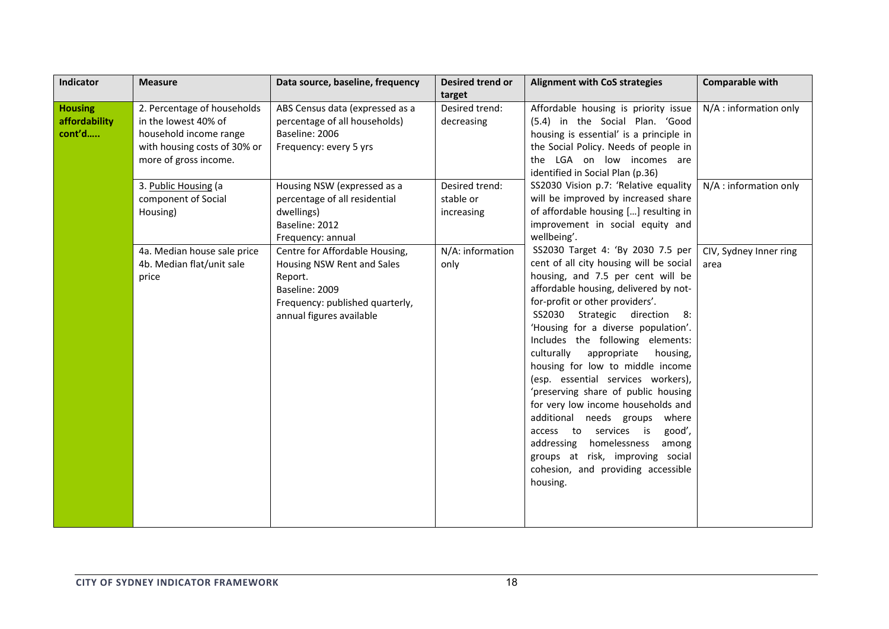| <b>Indicator</b>                          | <b>Measure</b>                                                                                                                                                                                                                                                         | Data source, baseline, frequency                                                                                                                                                                                                                                                                                                                                                              | Desired trend or                                                                                                | <b>Alignment with CoS strategies</b>                                                                                                                                                                                                                                                                                                                                                                                                                                                                                                                                                                                                                                                                                                                                                                                                                                                                                   | <b>Comparable with</b>                                                             |
|-------------------------------------------|------------------------------------------------------------------------------------------------------------------------------------------------------------------------------------------------------------------------------------------------------------------------|-----------------------------------------------------------------------------------------------------------------------------------------------------------------------------------------------------------------------------------------------------------------------------------------------------------------------------------------------------------------------------------------------|-----------------------------------------------------------------------------------------------------------------|------------------------------------------------------------------------------------------------------------------------------------------------------------------------------------------------------------------------------------------------------------------------------------------------------------------------------------------------------------------------------------------------------------------------------------------------------------------------------------------------------------------------------------------------------------------------------------------------------------------------------------------------------------------------------------------------------------------------------------------------------------------------------------------------------------------------------------------------------------------------------------------------------------------------|------------------------------------------------------------------------------------|
| <b>Housing</b><br>affordability<br>cont'd | 2. Percentage of households<br>in the lowest 40% of<br>household income range<br>with housing costs of 30% or<br>more of gross income.<br>3. Public Housing (a<br>component of Social<br>Housing)<br>4a. Median house sale price<br>4b. Median flat/unit sale<br>price | ABS Census data (expressed as a<br>percentage of all households)<br>Baseline: 2006<br>Frequency: every 5 yrs<br>Housing NSW (expressed as a<br>percentage of all residential<br>dwellings)<br>Baseline: 2012<br>Frequency: annual<br>Centre for Affordable Housing,<br>Housing NSW Rent and Sales<br>Report.<br>Baseline: 2009<br>Frequency: published quarterly,<br>annual figures available | target<br>Desired trend:<br>decreasing<br>Desired trend:<br>stable or<br>increasing<br>N/A: information<br>only | Affordable housing is priority issue<br>(5.4) in the Social Plan. 'Good<br>housing is essential' is a principle in<br>the Social Policy. Needs of people in<br>the LGA on low incomes are<br>identified in Social Plan (p.36)<br>SS2030 Vision p.7: 'Relative equality<br>will be improved by increased share<br>of affordable housing [] resulting in<br>improvement in social equity and<br>wellbeing'.<br>SS2030 Target 4: 'By 2030 7.5 per<br>cent of all city housing will be social<br>housing, and 7.5 per cent will be<br>affordable housing, delivered by not-<br>for-profit or other providers'.<br>SS2030 Strategic direction 8:<br>'Housing for a diverse population'.<br>Includes the following elements:<br>culturally<br>appropriate<br>housing,<br>housing for low to middle income<br>(esp. essential services workers),<br>'preserving share of public housing<br>for very low income households and | N/A : information only<br>N/A : information only<br>CIV, Sydney Inner ring<br>area |
|                                           |                                                                                                                                                                                                                                                                        |                                                                                                                                                                                                                                                                                                                                                                                               |                                                                                                                 | additional needs groups where<br>access to services is<br>good',<br>homelessness<br>addressing<br>among<br>groups at risk, improving social<br>cohesion, and providing accessible<br>housing.                                                                                                                                                                                                                                                                                                                                                                                                                                                                                                                                                                                                                                                                                                                          |                                                                                    |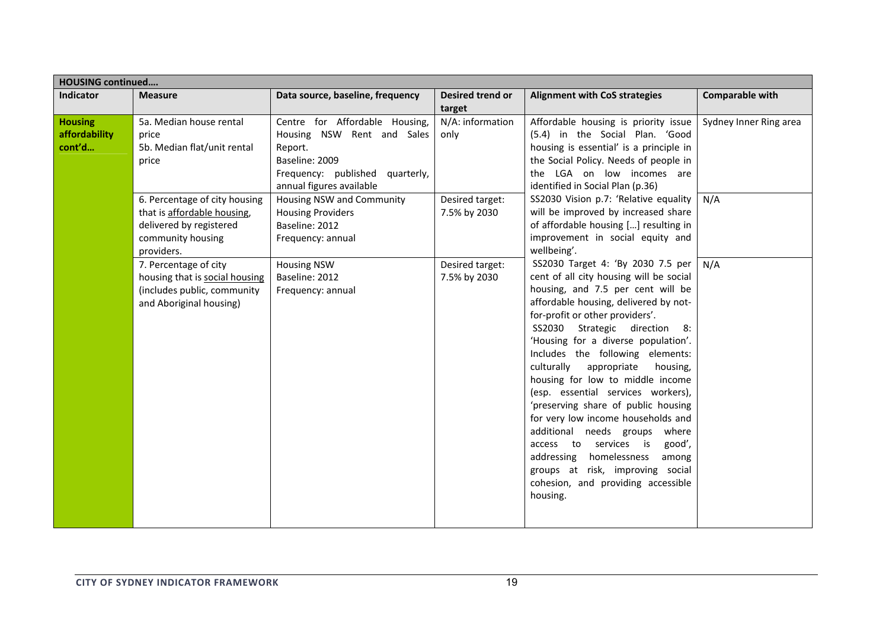|                                           | <b>HOUSING continued</b>                                                                                                                                                                                                                                                                                |                                                                                                                                                                                           |                                   |                                                                                                                                                                                                                                                                                                                                                                                                                                                                                                                                                                                                                                                                                                            |                        |  |  |
|-------------------------------------------|---------------------------------------------------------------------------------------------------------------------------------------------------------------------------------------------------------------------------------------------------------------------------------------------------------|-------------------------------------------------------------------------------------------------------------------------------------------------------------------------------------------|-----------------------------------|------------------------------------------------------------------------------------------------------------------------------------------------------------------------------------------------------------------------------------------------------------------------------------------------------------------------------------------------------------------------------------------------------------------------------------------------------------------------------------------------------------------------------------------------------------------------------------------------------------------------------------------------------------------------------------------------------------|------------------------|--|--|
| <b>Indicator</b>                          | <b>Measure</b>                                                                                                                                                                                                                                                                                          | Data source, baseline, frequency                                                                                                                                                          | <b>Desired trend or</b><br>target | <b>Alignment with CoS strategies</b>                                                                                                                                                                                                                                                                                                                                                                                                                                                                                                                                                                                                                                                                       | <b>Comparable with</b> |  |  |
| <b>Housing</b><br>affordability<br>cont'd | Centre for Affordable Housing,<br>N/A: information<br>5a. Median house rental<br>Housing NSW Rent and Sales<br>only<br>price<br>5b. Median flat/unit rental<br>Report.<br>Baseline: 2009<br>price<br>Frequency: published<br>quarterly,<br>annual figures available<br>identified in Social Plan (p.36) | Affordable housing is priority issue<br>(5.4) in the Social Plan. 'Good<br>housing is essential' is a principle in<br>the Social Policy. Needs of people in<br>the LGA on low incomes are | Sydney Inner Ring area            |                                                                                                                                                                                                                                                                                                                                                                                                                                                                                                                                                                                                                                                                                                            |                        |  |  |
|                                           | 6. Percentage of city housing<br>that is affordable housing,<br>delivered by registered<br>community housing<br>providers.                                                                                                                                                                              | Housing NSW and Community<br><b>Housing Providers</b><br>Baseline: 2012<br>Frequency: annual                                                                                              | Desired target:<br>7.5% by 2030   | SS2030 Vision p.7: 'Relative equality<br>will be improved by increased share<br>of affordable housing [] resulting in<br>improvement in social equity and<br>wellbeing'.                                                                                                                                                                                                                                                                                                                                                                                                                                                                                                                                   | N/A                    |  |  |
|                                           | 7. Percentage of city<br>housing that is social housing<br>(includes public, community<br>and Aboriginal housing)                                                                                                                                                                                       | <b>Housing NSW</b><br>Baseline: 2012<br>Frequency: annual                                                                                                                                 | Desired target:<br>7.5% by 2030   | SS2030 Target 4: 'By 2030 7.5 per<br>cent of all city housing will be social<br>housing, and 7.5 per cent will be<br>affordable housing, delivered by not-<br>for-profit or other providers'.<br>SS2030 Strategic direction 8:<br>'Housing for a diverse population'.<br>Includes the following elements:<br>culturally<br>appropriate<br>housing,<br>housing for low to middle income<br>(esp. essential services workers),<br>'preserving share of public housing<br>for very low income households and<br>additional needs groups where<br>access to services is<br>good',<br>homelessness<br>addressing<br>among<br>groups at risk, improving social<br>cohesion, and providing accessible<br>housing. | N/A                    |  |  |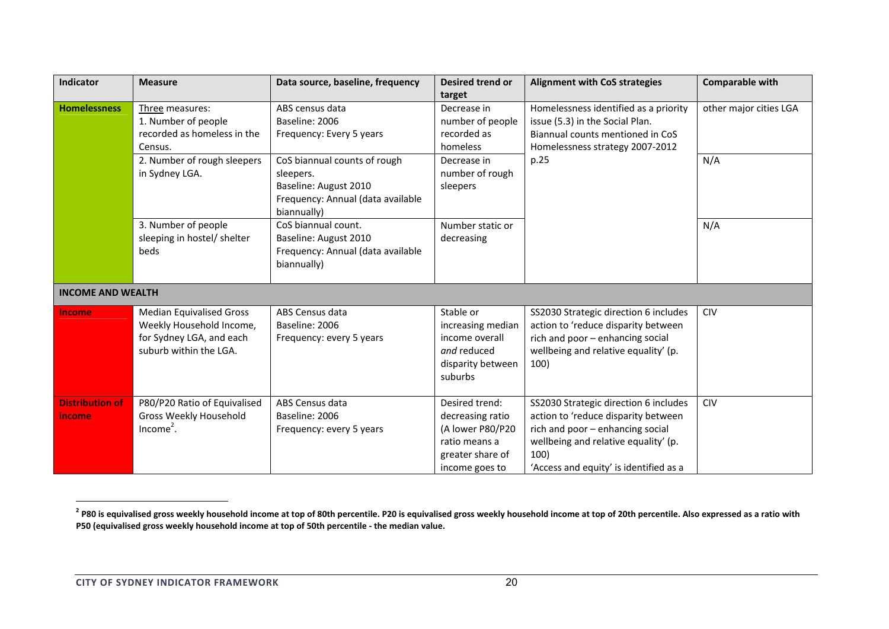| Indicator                               | <b>Measure</b>                                                                                                    | Data source, baseline, frequency                                                                                       | <b>Desired trend or</b><br>target                                                                             | <b>Alignment with CoS strategies</b>                                                                                                                                                                       | <b>Comparable with</b> |
|-----------------------------------------|-------------------------------------------------------------------------------------------------------------------|------------------------------------------------------------------------------------------------------------------------|---------------------------------------------------------------------------------------------------------------|------------------------------------------------------------------------------------------------------------------------------------------------------------------------------------------------------------|------------------------|
| <b>Homelessness</b>                     | Three measures:<br>1. Number of people<br>recorded as homeless in the<br>Census.                                  | ABS census data<br>Baseline: 2006<br>Frequency: Every 5 years                                                          | Decrease in<br>number of people<br>recorded as<br>homeless                                                    | Homelessness identified as a priority<br>issue (5.3) in the Social Plan.<br>Biannual counts mentioned in CoS<br>Homelessness strategy 2007-2012                                                            | other major cities LGA |
|                                         | 2. Number of rough sleepers<br>in Sydney LGA.                                                                     | CoS biannual counts of rough<br>sleepers.<br>Baseline: August 2010<br>Frequency: Annual (data available<br>biannually) | Decrease in<br>number of rough<br>sleepers                                                                    | p.25                                                                                                                                                                                                       | N/A                    |
|                                         | 3. Number of people<br>sleeping in hostel/ shelter<br>beds                                                        | CoS biannual count.<br>Baseline: August 2010<br>Frequency: Annual (data available<br>biannually)                       | Number static or<br>decreasing                                                                                |                                                                                                                                                                                                            | N/A                    |
| <b>INCOME AND WEALTH</b>                |                                                                                                                   |                                                                                                                        |                                                                                                               |                                                                                                                                                                                                            |                        |
| Income                                  | <b>Median Equivalised Gross</b><br>Weekly Household Income,<br>for Sydney LGA, and each<br>suburb within the LGA. | ABS Census data<br>Baseline: 2006<br>Frequency: every 5 years                                                          | Stable or<br>increasing median<br>income overall<br>and reduced<br>disparity between<br>suburbs               | SS2030 Strategic direction 6 includes<br>action to 'reduce disparity between<br>rich and poor - enhancing social<br>wellbeing and relative equality' (p.<br>100)                                           | <b>CIV</b>             |
| <b>Distribution of</b><br><i>income</i> | P80/P20 Ratio of Equivalised<br>Gross Weekly Household<br>$Income2$ .                                             | ABS Census data<br>Baseline: 2006<br>Frequency: every 5 years                                                          | Desired trend:<br>decreasing ratio<br>(A lower P80/P20<br>ratio means a<br>greater share of<br>income goes to | SS2030 Strategic direction 6 includes<br>action to 'reduce disparity between<br>rich and poor - enhancing social<br>wellbeing and relative equality' (p.<br>100)<br>'Access and equity' is identified as a | <b>CIV</b>             |

<sup>&</sup>lt;sup>2</sup> P80 is equivalised gross weekly household income at top of 80th percentile. P20 is equivalised gross weekly household income at top of 20th percentile. Also expressed as a ratio with **P50 (equivalised gross weekly household income at top of 50th percentile ‐ the median value.**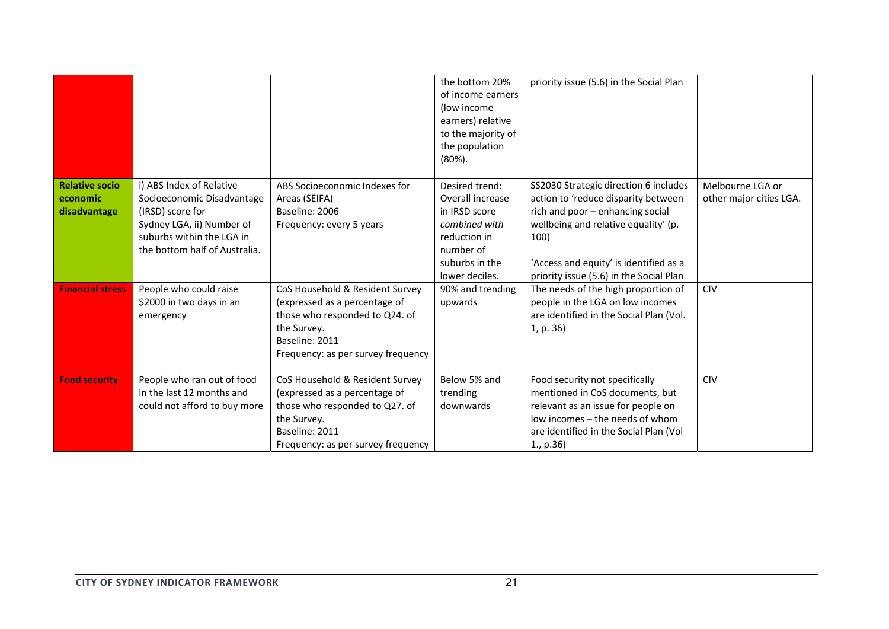|                                                   |                                                                                                                                                                       |                                                                                                                                                                           | the bottom 20%<br>of income earners<br>(low income)<br>earners) relative<br>to the majority of<br>the population<br>$(80\%)$ .        | priority issue (5.6) in the Social Plan                                                                                                                                                                                                               |                                             |
|---------------------------------------------------|-----------------------------------------------------------------------------------------------------------------------------------------------------------------------|---------------------------------------------------------------------------------------------------------------------------------------------------------------------------|---------------------------------------------------------------------------------------------------------------------------------------|-------------------------------------------------------------------------------------------------------------------------------------------------------------------------------------------------------------------------------------------------------|---------------------------------------------|
| <b>Relative socio</b><br>economic<br>disadvantage | i) ABS Index of Relative<br>Socioeconomic Disadvantage<br>(IRSD) score for<br>Sydney LGA, ii) Number of<br>suburbs within the LGA in<br>the bottom half of Australia. | ABS Socioeconomic Indexes for<br>Areas (SEIFA)<br>Baseline: 2006<br>Frequency: every 5 years                                                                              | Desired trend:<br>Overall increase<br>in IRSD score<br>combined with<br>reduction in<br>number of<br>suburbs in the<br>lower deciles. | SS2030 Strategic direction 6 includes<br>action to 'reduce disparity between<br>rich and poor - enhancing social<br>wellbeing and relative equality' (p.<br>100)<br>'Access and equity' is identified as a<br>priority issue (5.6) in the Social Plan | Melbourne LGA or<br>other major cities LGA. |
| <b>Financial stress</b>                           | People who could raise<br>\$2000 in two days in an<br>emergency                                                                                                       | CoS Household & Resident Survey<br>(expressed as a percentage of<br>those who responded to Q24. of<br>the Survey.<br>Baseline: 2011<br>Frequency: as per survey frequency | 90% and trending<br>upwards                                                                                                           | The needs of the high proportion of<br>people in the LGA on low incomes<br>are identified in the Social Plan (Vol.<br>1, p. 36)                                                                                                                       | <b>CIV</b>                                  |
| <b>Food security</b>                              | People who ran out of food<br>in the last 12 months and<br>could not afford to buy more                                                                               | CoS Household & Resident Survey<br>(expressed as a percentage of<br>those who responded to Q27. of<br>the Survey.<br>Baseline: 2011<br>Frequency: as per survey frequency | Below 5% and<br>trending<br>downwards                                                                                                 | Food security not specifically<br>mentioned in CoS documents, but<br>relevant as an issue for people on<br>low incomes - the needs of whom<br>are identified in the Social Plan (Vol<br>1., p.36                                                      | <b>CIV</b>                                  |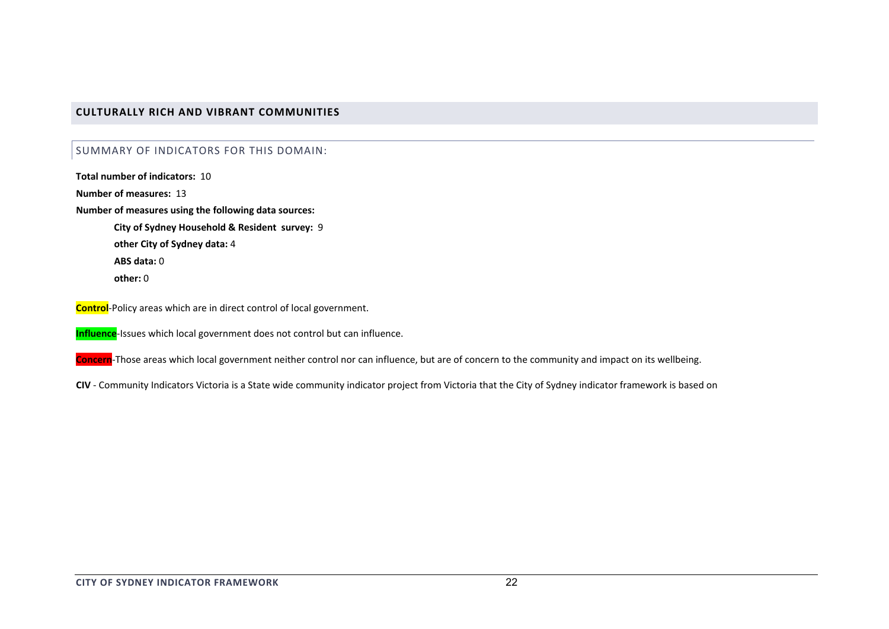### **CULTURALLY RICH AND VIBRANT COMMUNITIES**

#### SUMMARY OF INDICATORS FOR THIS DOMAIN:

**Total number of indicators:** 10

**Number of measures:** 13

**Number of measures using the following data sources:**

**City of Sydney Household & Resident survey:** 9 **other City of Sydney data:** 4 **ABS data:** 0**other:** 0

**Control**‐Policy areas which are in direct control of local government.

**Influence**‐Issues which local government does not control but can influence.

**Concern**‐Those areas which local government neither control nor can influence, but are of concern to the community and impact on its wellbeing.

**CIV** ‐ Community Indicators Victoria is <sup>a</sup> State wide community indicator project from Victoria that the City of Sydney indicator framework is based on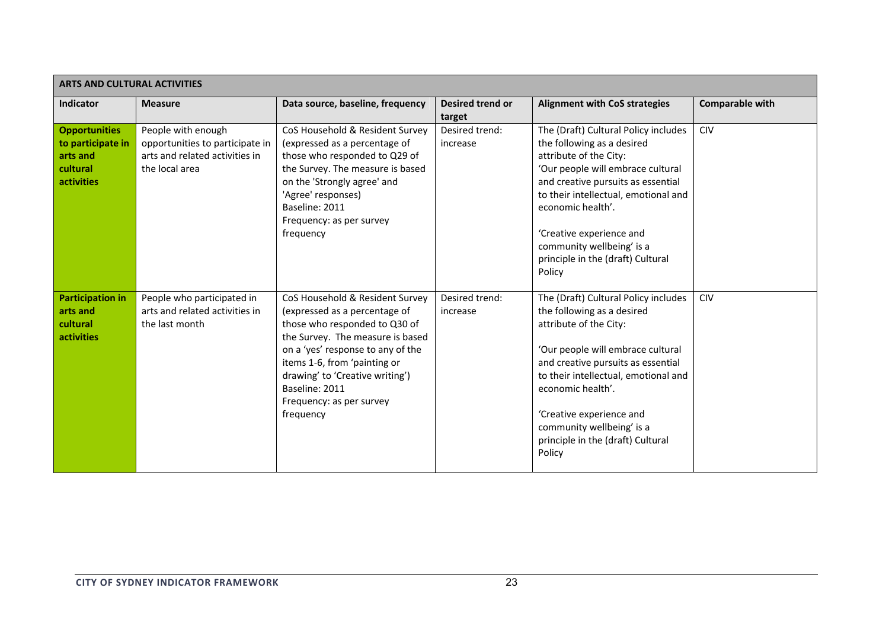| <b>ARTS AND CULTURAL ACTIVITIES</b> |                                 |                                   |                  |                                      |                        |  |  |
|-------------------------------------|---------------------------------|-----------------------------------|------------------|--------------------------------------|------------------------|--|--|
| Indicator                           | <b>Measure</b>                  | Data source, baseline, frequency  | Desired trend or | <b>Alignment with CoS strategies</b> | <b>Comparable with</b> |  |  |
|                                     |                                 |                                   | target           |                                      |                        |  |  |
| <b>Opportunities</b>                | People with enough              | CoS Household & Resident Survey   | Desired trend:   | The (Draft) Cultural Policy includes | <b>CIV</b>             |  |  |
| to participate in                   | opportunities to participate in | (expressed as a percentage of     | increase         | the following as a desired           |                        |  |  |
| arts and                            | arts and related activities in  | those who responded to Q29 of     |                  | attribute of the City:               |                        |  |  |
| cultural                            | the local area                  | the Survey. The measure is based  |                  | 'Our people will embrace cultural    |                        |  |  |
| <b>activities</b>                   |                                 | on the 'Strongly agree' and       |                  | and creative pursuits as essential   |                        |  |  |
|                                     |                                 | 'Agree' responses)                |                  | to their intellectual, emotional and |                        |  |  |
|                                     |                                 | Baseline: 2011                    |                  | economic health'.                    |                        |  |  |
|                                     |                                 | Frequency: as per survey          |                  |                                      |                        |  |  |
|                                     |                                 | frequency                         |                  | 'Creative experience and             |                        |  |  |
|                                     |                                 |                                   |                  | community wellbeing' is a            |                        |  |  |
|                                     |                                 |                                   |                  | principle in the (draft) Cultural    |                        |  |  |
|                                     |                                 |                                   |                  | Policy                               |                        |  |  |
|                                     |                                 |                                   |                  |                                      |                        |  |  |
| <b>Participation in</b>             | People who participated in      | CoS Household & Resident Survey   | Desired trend:   | The (Draft) Cultural Policy includes | <b>CIV</b>             |  |  |
| arts and                            | arts and related activities in  | (expressed as a percentage of     | increase         | the following as a desired           |                        |  |  |
| cultural                            | the last month                  | those who responded to Q30 of     |                  | attribute of the City:               |                        |  |  |
| activities                          |                                 | the Survey. The measure is based  |                  |                                      |                        |  |  |
|                                     |                                 | on a 'yes' response to any of the |                  | 'Our people will embrace cultural    |                        |  |  |
|                                     |                                 | items 1-6, from 'painting or      |                  | and creative pursuits as essential   |                        |  |  |
|                                     |                                 | drawing' to 'Creative writing')   |                  | to their intellectual, emotional and |                        |  |  |
|                                     |                                 | Baseline: 2011                    |                  | economic health'.                    |                        |  |  |
|                                     |                                 | Frequency: as per survey          |                  |                                      |                        |  |  |
|                                     |                                 | frequency                         |                  | 'Creative experience and             |                        |  |  |
|                                     |                                 |                                   |                  | community wellbeing' is a            |                        |  |  |
|                                     |                                 |                                   |                  | principle in the (draft) Cultural    |                        |  |  |
|                                     |                                 |                                   |                  | Policy                               |                        |  |  |
|                                     |                                 |                                   |                  |                                      |                        |  |  |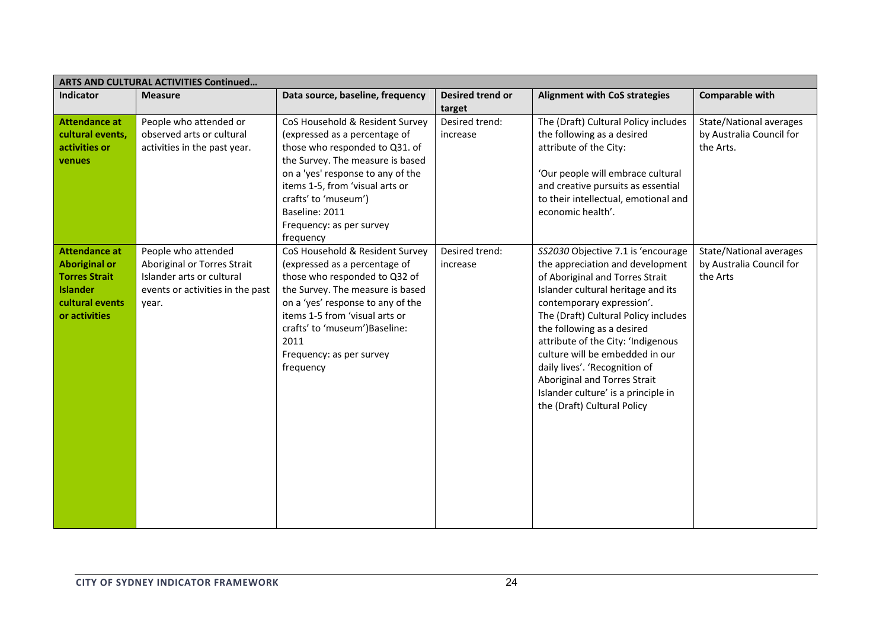| ARTS AND CULTURAL ACTIVITIES Continued                                                                                      |                                                                                                                              |                                                                                                                                                                                                                                                                                                   |                            |                                                                                                                                                                                                                                                                                                                                                                                                                                                                    |                                                                         |  |  |
|-----------------------------------------------------------------------------------------------------------------------------|------------------------------------------------------------------------------------------------------------------------------|---------------------------------------------------------------------------------------------------------------------------------------------------------------------------------------------------------------------------------------------------------------------------------------------------|----------------------------|--------------------------------------------------------------------------------------------------------------------------------------------------------------------------------------------------------------------------------------------------------------------------------------------------------------------------------------------------------------------------------------------------------------------------------------------------------------------|-------------------------------------------------------------------------|--|--|
| Indicator                                                                                                                   | <b>Measure</b>                                                                                                               | Data source, baseline, frequency                                                                                                                                                                                                                                                                  | Desired trend or<br>target | <b>Alignment with CoS strategies</b>                                                                                                                                                                                                                                                                                                                                                                                                                               | <b>Comparable with</b>                                                  |  |  |
| <b>Attendance at</b><br>cultural events,<br>activities or<br>venues                                                         | People who attended or<br>observed arts or cultural<br>activities in the past year.                                          | CoS Household & Resident Survey<br>(expressed as a percentage of<br>those who responded to Q31. of<br>the Survey. The measure is based<br>on a 'yes' response to any of the<br>items 1-5, from 'visual arts or<br>crafts' to 'museum')<br>Baseline: 2011<br>Frequency: as per survey<br>frequency | Desired trend:<br>increase | The (Draft) Cultural Policy includes<br>the following as a desired<br>attribute of the City:<br>'Our people will embrace cultural<br>and creative pursuits as essential<br>to their intellectual, emotional and<br>economic health'.                                                                                                                                                                                                                               | <b>State/National averages</b><br>by Australia Council for<br>the Arts. |  |  |
| <b>Attendance at</b><br><b>Aboriginal or</b><br><b>Torres Strait</b><br><b>Islander</b><br>cultural events<br>or activities | People who attended<br>Aboriginal or Torres Strait<br>Islander arts or cultural<br>events or activities in the past<br>year. | CoS Household & Resident Survey<br>(expressed as a percentage of<br>those who responded to Q32 of<br>the Survey. The measure is based<br>on a 'yes' response to any of the<br>items 1-5 from 'visual arts or<br>crafts' to 'museum') Baseline:<br>2011<br>Frequency: as per survey<br>frequency   | Desired trend:<br>increase | SS2030 Objective 7.1 is 'encourage<br>the appreciation and development<br>of Aboriginal and Torres Strait<br>Islander cultural heritage and its<br>contemporary expression'.<br>The (Draft) Cultural Policy includes<br>the following as a desired<br>attribute of the City: 'Indigenous<br>culture will be embedded in our<br>daily lives'. 'Recognition of<br>Aboriginal and Torres Strait<br>Islander culture' is a principle in<br>the (Draft) Cultural Policy | State/National averages<br>by Australia Council for<br>the Arts         |  |  |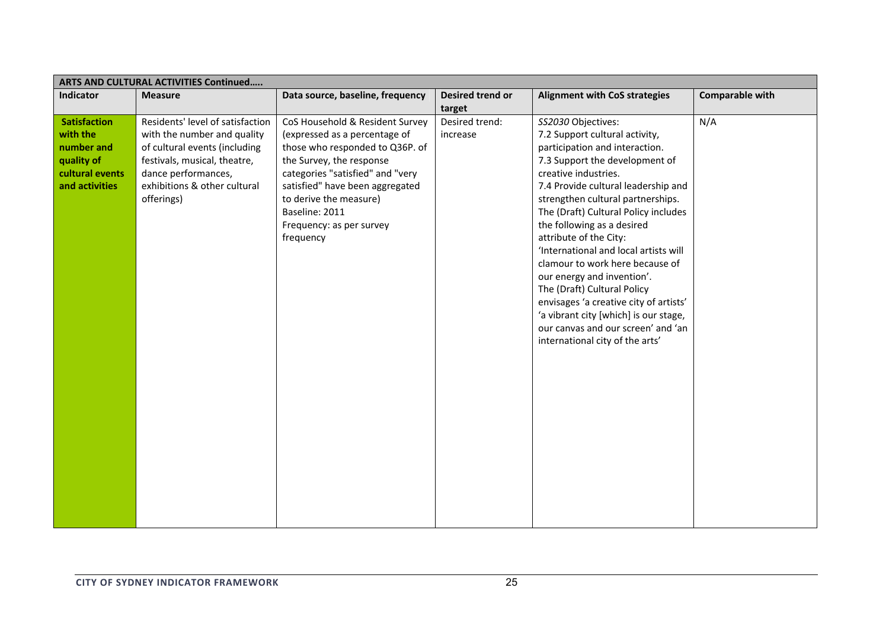| <b>ARTS AND CULTURAL ACTIVITIES Continued</b>                                                    |                                                                                                                                                                                                       |                                                                                                                                                                                                                                                                                             |                            |                                                                                                                                                                                                                                                                                                                                                                                                                                                                                                                                                                                                                                   |                 |  |
|--------------------------------------------------------------------------------------------------|-------------------------------------------------------------------------------------------------------------------------------------------------------------------------------------------------------|---------------------------------------------------------------------------------------------------------------------------------------------------------------------------------------------------------------------------------------------------------------------------------------------|----------------------------|-----------------------------------------------------------------------------------------------------------------------------------------------------------------------------------------------------------------------------------------------------------------------------------------------------------------------------------------------------------------------------------------------------------------------------------------------------------------------------------------------------------------------------------------------------------------------------------------------------------------------------------|-----------------|--|
| <b>Indicator</b>                                                                                 | <b>Measure</b>                                                                                                                                                                                        | Data source, baseline, frequency                                                                                                                                                                                                                                                            | Desired trend or<br>target | <b>Alignment with CoS strategies</b>                                                                                                                                                                                                                                                                                                                                                                                                                                                                                                                                                                                              | Comparable with |  |
| <b>Satisfaction</b><br>with the<br>number and<br>quality of<br>cultural events<br>and activities | Residents' level of satisfaction<br>with the number and quality<br>of cultural events (including<br>festivals, musical, theatre,<br>dance performances,<br>exhibitions & other cultural<br>offerings) | CoS Household & Resident Survey<br>(expressed as a percentage of<br>those who responded to Q36P. of<br>the Survey, the response<br>categories "satisfied" and "very<br>satisfied" have been aggregated<br>to derive the measure)<br>Baseline: 2011<br>Frequency: as per survey<br>frequency | Desired trend:<br>increase | SS2030 Objectives:<br>7.2 Support cultural activity,<br>participation and interaction.<br>7.3 Support the development of<br>creative industries.<br>7.4 Provide cultural leadership and<br>strengthen cultural partnerships.<br>The (Draft) Cultural Policy includes<br>the following as a desired<br>attribute of the City:<br>'International and local artists will<br>clamour to work here because of<br>our energy and invention'.<br>The (Draft) Cultural Policy<br>envisages 'a creative city of artists'<br>'a vibrant city [which] is our stage,<br>our canvas and our screen' and 'an<br>international city of the arts' | N/A             |  |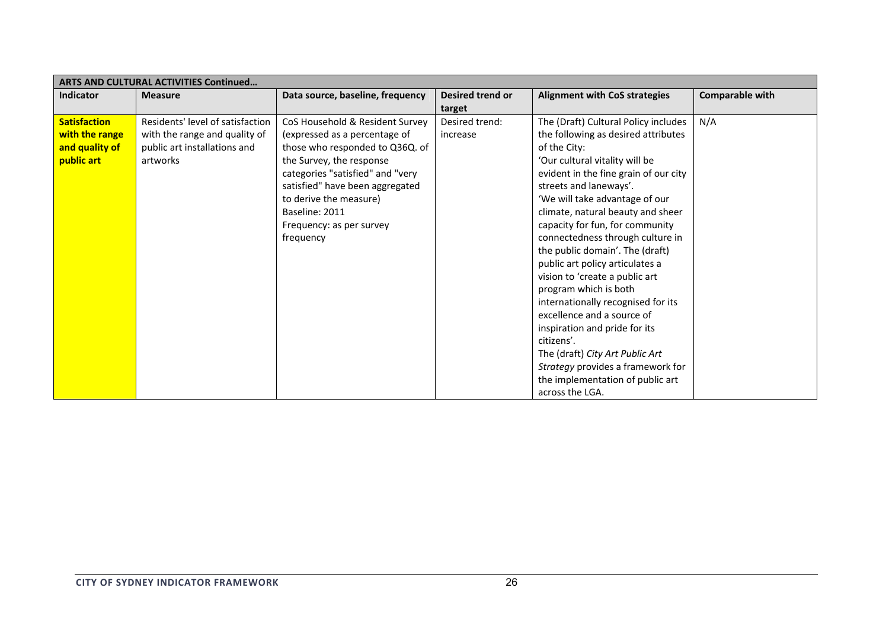| <b>ARTS AND CULTURAL ACTIVITIES Continued</b>                         |                                                                                                               |                                                                                                                                                                                                                                                                                             |                                   |                                                                                                                                                                                                                                                                                                                                                                                                                                                                                                                                                                                                                                                                                                                                   |                 |  |  |
|-----------------------------------------------------------------------|---------------------------------------------------------------------------------------------------------------|---------------------------------------------------------------------------------------------------------------------------------------------------------------------------------------------------------------------------------------------------------------------------------------------|-----------------------------------|-----------------------------------------------------------------------------------------------------------------------------------------------------------------------------------------------------------------------------------------------------------------------------------------------------------------------------------------------------------------------------------------------------------------------------------------------------------------------------------------------------------------------------------------------------------------------------------------------------------------------------------------------------------------------------------------------------------------------------------|-----------------|--|--|
| Indicator                                                             | <b>Measure</b>                                                                                                | Data source, baseline, frequency                                                                                                                                                                                                                                                            | <b>Desired trend or</b><br>target | <b>Alignment with CoS strategies</b>                                                                                                                                                                                                                                                                                                                                                                                                                                                                                                                                                                                                                                                                                              | Comparable with |  |  |
| <b>Satisfaction</b><br>with the range<br>and quality of<br>public art | Residents' level of satisfaction<br>with the range and quality of<br>public art installations and<br>artworks | CoS Household & Resident Survey<br>(expressed as a percentage of<br>those who responded to Q36Q. of<br>the Survey, the response<br>categories "satisfied" and "very<br>satisfied" have been aggregated<br>to derive the measure)<br>Baseline: 2011<br>Frequency: as per survey<br>frequency | Desired trend:<br>increase        | The (Draft) Cultural Policy includes<br>the following as desired attributes<br>of the City:<br>'Our cultural vitality will be<br>evident in the fine grain of our city<br>streets and laneways'.<br>'We will take advantage of our<br>climate, natural beauty and sheer<br>capacity for fun, for community<br>connectedness through culture in<br>the public domain'. The (draft)<br>public art policy articulates a<br>vision to 'create a public art<br>program which is both<br>internationally recognised for its<br>excellence and a source of<br>inspiration and pride for its<br>citizens'.<br>The (draft) City Art Public Art<br>Strategy provides a framework for<br>the implementation of public art<br>across the LGA. | N/A             |  |  |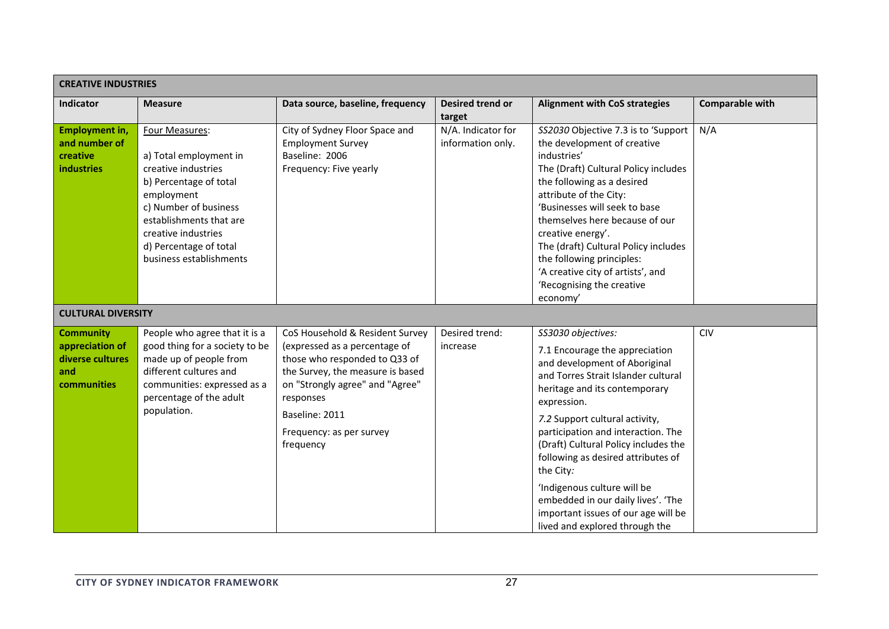| <b>CREATIVE INDUSTRIES</b>                                                    |                                                                                                                                                                                                                                         |                                                                                                                                                                                                                                                  |                                         |                                                                                                                                                                                                                                                                                                                                                                                                                                                                                               |                        |  |  |
|-------------------------------------------------------------------------------|-----------------------------------------------------------------------------------------------------------------------------------------------------------------------------------------------------------------------------------------|--------------------------------------------------------------------------------------------------------------------------------------------------------------------------------------------------------------------------------------------------|-----------------------------------------|-----------------------------------------------------------------------------------------------------------------------------------------------------------------------------------------------------------------------------------------------------------------------------------------------------------------------------------------------------------------------------------------------------------------------------------------------------------------------------------------------|------------------------|--|--|
| Indicator                                                                     | <b>Measure</b>                                                                                                                                                                                                                          | Data source, baseline, frequency                                                                                                                                                                                                                 | <b>Desired trend or</b><br>target       | <b>Alignment with CoS strategies</b>                                                                                                                                                                                                                                                                                                                                                                                                                                                          | <b>Comparable with</b> |  |  |
| <b>Employment in,</b><br>and number of<br>creative<br>industries              | Four Measures:<br>a) Total employment in<br>creative industries<br>b) Percentage of total<br>employment<br>c) Number of business<br>establishments that are<br>creative industries<br>d) Percentage of total<br>business establishments | City of Sydney Floor Space and<br><b>Employment Survey</b><br>Baseline: 2006<br>Frequency: Five yearly                                                                                                                                           | N/A. Indicator for<br>information only. | SS2030 Objective 7.3 is to 'Support<br>the development of creative<br>industries'<br>The (Draft) Cultural Policy includes<br>the following as a desired<br>attribute of the City:<br>'Businesses will seek to base<br>themselves here because of our<br>creative energy'.<br>The (draft) Cultural Policy includes<br>the following principles:<br>'A creative city of artists', and<br>'Recognising the creative<br>economy'                                                                  | N/A                    |  |  |
| <b>CULTURAL DIVERSITY</b>                                                     |                                                                                                                                                                                                                                         |                                                                                                                                                                                                                                                  |                                         |                                                                                                                                                                                                                                                                                                                                                                                                                                                                                               |                        |  |  |
| <b>Community</b><br>appreciation of<br>diverse cultures<br>and<br>communities | People who agree that it is a<br>good thing for a society to be<br>made up of people from<br>different cultures and<br>communities: expressed as a<br>percentage of the adult<br>population.                                            | CoS Household & Resident Survey<br>(expressed as a percentage of<br>those who responded to Q33 of<br>the Survey, the measure is based<br>on "Strongly agree" and "Agree"<br>responses<br>Baseline: 2011<br>Frequency: as per survey<br>frequency | Desired trend:<br>increase              | SS3030 objectives:<br>7.1 Encourage the appreciation<br>and development of Aboriginal<br>and Torres Strait Islander cultural<br>heritage and its contemporary<br>expression.<br>7.2 Support cultural activity,<br>participation and interaction. The<br>(Draft) Cultural Policy includes the<br>following as desired attributes of<br>the City:<br>'Indigenous culture will be<br>embedded in our daily lives'. 'The<br>important issues of our age will be<br>lived and explored through the | <b>CIV</b>             |  |  |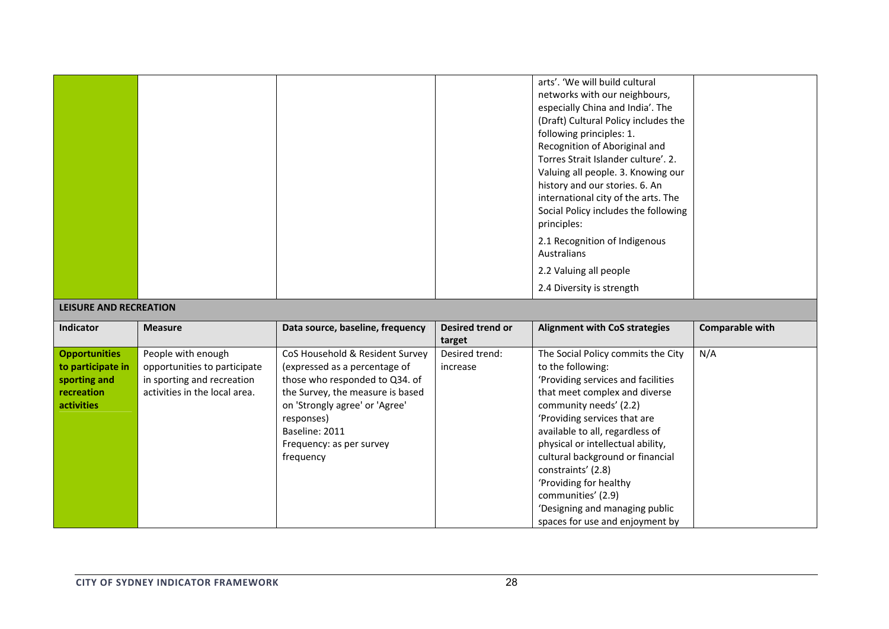| <b>LEISURE AND RECREATION</b> |                |                                  |                            | arts'. 'We will build cultural<br>networks with our neighbours,<br>especially China and India'. The<br>(Draft) Cultural Policy includes the<br>following principles: 1.<br>Recognition of Aboriginal and<br>Torres Strait Islander culture'. 2.<br>Valuing all people. 3. Knowing our<br>history and our stories. 6. An<br>international city of the arts. The<br>Social Policy includes the following<br>principles:<br>2.1 Recognition of Indigenous<br>Australians<br>2.2 Valuing all people<br>2.4 Diversity is strength |                        |
|-------------------------------|----------------|----------------------------------|----------------------------|------------------------------------------------------------------------------------------------------------------------------------------------------------------------------------------------------------------------------------------------------------------------------------------------------------------------------------------------------------------------------------------------------------------------------------------------------------------------------------------------------------------------------|------------------------|
|                               |                |                                  |                            |                                                                                                                                                                                                                                                                                                                                                                                                                                                                                                                              |                        |
|                               |                |                                  |                            |                                                                                                                                                                                                                                                                                                                                                                                                                                                                                                                              |                        |
| <b>Indicator</b>              | <b>Measure</b> | Data source, baseline, frequency | Desired trend or<br>target | <b>Alignment with CoS strategies</b>                                                                                                                                                                                                                                                                                                                                                                                                                                                                                         | <b>Comparable with</b> |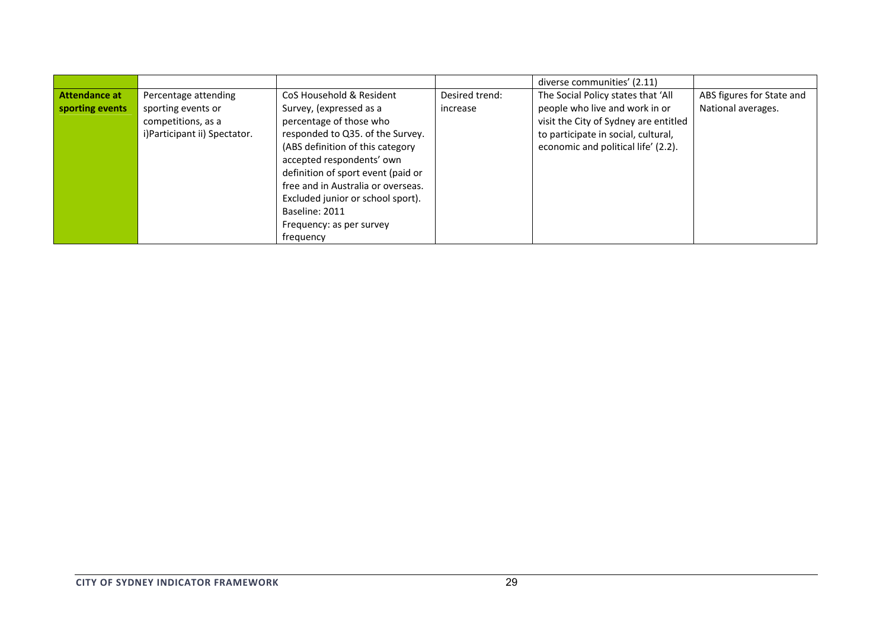|                 |                              |                                    |                | diverse communities' (2.11)           |                           |
|-----------------|------------------------------|------------------------------------|----------------|---------------------------------------|---------------------------|
| Attendance at   | Percentage attending         | CoS Household & Resident           | Desired trend: | The Social Policy states that 'All    | ABS figures for State and |
| sporting events | sporting events or           | Survey, (expressed as a            | increase       | people who live and work in or        | National averages.        |
|                 | competitions, as a           | percentage of those who            |                | visit the City of Sydney are entitled |                           |
|                 | i)Participant ii) Spectator. | responded to Q35. of the Survey.   |                | to participate in social, cultural,   |                           |
|                 |                              | (ABS definition of this category   |                | economic and political life' (2.2).   |                           |
|                 |                              | accepted respondents' own          |                |                                       |                           |
|                 |                              | definition of sport event (paid or |                |                                       |                           |
|                 |                              | free and in Australia or overseas. |                |                                       |                           |
|                 |                              | Excluded junior or school sport).  |                |                                       |                           |
|                 |                              | Baseline: 2011                     |                |                                       |                           |
|                 |                              | Frequency: as per survey           |                |                                       |                           |
|                 |                              | frequency                          |                |                                       |                           |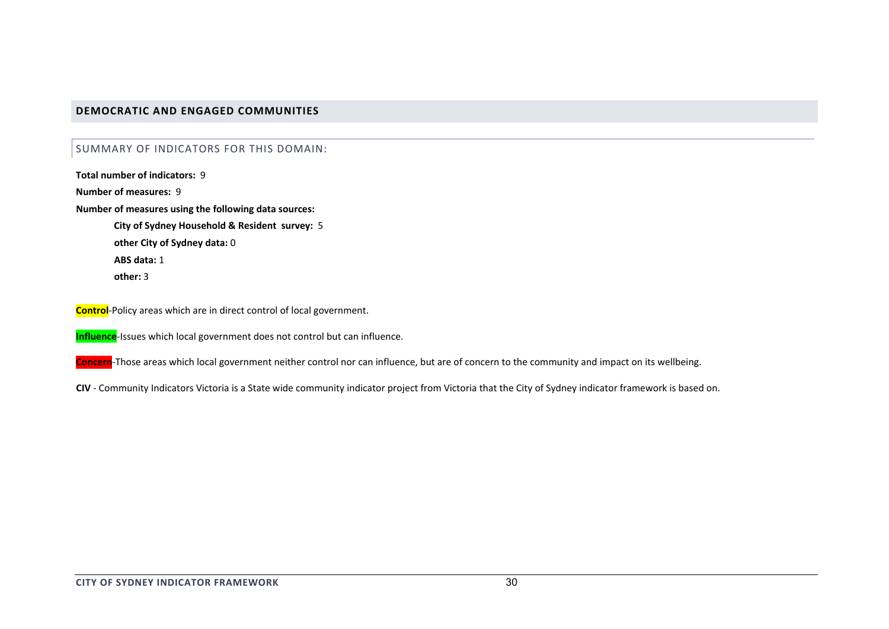## **DEMOCRATIC AND ENGAGED COMMUNITIES**

### SUMMARY OF INDICATORS FOR THIS DOMAIN:

**Total number of indicators:** 9**Number of measures:** 9**Number of measures using the following data sources:**

> **City of Sydney Household & Resident survey:** 5 **other City of Sydney data:** 0 **ABS data:** 1**other:** 3

**Control**‐Policy areas which are in direct control of local government.

**Influence**‐Issues which local government does not control but can influence.

**Concern**‐Those areas which local government neither control nor can influence, but are of concern to the community and impact on its wellbeing.

**CIV** ‐ Community Indicators Victoria is <sup>a</sup> State wide community indicator project from Victoria that the City of Sydney indicator framework is based on.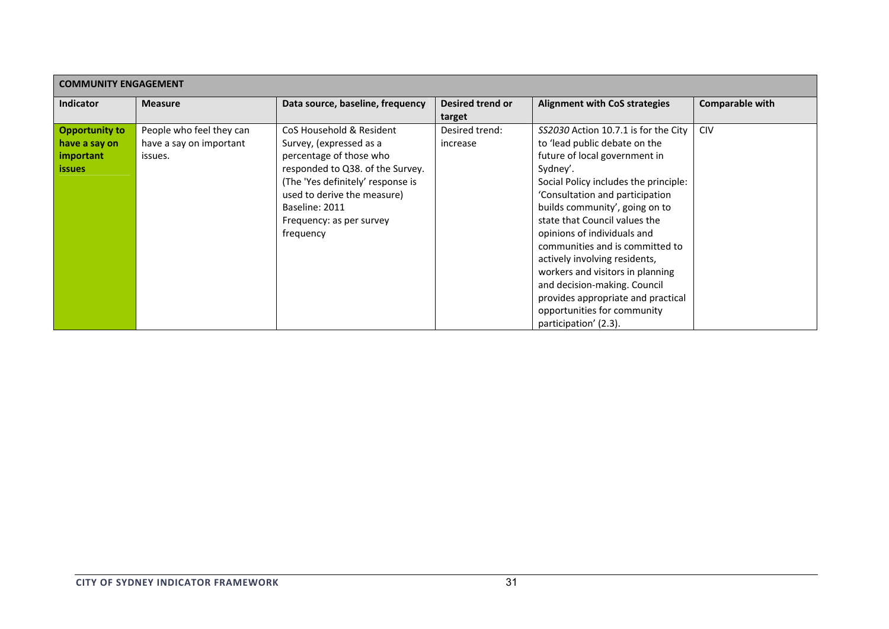| <b>COMMUNITY ENGAGEMENT</b> |                          |                                   |                  |                                       |                        |  |  |  |
|-----------------------------|--------------------------|-----------------------------------|------------------|---------------------------------------|------------------------|--|--|--|
| <b>Indicator</b>            | <b>Measure</b>           | Data source, baseline, frequency  | Desired trend or | <b>Alignment with CoS strategies</b>  | <b>Comparable with</b> |  |  |  |
|                             |                          |                                   | target           |                                       |                        |  |  |  |
| <b>Opportunity to</b>       | People who feel they can | CoS Household & Resident          | Desired trend:   | SS2030 Action 10.7.1 is for the City  | <b>CIV</b>             |  |  |  |
| have a say on               | have a say on important  | Survey, (expressed as a           | increase         | to 'lead public debate on the         |                        |  |  |  |
| important                   | issues.                  | percentage of those who           |                  | future of local government in         |                        |  |  |  |
| <i>issues</i>               |                          | responded to Q38. of the Survey.  |                  | Sydney'.                              |                        |  |  |  |
|                             |                          | (The 'Yes definitely' response is |                  | Social Policy includes the principle: |                        |  |  |  |
|                             |                          | used to derive the measure)       |                  | 'Consultation and participation       |                        |  |  |  |
|                             |                          | Baseline: 2011                    |                  | builds community', going on to        |                        |  |  |  |
|                             |                          | Frequency: as per survey          |                  | state that Council values the         |                        |  |  |  |
|                             |                          | frequency                         |                  | opinions of individuals and           |                        |  |  |  |
|                             |                          |                                   |                  | communities and is committed to       |                        |  |  |  |
|                             |                          |                                   |                  | actively involving residents,         |                        |  |  |  |
|                             |                          |                                   |                  | workers and visitors in planning      |                        |  |  |  |
|                             |                          |                                   |                  | and decision-making. Council          |                        |  |  |  |
|                             |                          |                                   |                  | provides appropriate and practical    |                        |  |  |  |
|                             |                          |                                   |                  | opportunities for community           |                        |  |  |  |
|                             |                          |                                   |                  | participation' (2.3).                 |                        |  |  |  |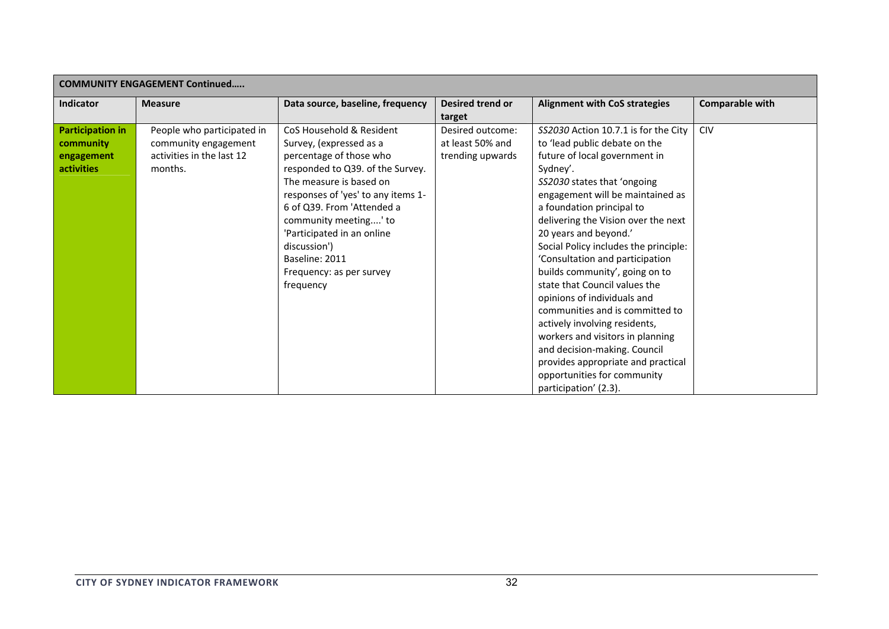| <b>COMMUNITY ENGAGEMENT Continued</b> |                            |                                    |                  |                                       |                 |  |  |
|---------------------------------------|----------------------------|------------------------------------|------------------|---------------------------------------|-----------------|--|--|
| Indicator                             | <b>Measure</b>             | Data source, baseline, frequency   | Desired trend or | <b>Alignment with CoS strategies</b>  | Comparable with |  |  |
|                                       |                            |                                    | target           |                                       |                 |  |  |
| <b>Participation in</b>               | People who participated in | CoS Household & Resident           | Desired outcome: | SS2030 Action 10.7.1 is for the City  | <b>CIV</b>      |  |  |
| community                             | community engagement       | Survey, (expressed as a            | at least 50% and | to 'lead public debate on the         |                 |  |  |
| engagement                            | activities in the last 12  | percentage of those who            | trending upwards | future of local government in         |                 |  |  |
| <b>activities</b>                     | months.                    | responded to Q39. of the Survey.   |                  | Sydney'.                              |                 |  |  |
|                                       |                            | The measure is based on            |                  | SS2030 states that 'ongoing           |                 |  |  |
|                                       |                            | responses of 'yes' to any items 1- |                  | engagement will be maintained as      |                 |  |  |
|                                       |                            | 6 of Q39. From 'Attended a         |                  | a foundation principal to             |                 |  |  |
|                                       |                            | community meeting' to              |                  | delivering the Vision over the next   |                 |  |  |
|                                       |                            | 'Participated in an online         |                  | 20 years and beyond.'                 |                 |  |  |
|                                       |                            | discussion')                       |                  | Social Policy includes the principle: |                 |  |  |
|                                       |                            | Baseline: 2011                     |                  | 'Consultation and participation       |                 |  |  |
|                                       |                            | Frequency: as per survey           |                  | builds community', going on to        |                 |  |  |
|                                       |                            | frequency                          |                  | state that Council values the         |                 |  |  |
|                                       |                            |                                    |                  | opinions of individuals and           |                 |  |  |
|                                       |                            |                                    |                  | communities and is committed to       |                 |  |  |
|                                       |                            |                                    |                  | actively involving residents,         |                 |  |  |
|                                       |                            |                                    |                  | workers and visitors in planning      |                 |  |  |
|                                       |                            |                                    |                  | and decision-making. Council          |                 |  |  |
|                                       |                            |                                    |                  | provides appropriate and practical    |                 |  |  |
|                                       |                            |                                    |                  | opportunities for community           |                 |  |  |
|                                       |                            |                                    |                  | participation' (2.3).                 |                 |  |  |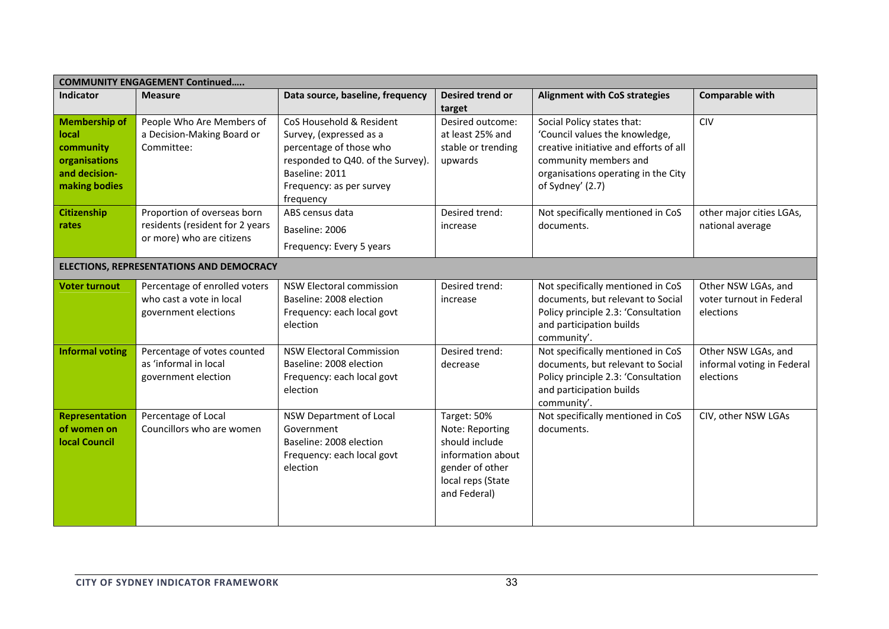| <b>COMMUNITY ENGAGEMENT Continued</b>                                                         |                                                                                             |                                                                                                                                                                                |                                                                                                                               |                                                                                                                                                                                            |                                                                |  |
|-----------------------------------------------------------------------------------------------|---------------------------------------------------------------------------------------------|--------------------------------------------------------------------------------------------------------------------------------------------------------------------------------|-------------------------------------------------------------------------------------------------------------------------------|--------------------------------------------------------------------------------------------------------------------------------------------------------------------------------------------|----------------------------------------------------------------|--|
| Indicator                                                                                     | <b>Measure</b>                                                                              | Data source, baseline, frequency                                                                                                                                               | Desired trend or<br>target                                                                                                    | <b>Alignment with CoS strategies</b>                                                                                                                                                       | <b>Comparable with</b>                                         |  |
| <b>Membership of</b><br>local<br>community<br>organisations<br>and decision-<br>making bodies | People Who Are Members of<br>a Decision-Making Board or<br>Committee:                       | CoS Household & Resident<br>Survey, (expressed as a<br>percentage of those who<br>responded to Q40. of the Survey).<br>Baseline: 2011<br>Frequency: as per survey<br>frequency | Desired outcome:<br>at least 25% and<br>stable or trending<br>upwards                                                         | Social Policy states that:<br>'Council values the knowledge,<br>creative initiative and efforts of all<br>community members and<br>organisations operating in the City<br>of Sydney' (2.7) | CIV                                                            |  |
| Citizenship<br>rates                                                                          | Proportion of overseas born<br>residents (resident for 2 years<br>or more) who are citizens | ABS census data<br>Baseline: 2006<br>Frequency: Every 5 years                                                                                                                  | Desired trend:<br>increase                                                                                                    | Not specifically mentioned in CoS<br>documents.                                                                                                                                            | other major cities LGAs,<br>national average                   |  |
|                                                                                               | ELECTIONS, REPRESENTATIONS AND DEMOCRACY                                                    |                                                                                                                                                                                |                                                                                                                               |                                                                                                                                                                                            |                                                                |  |
| <b>Voter turnout</b>                                                                          | Percentage of enrolled voters<br>who cast a vote in local<br>government elections           | <b>NSW Electoral commission</b><br>Baseline: 2008 election<br>Frequency: each local govt<br>election                                                                           | Desired trend:<br>increase                                                                                                    | Not specifically mentioned in CoS<br>documents, but relevant to Social<br>Policy principle 2.3: 'Consultation<br>and participation builds<br>community'.                                   | Other NSW LGAs, and<br>voter turnout in Federal<br>elections   |  |
| <b>Informal voting</b>                                                                        | Percentage of votes counted<br>as 'informal in local<br>government election                 | <b>NSW Electoral Commission</b><br>Baseline: 2008 election<br>Frequency: each local govt<br>election                                                                           | Desired trend:<br>decrease                                                                                                    | Not specifically mentioned in CoS<br>documents, but relevant to Social<br>Policy principle 2.3: 'Consultation<br>and participation builds<br>community'.                                   | Other NSW LGAs, and<br>informal voting in Federal<br>elections |  |
| <b>Representation</b><br>of women on<br><b>local Council</b>                                  | Percentage of Local<br>Councillors who are women                                            | NSW Department of Local<br>Government<br>Baseline: 2008 election<br>Frequency: each local govt<br>election                                                                     | Target: 50%<br>Note: Reporting<br>should include<br>information about<br>gender of other<br>local reps (State<br>and Federal) | Not specifically mentioned in CoS<br>documents.                                                                                                                                            | CIV, other NSW LGAs                                            |  |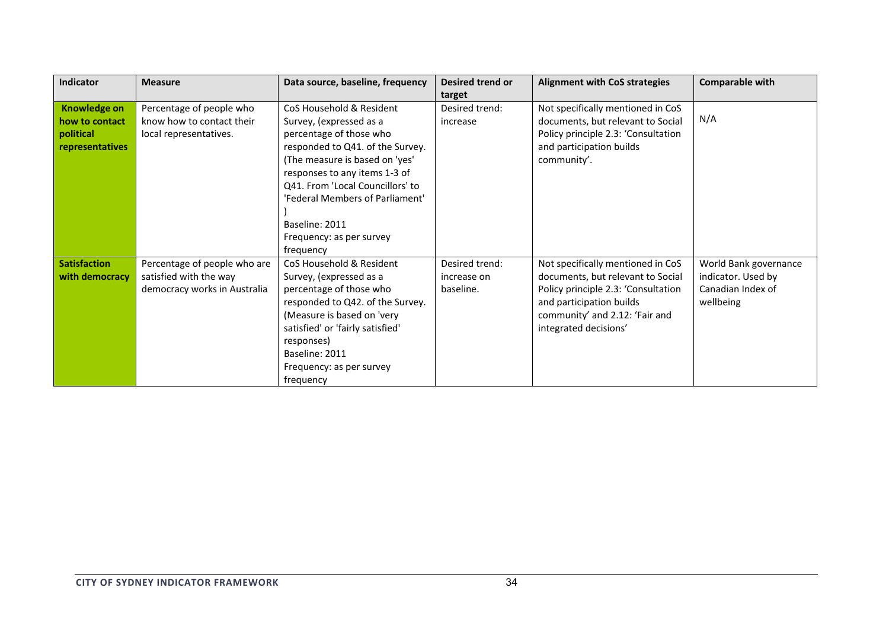| <b>Indicator</b>    | <b>Measure</b>               | Data source, baseline, frequency | <b>Desired trend or</b> | <b>Alignment with CoS strategies</b> | <b>Comparable with</b> |
|---------------------|------------------------------|----------------------------------|-------------------------|--------------------------------------|------------------------|
|                     |                              |                                  | target                  |                                      |                        |
| <b>Knowledge on</b> | Percentage of people who     | CoS Household & Resident         | Desired trend:          | Not specifically mentioned in CoS    |                        |
| how to contact      | know how to contact their    | Survey, (expressed as a          | increase                | documents, but relevant to Social    | N/A                    |
| political           | local representatives.       | percentage of those who          |                         | Policy principle 2.3: 'Consultation  |                        |
| representatives     |                              | responded to Q41. of the Survey. |                         | and participation builds             |                        |
|                     |                              | The measure is based on 'yes'    |                         | community'.                          |                        |
|                     |                              | responses to any items 1-3 of    |                         |                                      |                        |
|                     |                              | Q41. From 'Local Councillors' to |                         |                                      |                        |
|                     |                              | 'Federal Members of Parliament'  |                         |                                      |                        |
|                     |                              |                                  |                         |                                      |                        |
|                     |                              | Baseline: 2011                   |                         |                                      |                        |
|                     |                              | Frequency: as per survey         |                         |                                      |                        |
|                     |                              | frequency                        |                         |                                      |                        |
| <b>Satisfaction</b> | Percentage of people who are | CoS Household & Resident         | Desired trend:          | Not specifically mentioned in CoS    | World Bank governance  |
| with democracy      | satisfied with the way       | Survey, (expressed as a          | increase on             | documents, but relevant to Social    | indicator. Used by     |
|                     | democracy works in Australia | percentage of those who          | baseline.               | Policy principle 2.3: 'Consultation  | Canadian Index of      |
|                     |                              | responded to Q42. of the Survey. |                         | and participation builds             | wellbeing              |
|                     |                              | (Measure is based on 'very       |                         | community' and 2.12: 'Fair and       |                        |
|                     |                              | satisfied' or 'fairly satisfied' |                         | integrated decisions'                |                        |
|                     |                              | responses)                       |                         |                                      |                        |
|                     |                              | Baseline: 2011                   |                         |                                      |                        |
|                     |                              | Frequency: as per survey         |                         |                                      |                        |
|                     |                              | frequency                        |                         |                                      |                        |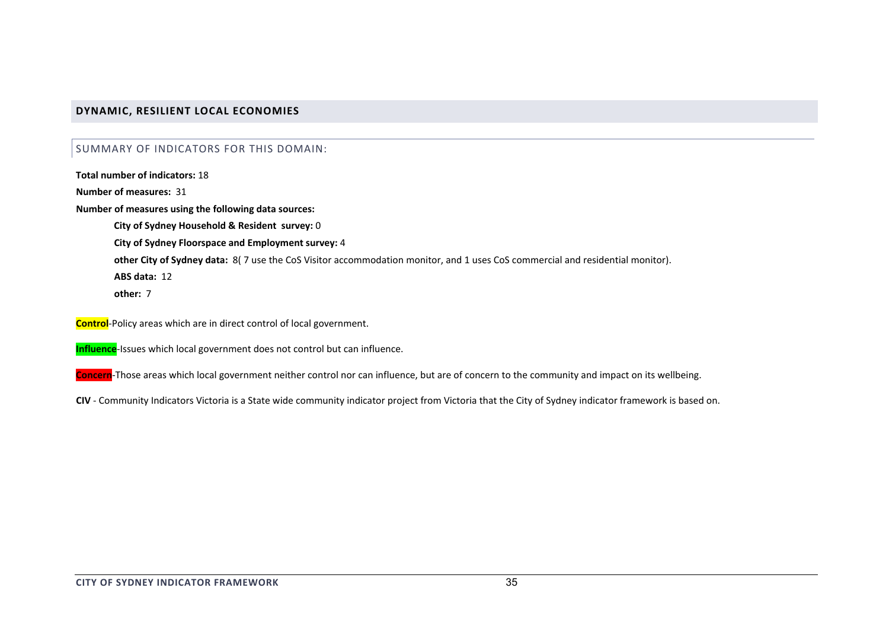# **DYNAMIC, RESILIENT LOCAL ECONOMIES**

## SUMMARY OF INDICATORS FOR THIS DOMAIN:

**Total number of indicators:** 18

**Number of measures:** 31

**Number of measures using the following data sources:**

**City of Sydney Household & Resident survey:** 0

**City of Sydney Floorspace and Employment survey:** 4

**other City of Sydney data:** 8( 7 use the CoS Visitor accommodation monitor, and 1 uses CoS commercial and residential monitor).

**ABS data:** 12

**other:** 7

**Control**‐Policy areas which are in direct control of local government.

**Influence**‐Issues which local government does not control but can influence.

**Concern**‐Those areas which local government neither control nor can influence, but are of concern to the community and impact on its wellbeing.

**CIV** ‐ Community Indicators Victoria is <sup>a</sup> State wide community indicator project from Victoria that the City of Sydney indicator framework is based on.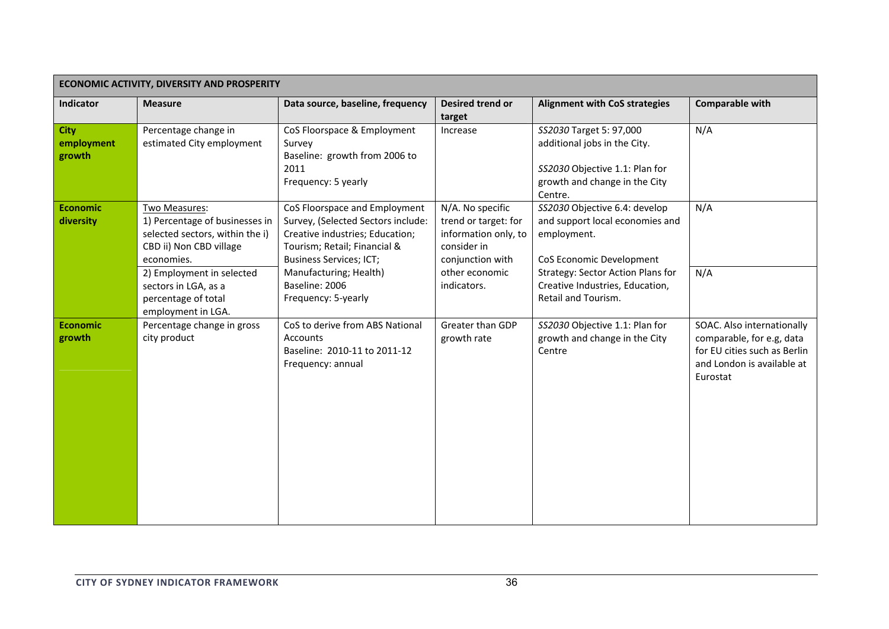| ECONOMIC ACTIVITY, DIVERSITY AND PROSPERITY |                                                                                                                                                                                                                               |                                                                                                                                                                                                                                             |                                                                                                                                      |                                                                                                                                                                                                                   |                                                                                                                                   |  |
|---------------------------------------------|-------------------------------------------------------------------------------------------------------------------------------------------------------------------------------------------------------------------------------|---------------------------------------------------------------------------------------------------------------------------------------------------------------------------------------------------------------------------------------------|--------------------------------------------------------------------------------------------------------------------------------------|-------------------------------------------------------------------------------------------------------------------------------------------------------------------------------------------------------------------|-----------------------------------------------------------------------------------------------------------------------------------|--|
| Indicator                                   | <b>Measure</b>                                                                                                                                                                                                                | Data source, baseline, frequency                                                                                                                                                                                                            | Desired trend or<br>target                                                                                                           | <b>Alignment with CoS strategies</b>                                                                                                                                                                              | <b>Comparable with</b>                                                                                                            |  |
| <b>City</b><br>employment<br>growth         | Percentage change in<br>estimated City employment                                                                                                                                                                             | CoS Floorspace & Employment<br>Survey<br>Baseline: growth from 2006 to<br>2011<br>Frequency: 5 yearly                                                                                                                                       | Increase                                                                                                                             | SS2030 Target 5: 97,000<br>additional jobs in the City.<br>SS2030 Objective 1.1: Plan for<br>growth and change in the City<br>Centre.                                                                             | N/A                                                                                                                               |  |
| <b>Economic</b><br>diversity                | Two Measures:<br>1) Percentage of businesses in<br>selected sectors, within the i)<br>CBD ii) Non CBD village<br>economies.<br>2) Employment in selected<br>sectors in LGA, as a<br>percentage of total<br>employment in LGA. | CoS Floorspace and Employment<br>Survey, (Selected Sectors include:<br>Creative industries; Education;<br>Tourism; Retail; Financial &<br><b>Business Services; ICT;</b><br>Manufacturing; Health)<br>Baseline: 2006<br>Frequency: 5-yearly | N/A. No specific<br>trend or target: for<br>information only, to<br>consider in<br>conjunction with<br>other economic<br>indicators. | SS2030 Objective 6.4: develop<br>and support local economies and<br>employment.<br>CoS Economic Development<br><b>Strategy: Sector Action Plans for</b><br>Creative Industries, Education,<br>Retail and Tourism. | N/A<br>N/A                                                                                                                        |  |
| <b>Economic</b><br>growth                   | Percentage change in gross<br>city product                                                                                                                                                                                    | CoS to derive from ABS National<br>Accounts<br>Baseline: 2010-11 to 2011-12<br>Frequency: annual                                                                                                                                            | Greater than GDP<br>growth rate                                                                                                      | SS2030 Objective 1.1: Plan for<br>growth and change in the City<br>Centre                                                                                                                                         | SOAC. Also internationally<br>comparable, for e.g, data<br>for EU cities such as Berlin<br>and London is available at<br>Eurostat |  |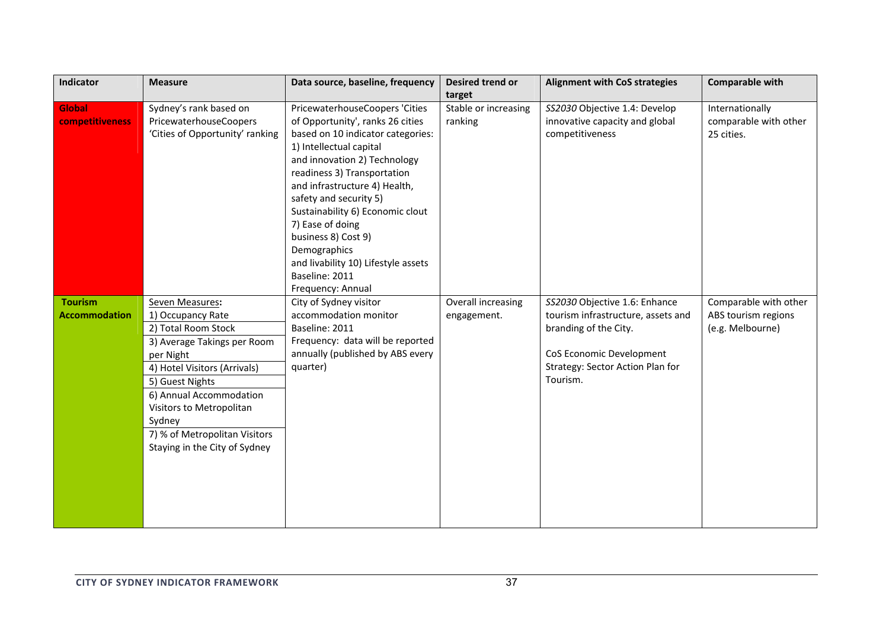| Indicator                              | <b>Measure</b>                                                                                                                                                                                                                                                                                | Data source, baseline, frequency                                                                                                                                                                                                                                                                                                                                                                                     | Desired trend or<br>target        | <b>Alignment with CoS strategies</b>                                                                                                                                     | Comparable with                                                  |
|----------------------------------------|-----------------------------------------------------------------------------------------------------------------------------------------------------------------------------------------------------------------------------------------------------------------------------------------------|----------------------------------------------------------------------------------------------------------------------------------------------------------------------------------------------------------------------------------------------------------------------------------------------------------------------------------------------------------------------------------------------------------------------|-----------------------------------|--------------------------------------------------------------------------------------------------------------------------------------------------------------------------|------------------------------------------------------------------|
| Global<br>competitiveness              | Sydney's rank based on<br>PricewaterhouseCoopers<br>'Cities of Opportunity' ranking                                                                                                                                                                                                           | PricewaterhouseCoopers 'Cities<br>of Opportunity', ranks 26 cities<br>based on 10 indicator categories:<br>1) Intellectual capital<br>and innovation 2) Technology<br>readiness 3) Transportation<br>and infrastructure 4) Health,<br>safety and security 5)<br>Sustainability 6) Economic clout<br>7) Ease of doing<br>business 8) Cost 9)<br>Demographics<br>and livability 10) Lifestyle assets<br>Baseline: 2011 | Stable or increasing<br>ranking   | SS2030 Objective 1.4: Develop<br>innovative capacity and global<br>competitiveness                                                                                       | Internationally<br>comparable with other<br>25 cities.           |
| <b>Tourism</b><br><b>Accommodation</b> | Seven Measures:<br>1) Occupancy Rate<br>2) Total Room Stock<br>3) Average Takings per Room<br>per Night<br>4) Hotel Visitors (Arrivals)<br>5) Guest Nights<br>6) Annual Accommodation<br>Visitors to Metropolitan<br>Sydney<br>7) % of Metropolitan Visitors<br>Staying in the City of Sydney | Frequency: Annual<br>City of Sydney visitor<br>accommodation monitor<br>Baseline: 2011<br>Frequency: data will be reported<br>annually (published by ABS every<br>quarter)                                                                                                                                                                                                                                           | Overall increasing<br>engagement. | SS2030 Objective 1.6: Enhance<br>tourism infrastructure, assets and<br>branding of the City.<br>CoS Economic Development<br>Strategy: Sector Action Plan for<br>Tourism. | Comparable with other<br>ABS tourism regions<br>(e.g. Melbourne) |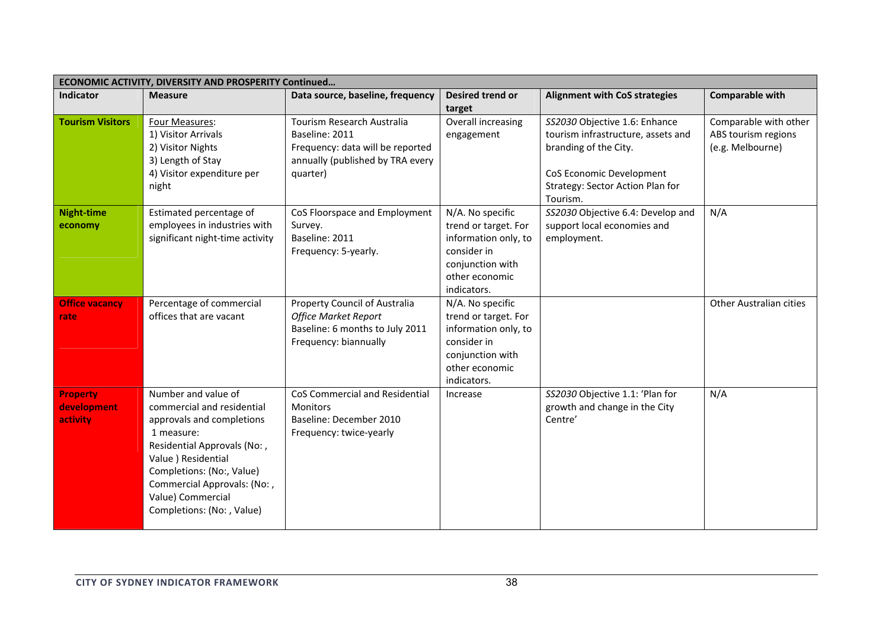| <b>ECONOMIC ACTIVITY, DIVERSITY AND PROSPERITY Continued</b> |                                                                                                                                                                                                                                                                   |                                                                                                                                  |                                                                                                                                      |                                                                                                                                                                          |                                                                  |  |
|--------------------------------------------------------------|-------------------------------------------------------------------------------------------------------------------------------------------------------------------------------------------------------------------------------------------------------------------|----------------------------------------------------------------------------------------------------------------------------------|--------------------------------------------------------------------------------------------------------------------------------------|--------------------------------------------------------------------------------------------------------------------------------------------------------------------------|------------------------------------------------------------------|--|
| <b>Indicator</b>                                             | <b>Measure</b>                                                                                                                                                                                                                                                    | Data source, baseline, frequency                                                                                                 | Desired trend or<br>target                                                                                                           | <b>Alignment with CoS strategies</b>                                                                                                                                     | <b>Comparable with</b>                                           |  |
| <b>Tourism Visitors</b>                                      | Four Measures:<br>1) Visitor Arrivals<br>2) Visitor Nights<br>3) Length of Stay<br>4) Visitor expenditure per<br>night                                                                                                                                            | Tourism Research Australia<br>Baseline: 2011<br>Frequency: data will be reported<br>annually (published by TRA every<br>quarter) | Overall increasing<br>engagement                                                                                                     | SS2030 Objective 1.6: Enhance<br>tourism infrastructure, assets and<br>branding of the City.<br>CoS Economic Development<br>Strategy: Sector Action Plan for<br>Tourism. | Comparable with other<br>ABS tourism regions<br>(e.g. Melbourne) |  |
| <b>Night-time</b><br>economy                                 | Estimated percentage of<br>employees in industries with<br>significant night-time activity                                                                                                                                                                        | CoS Floorspace and Employment<br>Survey.<br>Baseline: 2011<br>Frequency: 5-yearly.                                               | N/A. No specific<br>trend or target. For<br>information only, to<br>consider in<br>conjunction with<br>other economic<br>indicators. | SS2030 Objective 6.4: Develop and<br>support local economies and<br>employment.                                                                                          | N/A                                                              |  |
| <b>Office vacancy</b><br>rate                                | Percentage of commercial<br>offices that are vacant                                                                                                                                                                                                               | Property Council of Australia<br><b>Office Market Report</b><br>Baseline: 6 months to July 2011<br>Frequency: biannually         | N/A. No specific<br>trend or target. For<br>information only, to<br>consider in<br>conjunction with<br>other economic<br>indicators. |                                                                                                                                                                          | Other Australian cities                                          |  |
| <b>Property</b><br>development<br>activity                   | Number and value of<br>commercial and residential<br>approvals and completions<br>1 measure:<br>Residential Approvals (No:,<br>Value ) Residential<br>Completions: (No:, Value)<br>Commercial Approvals: (No:,<br>Value) Commercial<br>Completions: (No: , Value) | CoS Commercial and Residential<br><b>Monitors</b><br>Baseline: December 2010<br>Frequency: twice-yearly                          | Increase                                                                                                                             | SS2030 Objective 1.1: 'Plan for<br>growth and change in the City<br>Centre'                                                                                              | N/A                                                              |  |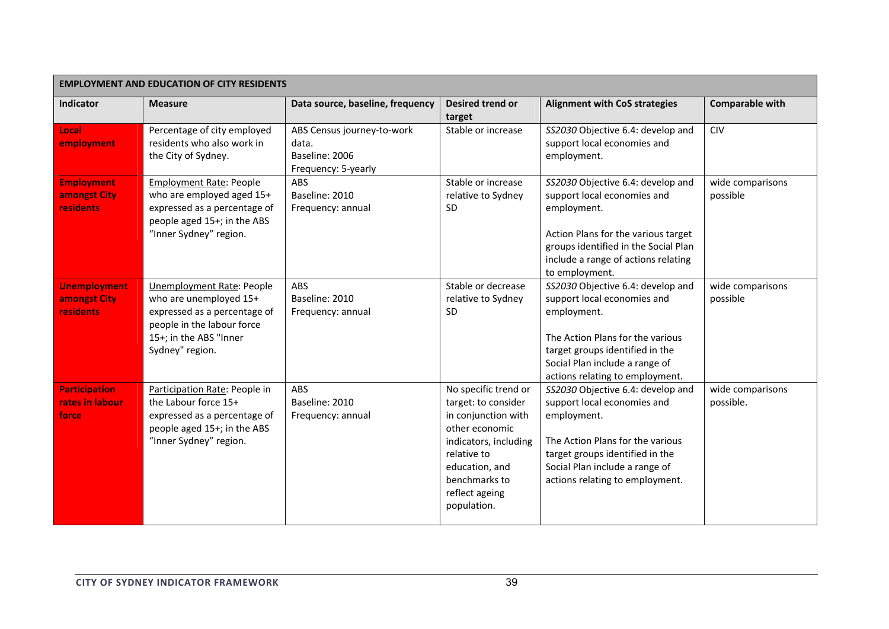| <b>EMPLOYMENT AND EDUCATION OF CITY RESIDENTS</b>       |                                                                                                                                                                       |                                                                              |                                                                                                                                                                                                  |                                                                                                                                                                                                                             |                               |  |
|---------------------------------------------------------|-----------------------------------------------------------------------------------------------------------------------------------------------------------------------|------------------------------------------------------------------------------|--------------------------------------------------------------------------------------------------------------------------------------------------------------------------------------------------|-----------------------------------------------------------------------------------------------------------------------------------------------------------------------------------------------------------------------------|-------------------------------|--|
| Indicator                                               | <b>Measure</b>                                                                                                                                                        | Data source, baseline, frequency                                             | Desired trend or<br>target                                                                                                                                                                       | <b>Alignment with CoS strategies</b>                                                                                                                                                                                        | <b>Comparable with</b>        |  |
| Local<br>employment                                     | Percentage of city employed<br>residents who also work in<br>the City of Sydney.                                                                                      | ABS Census journey-to-work<br>data.<br>Baseline: 2006<br>Frequency: 5-yearly | Stable or increase                                                                                                                                                                               | SS2030 Objective 6.4: develop and<br>support local economies and<br>employment.                                                                                                                                             | CIV                           |  |
| <b>Employment</b><br>amongst City<br>residents          | <b>Employment Rate: People</b><br>who are employed aged 15+<br>expressed as a percentage of<br>people aged 15+; in the ABS<br>"Inner Sydney" region.                  | ABS<br>Baseline: 2010<br>Frequency: annual                                   | Stable or increase<br>relative to Sydney<br><b>SD</b>                                                                                                                                            | SS2030 Objective 6.4: develop and<br>support local economies and<br>employment.<br>Action Plans for the various target<br>groups identified in the Social Plan<br>include a range of actions relating<br>to employment.     | wide comparisons<br>possible  |  |
| <b>Unemployment</b><br>amongst City<br><b>residents</b> | <b>Unemployment Rate: People</b><br>who are unemployed 15+<br>expressed as a percentage of<br>people in the labour force<br>15+; in the ABS "Inner<br>Sydney" region. | <b>ABS</b><br>Baseline: 2010<br>Frequency: annual                            | Stable or decrease<br>relative to Sydney<br>SD                                                                                                                                                   | SS2030 Objective 6.4: develop and<br>support local economies and<br>employment.<br>The Action Plans for the various<br>target groups identified in the<br>Social Plan include a range of<br>actions relating to employment. | wide comparisons<br>possible  |  |
| <b>Participation</b><br>rates in labour<br>force        | Participation Rate: People in<br>the Labour force 15+<br>expressed as a percentage of<br>people aged 15+; in the ABS<br>"Inner Sydney" region.                        | <b>ABS</b><br>Baseline: 2010<br>Frequency: annual                            | No specific trend or<br>target: to consider<br>in conjunction with<br>other economic<br>indicators, including<br>relative to<br>education, and<br>benchmarks to<br>reflect ageing<br>population. | SS2030 Objective 6.4: develop and<br>support local economies and<br>employment.<br>The Action Plans for the various<br>target groups identified in the<br>Social Plan include a range of<br>actions relating to employment. | wide comparisons<br>possible. |  |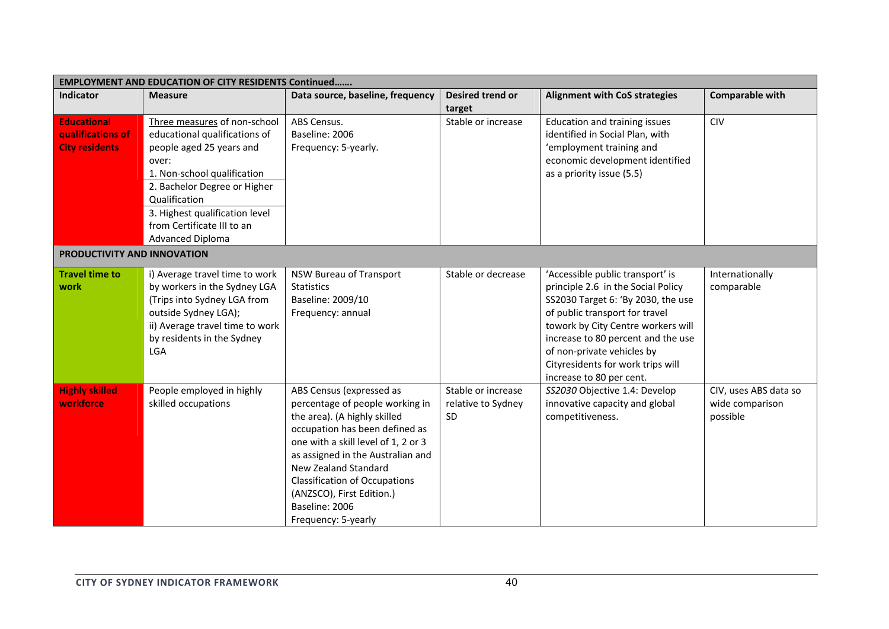| <b>EMPLOYMENT AND EDUCATION OF CITY RESIDENTS Continued</b>      |                                                                                                                                                                                                                                                                               |                                                                                                                                                                                                                                                                                                                                                 |                                                       |                                                                                                                                                                                                                                                                                                                           |                                                      |  |
|------------------------------------------------------------------|-------------------------------------------------------------------------------------------------------------------------------------------------------------------------------------------------------------------------------------------------------------------------------|-------------------------------------------------------------------------------------------------------------------------------------------------------------------------------------------------------------------------------------------------------------------------------------------------------------------------------------------------|-------------------------------------------------------|---------------------------------------------------------------------------------------------------------------------------------------------------------------------------------------------------------------------------------------------------------------------------------------------------------------------------|------------------------------------------------------|--|
| <b>Indicator</b>                                                 | <b>Measure</b>                                                                                                                                                                                                                                                                | Data source, baseline, frequency                                                                                                                                                                                                                                                                                                                | <b>Desired trend or</b><br>target                     | <b>Alignment with CoS strategies</b>                                                                                                                                                                                                                                                                                      | <b>Comparable with</b>                               |  |
| <b>Educational</b><br>qualifications of<br><b>City residents</b> | Three measures of non-school<br>educational qualifications of<br>people aged 25 years and<br>over:<br>1. Non-school qualification<br>2. Bachelor Degree or Higher<br>Qualification<br>3. Highest qualification level<br>from Certificate III to an<br><b>Advanced Diploma</b> | ABS Census.<br>Baseline: 2006<br>Frequency: 5-yearly.                                                                                                                                                                                                                                                                                           | Stable or increase                                    | Education and training issues<br>identified in Social Plan, with<br>'employment training and<br>economic development identified<br>as a priority issue (5.5)                                                                                                                                                              | <b>CIV</b>                                           |  |
| PRODUCTIVITY AND INNOVATION                                      |                                                                                                                                                                                                                                                                               |                                                                                                                                                                                                                                                                                                                                                 |                                                       |                                                                                                                                                                                                                                                                                                                           |                                                      |  |
| <b>Travel time to</b><br>work                                    | i) Average travel time to work<br>by workers in the Sydney LGA<br>(Trips into Sydney LGA from<br>outside Sydney LGA);<br>ii) Average travel time to work<br>by residents in the Sydney<br><b>LGA</b>                                                                          | NSW Bureau of Transport<br><b>Statistics</b><br>Baseline: 2009/10<br>Frequency: annual                                                                                                                                                                                                                                                          | Stable or decrease                                    | 'Accessible public transport' is<br>principle 2.6 in the Social Policy<br>SS2030 Target 6: 'By 2030, the use<br>of public transport for travel<br>towork by City Centre workers will<br>increase to 80 percent and the use<br>of non-private vehicles by<br>Cityresidents for work trips will<br>increase to 80 per cent. | Internationally<br>comparable                        |  |
| <b>Highly skilled</b><br>workforce                               | People employed in highly<br>skilled occupations                                                                                                                                                                                                                              | ABS Census (expressed as<br>percentage of people working in<br>the area). (A highly skilled<br>occupation has been defined as<br>one with a skill level of 1, 2 or 3<br>as assigned in the Australian and<br>New Zealand Standard<br><b>Classification of Occupations</b><br>(ANZSCO), First Edition.)<br>Baseline: 2006<br>Frequency: 5-yearly | Stable or increase<br>relative to Sydney<br><b>SD</b> | SS2030 Objective 1.4: Develop<br>innovative capacity and global<br>competitiveness.                                                                                                                                                                                                                                       | CIV, uses ABS data so<br>wide comparison<br>possible |  |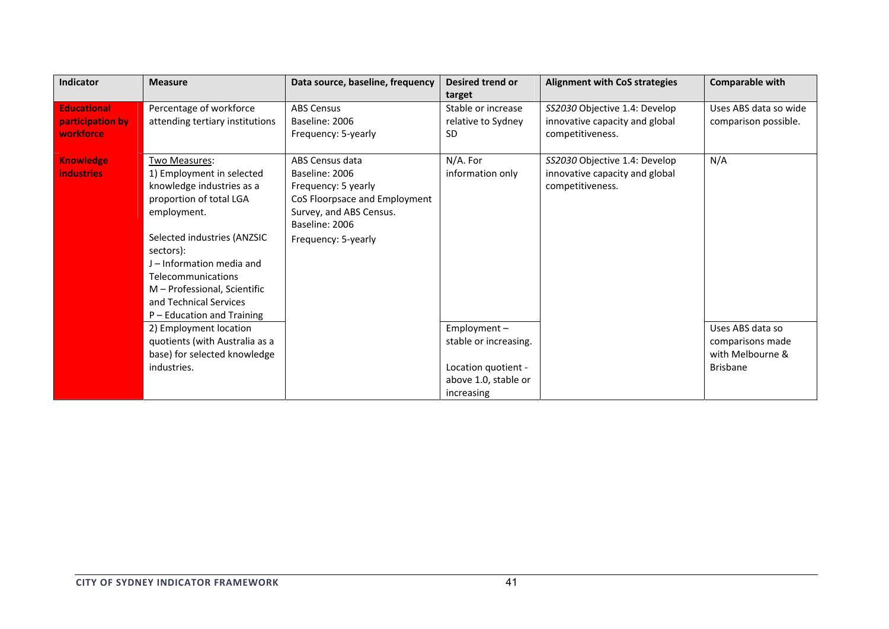| <b>Indicator</b>                                    | <b>Measure</b>                                                                                                                                                                                                                                                                                           | Data source, baseline, frequency                                                                                                                              | <b>Desired trend or</b><br>target                                                                    | <b>Alignment with CoS strategies</b>                                                | <b>Comparable with</b>                                                      |
|-----------------------------------------------------|----------------------------------------------------------------------------------------------------------------------------------------------------------------------------------------------------------------------------------------------------------------------------------------------------------|---------------------------------------------------------------------------------------------------------------------------------------------------------------|------------------------------------------------------------------------------------------------------|-------------------------------------------------------------------------------------|-----------------------------------------------------------------------------|
| <b>Educational</b><br>participation by<br>workforce | Percentage of workforce<br>attending tertiary institutions                                                                                                                                                                                                                                               | <b>ABS Census</b><br>Baseline: 2006<br>Frequency: 5-yearly                                                                                                    | Stable or increase<br>relative to Sydney<br>SD.                                                      | SS2030 Objective 1.4: Develop<br>innovative capacity and global<br>competitiveness. | Uses ABS data so wide<br>comparison possible.                               |
| <b>Knowledge</b><br><b>industries</b>               | Two Measures:<br>1) Employment in selected<br>knowledge industries as a<br>proportion of total LGA<br>employment.<br>Selected industries (ANZSIC<br>sectors):<br>J - Information media and<br>Telecommunications<br>M - Professional, Scientific<br>and Technical Services<br>P - Education and Training | ABS Census data<br>Baseline: 2006<br>Frequency: 5 yearly<br>CoS Floorpsace and Employment<br>Survey, and ABS Census.<br>Baseline: 2006<br>Frequency: 5-yearly | N/A. For<br>information only                                                                         | SS2030 Objective 1.4: Develop<br>innovative capacity and global<br>competitiveness. | N/A                                                                         |
|                                                     | 2) Employment location<br>quotients (with Australia as a<br>base) for selected knowledge<br>industries.                                                                                                                                                                                                  |                                                                                                                                                               | Employment $-$<br>stable or increasing.<br>Location quotient -<br>above 1.0, stable or<br>increasing |                                                                                     | Uses ABS data so<br>comparisons made<br>with Melbourne &<br><b>Brisbane</b> |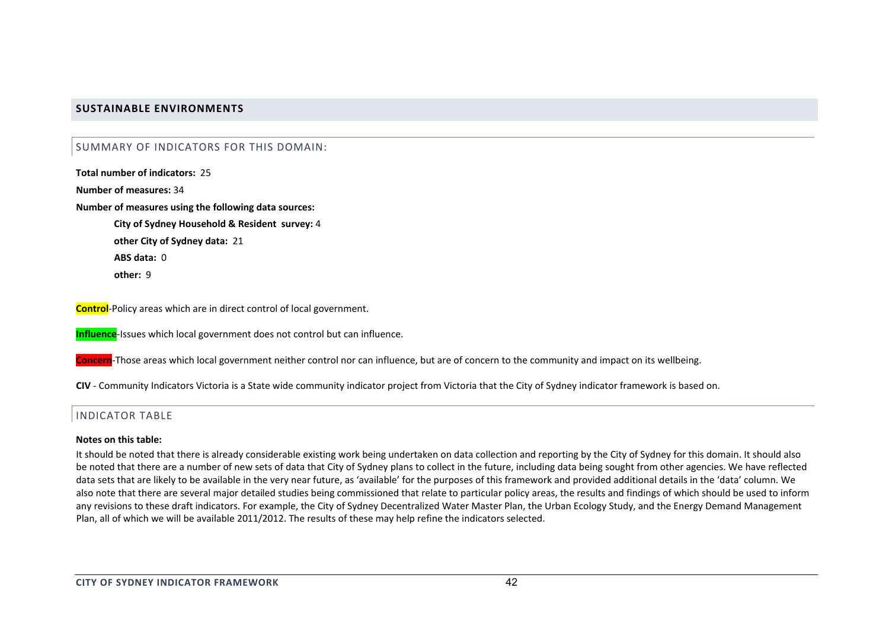## **SUSTAINABLE ENVIRONMENTS**

## SUMMARY OF INDICATORS FOR THIS DOMAIN:

**Total number of indicators:** 25

**Number of measures:** 34

**Number of measures using the following data sources:**

**City of Sydney Household & Resident survey:** 4 **other City of Sydney data:** 21 **ABS data:** 0**other:** 9

**Control**‐Policy areas which are in direct control of local government.

**Influence**‐Issues which local government does not control but can influence.

**Concern**‐Those areas which local government neither control nor can influence, but are of concern to the community and impact on its wellbeing.

**CIV** ‐ Community Indicators Victoria is <sup>a</sup> State wide community indicator project from Victoria that the City of Sydney indicator framework is based on.

# INDICATOR TABLE

#### **Notes on this table:**

It should be noted that there is already considerable existing work being undertaken on data collection and reporting by the City of Sydney for this domain. It should also be noted that there are <sup>a</sup> number of new sets of data that City of Sydney plans to collect in the future, including data being sought from other agencies. We have reflected data sets that are likely to be available in the very near future, as 'available' for the purposes of this framework and provided additional details in the 'data' column. We also note that there are several major detailed studies being commissioned that relate to particular policy areas, the results and findings of which should be used to inform any revisions to these draft indicators. For example, the City of Sydney Decentralized Water Master Plan, the Urban Ecology Study, and the Energy Demand Management Plan, all of which we will be available 2011/2012. The results of these may help refine the indicators selected.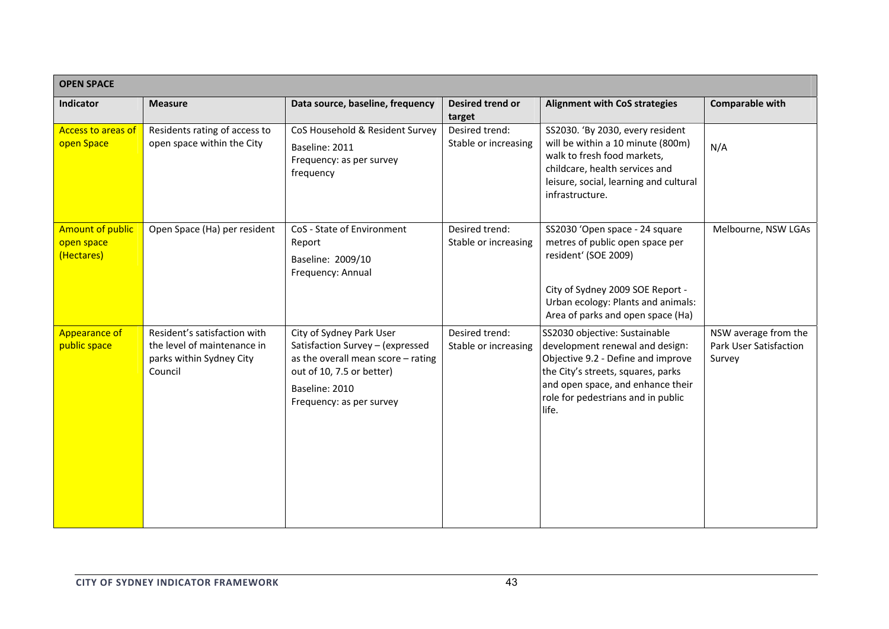| <b>OPEN SPACE</b>                                   |                                                                                                    |                                                                                                                                                                               |                                        |                                                                                                                                                                                                                                  |                                                          |
|-----------------------------------------------------|----------------------------------------------------------------------------------------------------|-------------------------------------------------------------------------------------------------------------------------------------------------------------------------------|----------------------------------------|----------------------------------------------------------------------------------------------------------------------------------------------------------------------------------------------------------------------------------|----------------------------------------------------------|
| Indicator                                           | <b>Measure</b>                                                                                     | Data source, baseline, frequency                                                                                                                                              | Desired trend or<br>target             | <b>Alignment with CoS strategies</b>                                                                                                                                                                                             | Comparable with                                          |
| <b>Access to areas of</b><br>open Space             | Residents rating of access to<br>open space within the City                                        | CoS Household & Resident Survey<br>Baseline: 2011<br>Frequency: as per survey<br>frequency                                                                                    | Desired trend:<br>Stable or increasing | SS2030. 'By 2030, every resident<br>will be within a 10 minute (800m)<br>walk to fresh food markets,<br>childcare, health services and<br>leisure, social, learning and cultural<br>infrastructure.                              | N/A                                                      |
| <b>Amount of public</b><br>open space<br>(Hectares) | Open Space (Ha) per resident                                                                       | CoS - State of Environment<br>Report<br>Baseline: 2009/10<br>Frequency: Annual                                                                                                | Desired trend:<br>Stable or increasing | SS2030 'Open space - 24 square<br>metres of public open space per<br>resident' (SOE 2009)<br>City of Sydney 2009 SOE Report -<br>Urban ecology: Plants and animals:<br>Area of parks and open space (Ha)                         | Melbourne, NSW LGAs                                      |
| <b>Appearance of</b><br>public space                | Resident's satisfaction with<br>the level of maintenance in<br>parks within Sydney City<br>Council | City of Sydney Park User<br>Satisfaction Survey - (expressed<br>as the overall mean score - rating<br>out of 10, 7.5 or better)<br>Baseline: 2010<br>Frequency: as per survey | Desired trend:<br>Stable or increasing | SS2030 objective: Sustainable<br>development renewal and design:<br>Objective 9.2 - Define and improve<br>the City's streets, squares, parks<br>and open space, and enhance their<br>role for pedestrians and in public<br>life. | NSW average from the<br>Park User Satisfaction<br>Survey |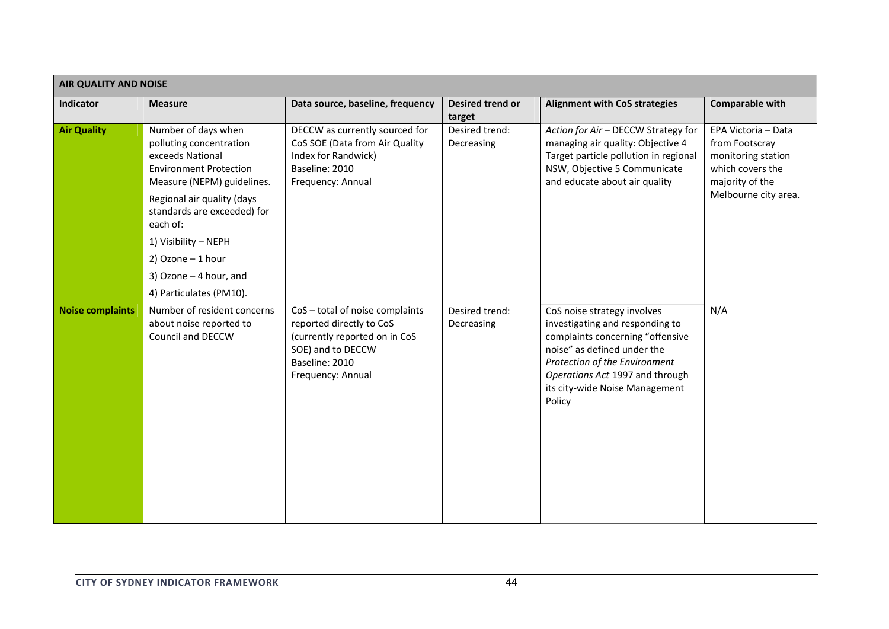| <b>AIR QUALITY AND NOISE</b> |                                                                                                                                   |                                                                                                                                                        |                              |                                                                                                                                                                                                                                                   |                                                                                                                            |  |  |
|------------------------------|-----------------------------------------------------------------------------------------------------------------------------------|--------------------------------------------------------------------------------------------------------------------------------------------------------|------------------------------|---------------------------------------------------------------------------------------------------------------------------------------------------------------------------------------------------------------------------------------------------|----------------------------------------------------------------------------------------------------------------------------|--|--|
| Indicator                    | <b>Measure</b>                                                                                                                    | Data source, baseline, frequency                                                                                                                       | Desired trend or<br>target   | <b>Alignment with CoS strategies</b>                                                                                                                                                                                                              | Comparable with                                                                                                            |  |  |
| <b>Air Quality</b>           | Number of days when<br>polluting concentration<br>exceeds National<br><b>Environment Protection</b><br>Measure (NEPM) guidelines. | DECCW as currently sourced for<br>CoS SOE (Data from Air Quality<br>Index for Randwick)<br>Baseline: 2010<br>Frequency: Annual                         | Desired trend:<br>Decreasing | Action for Air - DECCW Strategy for<br>managing air quality: Objective 4<br>Target particle pollution in regional<br>NSW, Objective 5 Communicate<br>and educate about air quality                                                                | EPA Victoria - Data<br>from Footscray<br>monitoring station<br>which covers the<br>majority of the<br>Melbourne city area. |  |  |
|                              | Regional air quality (days<br>standards are exceeded) for<br>each of:                                                             |                                                                                                                                                        |                              |                                                                                                                                                                                                                                                   |                                                                                                                            |  |  |
|                              | 1) Visibility - NEPH<br>$2)$ Ozone - 1 hour                                                                                       |                                                                                                                                                        |                              |                                                                                                                                                                                                                                                   |                                                                                                                            |  |  |
|                              | 3) Ozone - 4 hour, and                                                                                                            |                                                                                                                                                        |                              |                                                                                                                                                                                                                                                   |                                                                                                                            |  |  |
|                              | 4) Particulates (PM10).                                                                                                           |                                                                                                                                                        |                              |                                                                                                                                                                                                                                                   |                                                                                                                            |  |  |
| <b>Noise complaints</b>      | Number of resident concerns<br>about noise reported to<br>Council and DECCW                                                       | CoS-total of noise complaints<br>reported directly to CoS<br>(currently reported on in CoS<br>SOE) and to DECCW<br>Baseline: 2010<br>Frequency: Annual | Desired trend:<br>Decreasing | CoS noise strategy involves<br>investigating and responding to<br>complaints concerning "offensive<br>noise" as defined under the<br>Protection of the Environment<br>Operations Act 1997 and through<br>its city-wide Noise Management<br>Policy | N/A                                                                                                                        |  |  |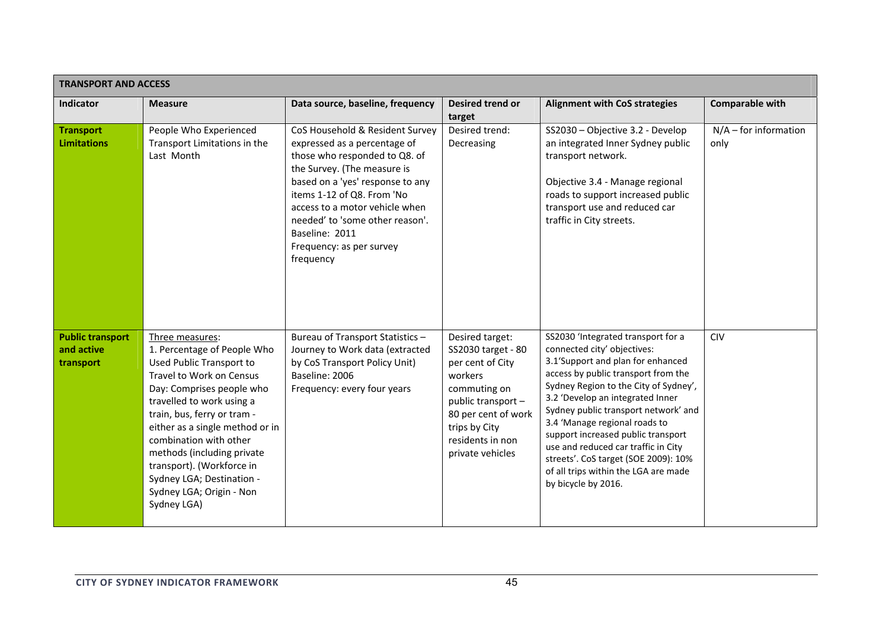|                                                    | <b>TRANSPORT AND ACCESS</b>                                                                                                                                                                                                                                                                                                                                                                            |                                                                                                                                                                                                                                                                                                                                   |                                                                                                                                                                                            |                                                                                                                                                                                                                                                                                                                                                                                                                                                                                         |                                 |  |  |  |
|----------------------------------------------------|--------------------------------------------------------------------------------------------------------------------------------------------------------------------------------------------------------------------------------------------------------------------------------------------------------------------------------------------------------------------------------------------------------|-----------------------------------------------------------------------------------------------------------------------------------------------------------------------------------------------------------------------------------------------------------------------------------------------------------------------------------|--------------------------------------------------------------------------------------------------------------------------------------------------------------------------------------------|-----------------------------------------------------------------------------------------------------------------------------------------------------------------------------------------------------------------------------------------------------------------------------------------------------------------------------------------------------------------------------------------------------------------------------------------------------------------------------------------|---------------------------------|--|--|--|
| Indicator                                          | <b>Measure</b>                                                                                                                                                                                                                                                                                                                                                                                         | Data source, baseline, frequency                                                                                                                                                                                                                                                                                                  | Desired trend or<br>target                                                                                                                                                                 | <b>Alignment with CoS strategies</b>                                                                                                                                                                                                                                                                                                                                                                                                                                                    | Comparable with                 |  |  |  |
| <b>Transport</b><br><b>Limitations</b>             | People Who Experienced<br>Transport Limitations in the<br>Last Month                                                                                                                                                                                                                                                                                                                                   | CoS Household & Resident Survey<br>expressed as a percentage of<br>those who responded to Q8. of<br>the Survey. (The measure is<br>based on a 'yes' response to any<br>items 1-12 of Q8. From 'No<br>access to a motor vehicle when<br>needed' to 'some other reason'.<br>Baseline: 2011<br>Frequency: as per survey<br>frequency | Desired trend:<br>Decreasing                                                                                                                                                               | SS2030 - Objective 3.2 - Develop<br>an integrated Inner Sydney public<br>transport network.<br>Objective 3.4 - Manage regional<br>roads to support increased public<br>transport use and reduced car<br>traffic in City streets.                                                                                                                                                                                                                                                        | $N/A$ – for information<br>only |  |  |  |
| <b>Public transport</b><br>and active<br>transport | Three measures:<br>1. Percentage of People Who<br><b>Used Public Transport to</b><br>Travel to Work on Census<br>Day: Comprises people who<br>travelled to work using a<br>train, bus, ferry or tram -<br>either as a single method or in<br>combination with other<br>methods (including private<br>transport). (Workforce in<br>Sydney LGA; Destination -<br>Sydney LGA; Origin - Non<br>Sydney LGA) | Bureau of Transport Statistics-<br>Journey to Work data (extracted<br>by CoS Transport Policy Unit)<br>Baseline: 2006<br>Frequency: every four years                                                                                                                                                                              | Desired target:<br>SS2030 target - 80<br>per cent of City<br>workers<br>commuting on<br>public transport -<br>80 per cent of work<br>trips by City<br>residents in non<br>private vehicles | SS2030 'Integrated transport for a<br>connected city' objectives:<br>3.1'Support and plan for enhanced<br>access by public transport from the<br>Sydney Region to the City of Sydney',<br>3.2 'Develop an integrated Inner<br>Sydney public transport network' and<br>3.4 'Manage regional roads to<br>support increased public transport<br>use and reduced car traffic in City<br>streets'. CoS target (SOE 2009): 10%<br>of all trips within the LGA are made<br>by bicycle by 2016. | <b>CIV</b>                      |  |  |  |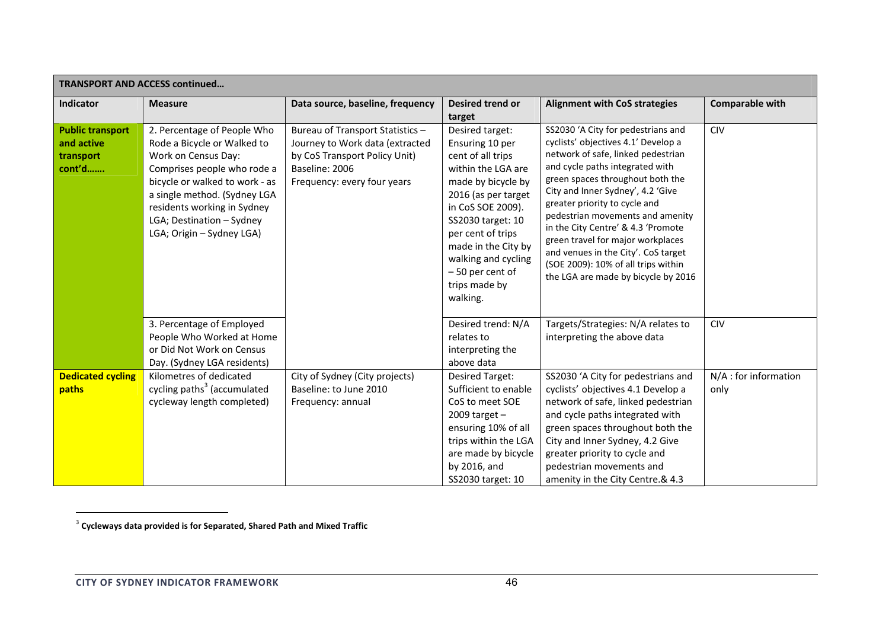| <b>TRANSPORT AND ACCESS continued</b>                        |                                                                                                                                                                                                                                                                             |                                                                                                                                                       |                                                                                                                                                                                                                                                                                         |                                                                                                                                                                                                                                                                                                                                                                                                                                                                                                  |                               |  |  |
|--------------------------------------------------------------|-----------------------------------------------------------------------------------------------------------------------------------------------------------------------------------------------------------------------------------------------------------------------------|-------------------------------------------------------------------------------------------------------------------------------------------------------|-----------------------------------------------------------------------------------------------------------------------------------------------------------------------------------------------------------------------------------------------------------------------------------------|--------------------------------------------------------------------------------------------------------------------------------------------------------------------------------------------------------------------------------------------------------------------------------------------------------------------------------------------------------------------------------------------------------------------------------------------------------------------------------------------------|-------------------------------|--|--|
| <b>Indicator</b>                                             | <b>Measure</b>                                                                                                                                                                                                                                                              | Data source, baseline, frequency                                                                                                                      | <b>Desired trend or</b>                                                                                                                                                                                                                                                                 | <b>Alignment with CoS strategies</b>                                                                                                                                                                                                                                                                                                                                                                                                                                                             | <b>Comparable with</b>        |  |  |
|                                                              |                                                                                                                                                                                                                                                                             |                                                                                                                                                       | target                                                                                                                                                                                                                                                                                  |                                                                                                                                                                                                                                                                                                                                                                                                                                                                                                  |                               |  |  |
| <b>Public transport</b><br>and active<br>transport<br>cont'd | 2. Percentage of People Who<br>Rode a Bicycle or Walked to<br>Work on Census Day:<br>Comprises people who rode a<br>bicycle or walked to work - as<br>a single method. (Sydney LGA<br>residents working in Sydney<br>LGA; Destination - Sydney<br>LGA; Origin - Sydney LGA) | Bureau of Transport Statistics -<br>Journey to Work data (extracted<br>by CoS Transport Policy Unit)<br>Baseline: 2006<br>Frequency: every four years | Desired target:<br>Ensuring 10 per<br>cent of all trips<br>within the LGA are<br>made by bicycle by<br>2016 (as per target<br>in CoS SOE 2009).<br>SS2030 target: 10<br>per cent of trips<br>made in the City by<br>walking and cycling<br>-50 per cent of<br>trips made by<br>walking. | SS2030 'A City for pedestrians and<br>cyclists' objectives 4.1' Develop a<br>network of safe, linked pedestrian<br>and cycle paths integrated with<br>green spaces throughout both the<br>City and Inner Sydney', 4.2 'Give<br>greater priority to cycle and<br>pedestrian movements and amenity<br>in the City Centre' & 4.3 'Promote<br>green travel for major workplaces<br>and venues in the City'. CoS target<br>(SOE 2009): 10% of all trips within<br>the LGA are made by bicycle by 2016 | <b>CIV</b>                    |  |  |
|                                                              | 3. Percentage of Employed<br>People Who Worked at Home<br>or Did Not Work on Census<br>Day. (Sydney LGA residents)                                                                                                                                                          |                                                                                                                                                       | Desired trend: N/A<br>relates to<br>interpreting the<br>above data                                                                                                                                                                                                                      | Targets/Strategies: N/A relates to<br>interpreting the above data                                                                                                                                                                                                                                                                                                                                                                                                                                | <b>CIV</b>                    |  |  |
| <b>Dedicated cycling</b><br>paths                            | Kilometres of dedicated<br>cycling paths <sup>3</sup> (accumulated<br>cycleway length completed)                                                                                                                                                                            | City of Sydney (City projects)<br>Baseline: to June 2010<br>Frequency: annual                                                                         | <b>Desired Target:</b><br>Sufficient to enable<br>CoS to meet SOE<br>2009 target $-$<br>ensuring 10% of all<br>trips within the LGA<br>are made by bicycle<br>by 2016, and<br>SS2030 target: 10                                                                                         | SS2030 'A City for pedestrians and<br>cyclists' objectives 4.1 Develop a<br>network of safe, linked pedestrian<br>and cycle paths integrated with<br>green spaces throughout both the<br>City and Inner Sydney, 4.2 Give<br>greater priority to cycle and<br>pedestrian movements and<br>amenity in the City Centre.& 4.3                                                                                                                                                                        | N/A : for information<br>only |  |  |

<sup>3</sup> **Cycleways data provided is for Separated, Shared Path and Mixed Traffic**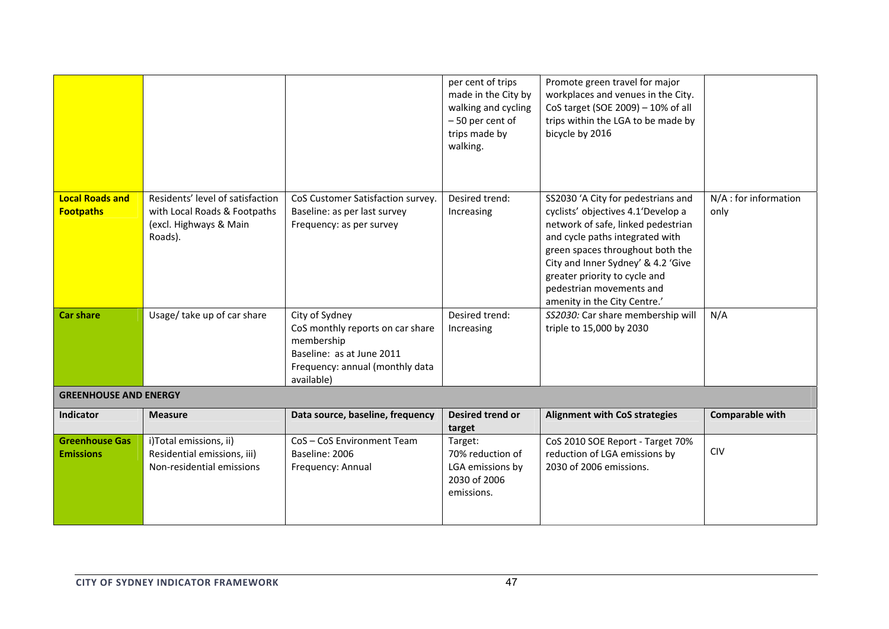|                                            |                                                                                                                                                                                                        |                                                                                                                                                | per cent of trips<br>made in the City by<br>walking and cycling<br>-50 per cent of<br>trips made by<br>walking. | Promote green travel for major<br>workplaces and venues in the City.<br>CoS target (SOE 2009) - 10% of all<br>trips within the LGA to be made by<br>bicycle by 2016                                                                                                                                                      |                               |
|--------------------------------------------|--------------------------------------------------------------------------------------------------------------------------------------------------------------------------------------------------------|------------------------------------------------------------------------------------------------------------------------------------------------|-----------------------------------------------------------------------------------------------------------------|--------------------------------------------------------------------------------------------------------------------------------------------------------------------------------------------------------------------------------------------------------------------------------------------------------------------------|-------------------------------|
| <b>Local Roads and</b><br><b>Footpaths</b> | Residents' level of satisfaction<br>CoS Customer Satisfaction survey.<br>with Local Roads & Footpaths<br>Baseline: as per last survey<br>(excl. Highways & Main<br>Frequency: as per survey<br>Roads). |                                                                                                                                                | Desired trend:<br>Increasing                                                                                    | SS2030 'A City for pedestrians and<br>cyclists' objectives 4.1'Develop a<br>network of safe, linked pedestrian<br>and cycle paths integrated with<br>green spaces throughout both the<br>City and Inner Sydney' & 4.2 'Give<br>greater priority to cycle and<br>pedestrian movements and<br>amenity in the City Centre.' | N/A : for information<br>only |
| <b>Car share</b>                           | Usage/ take up of car share                                                                                                                                                                            | City of Sydney<br>CoS monthly reports on car share<br>membership<br>Baseline: as at June 2011<br>Frequency: annual (monthly data<br>available) | Desired trend:<br>Increasing                                                                                    | SS2030: Car share membership will<br>triple to 15,000 by 2030                                                                                                                                                                                                                                                            | N/A                           |
| <b>GREENHOUSE AND ENERGY</b>               |                                                                                                                                                                                                        |                                                                                                                                                |                                                                                                                 |                                                                                                                                                                                                                                                                                                                          |                               |
| Indicator                                  | <b>Measure</b>                                                                                                                                                                                         | Data source, baseline, frequency                                                                                                               | Desired trend or<br>target                                                                                      | <b>Alignment with CoS strategies</b>                                                                                                                                                                                                                                                                                     | <b>Comparable with</b>        |
| <b>Greenhouse Gas</b><br><b>Emissions</b>  | i)Total emissions, ii)<br>Residential emissions, iii)<br>Non-residential emissions                                                                                                                     | CoS-CoS Environment Team<br>Baseline: 2006<br>Frequency: Annual                                                                                | Target:<br>70% reduction of<br>LGA emissions by<br>2030 of 2006<br>emissions.                                   | CoS 2010 SOE Report - Target 70%<br>reduction of LGA emissions by<br>2030 of 2006 emissions.                                                                                                                                                                                                                             | <b>CIV</b>                    |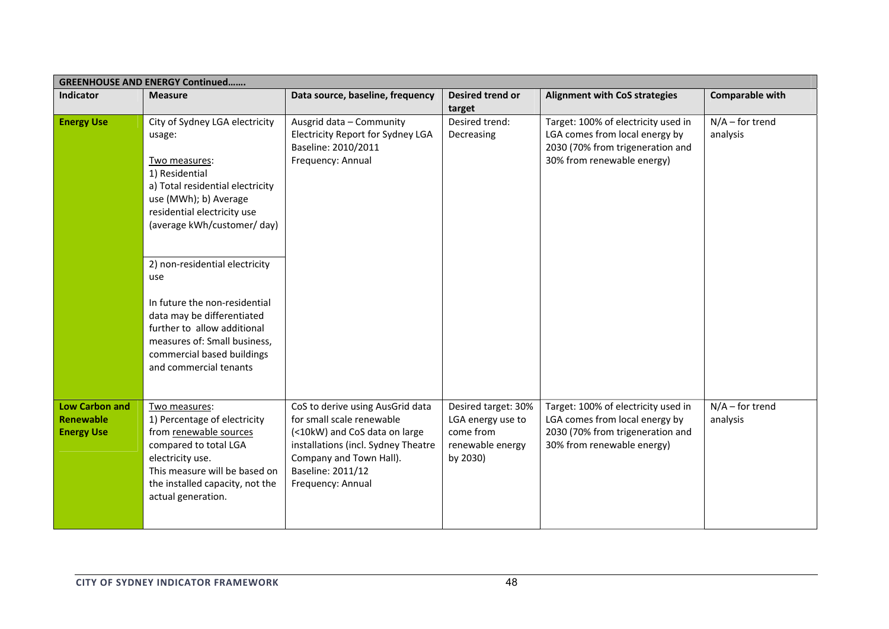| <b>GREENHOUSE AND ENERGY Continued</b>                         |                                                                                                                                                                                                                                                                                                                                                                                                                                       |                                                                                                                                                                                                            |                                                                                       |                                                                                                                                         |                               |  |  |
|----------------------------------------------------------------|---------------------------------------------------------------------------------------------------------------------------------------------------------------------------------------------------------------------------------------------------------------------------------------------------------------------------------------------------------------------------------------------------------------------------------------|------------------------------------------------------------------------------------------------------------------------------------------------------------------------------------------------------------|---------------------------------------------------------------------------------------|-----------------------------------------------------------------------------------------------------------------------------------------|-------------------------------|--|--|
| <b>Indicator</b>                                               | <b>Measure</b>                                                                                                                                                                                                                                                                                                                                                                                                                        | Data source, baseline, frequency                                                                                                                                                                           | Desired trend or<br>target                                                            | <b>Alignment with CoS strategies</b>                                                                                                    | Comparable with               |  |  |
| <b>Energy Use</b>                                              | City of Sydney LGA electricity<br>usage:<br>Two measures:<br>1) Residential<br>a) Total residential electricity<br>use (MWh); b) Average<br>residential electricity use<br>(average kWh/customer/ day)<br>2) non-residential electricity<br>use<br>In future the non-residential<br>data may be differentiated<br>further to allow additional<br>measures of: Small business,<br>commercial based buildings<br>and commercial tenants | Ausgrid data - Community<br>Electricity Report for Sydney LGA<br>Baseline: 2010/2011<br>Frequency: Annual                                                                                                  | Desired trend:<br>Decreasing                                                          | Target: 100% of electricity used in<br>LGA comes from local energy by<br>2030 (70% from trigeneration and<br>30% from renewable energy) | $N/A$ – for trend<br>analysis |  |  |
|                                                                |                                                                                                                                                                                                                                                                                                                                                                                                                                       |                                                                                                                                                                                                            |                                                                                       |                                                                                                                                         |                               |  |  |
| <b>Low Carbon and</b><br><b>Renewable</b><br><b>Energy Use</b> | Two measures:<br>1) Percentage of electricity<br>from renewable sources<br>compared to total LGA<br>electricity use.<br>This measure will be based on<br>the installed capacity, not the<br>actual generation.                                                                                                                                                                                                                        | CoS to derive using AusGrid data<br>for small scale renewable<br>(<10kW) and CoS data on large<br>installations (incl. Sydney Theatre<br>Company and Town Hall).<br>Baseline: 2011/12<br>Frequency: Annual | Desired target: 30%<br>LGA energy use to<br>come from<br>renewable energy<br>by 2030) | Target: 100% of electricity used in<br>LGA comes from local energy by<br>2030 (70% from trigeneration and<br>30% from renewable energy) | $N/A$ – for trend<br>analysis |  |  |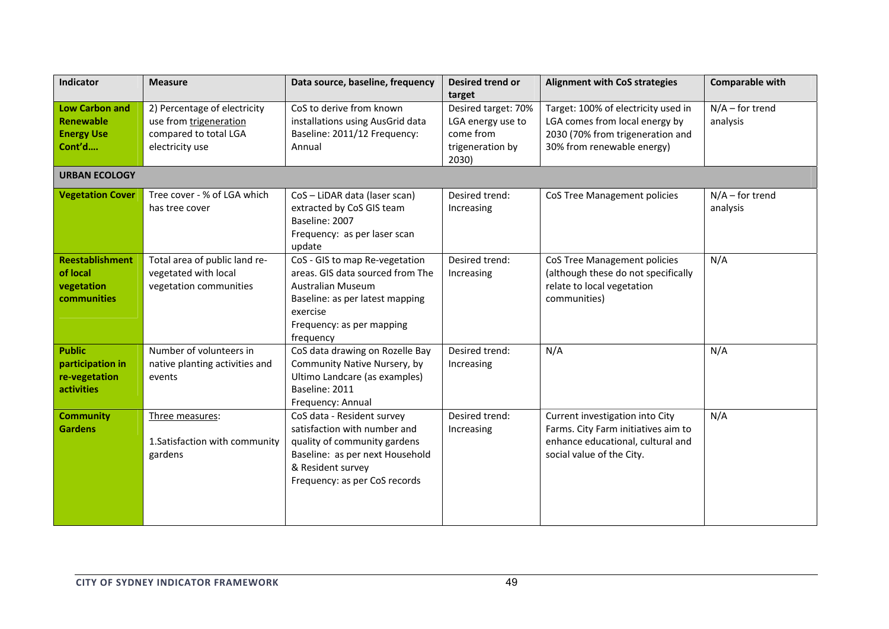| Indicator                                                                | <b>Measure</b>                                                                                     | Data source, baseline, frequency                                                                                                                                                        | Desired trend or<br>target                                                         | <b>Alignment with CoS strategies</b>                                                                                                     | Comparable with               |
|--------------------------------------------------------------------------|----------------------------------------------------------------------------------------------------|-----------------------------------------------------------------------------------------------------------------------------------------------------------------------------------------|------------------------------------------------------------------------------------|------------------------------------------------------------------------------------------------------------------------------------------|-------------------------------|
| <b>Low Carbon and</b><br><b>Renewable</b><br><b>Energy Use</b><br>Cont'd | 2) Percentage of electricity<br>use from trigeneration<br>compared to total LGA<br>electricity use | CoS to derive from known<br>installations using AusGrid data<br>Baseline: 2011/12 Frequency:<br>Annual                                                                                  | Desired target: 70%<br>LGA energy use to<br>come from<br>trigeneration by<br>2030) | Target: 100% of electricity used in<br>LGA comes from local energy by<br>2030 (70% from trigeneration and<br>30% from renewable energy)  | $N/A$ – for trend<br>analysis |
| <b>URBAN ECOLOGY</b>                                                     |                                                                                                    |                                                                                                                                                                                         |                                                                                    |                                                                                                                                          |                               |
| <b>Vegetation Cover</b>                                                  | Tree cover - % of LGA which<br>has tree cover                                                      | CoS - LiDAR data (laser scan)<br>extracted by CoS GIS team<br>Baseline: 2007<br>Frequency: as per laser scan<br>update                                                                  | Desired trend:<br><b>CoS Tree Management policies</b><br>Increasing                |                                                                                                                                          | $N/A$ – for trend<br>analysis |
| <b>Reestablishment</b><br>of local<br>vegetation<br><b>communities</b>   | Total area of public land re-<br>vegetated with local<br>vegetation communities                    | CoS - GIS to map Re-vegetation<br>areas. GIS data sourced from The<br><b>Australian Museum</b><br>Baseline: as per latest mapping<br>exercise<br>Frequency: as per mapping<br>frequency | Desired trend:<br>Increasing                                                       | CoS Tree Management policies<br>(although these do not specifically<br>relate to local vegetation<br>communities)                        | N/A                           |
| <b>Public</b><br>participation in<br>re-vegetation<br>activities         | Number of volunteers in<br>native planting activities and<br>events                                | CoS data drawing on Rozelle Bay<br>Community Native Nursery, by<br>Ultimo Landcare (as examples)<br>Baseline: 2011<br>Frequency: Annual                                                 | Desired trend:<br>Increasing                                                       | N/A                                                                                                                                      | N/A                           |
| <b>Community</b><br><b>Gardens</b>                                       | Three measures:<br>1. Satisfaction with community<br>gardens                                       | CoS data - Resident survey<br>satisfaction with number and<br>quality of community gardens<br>Baseline: as per next Household<br>& Resident survey<br>Frequency: as per CoS records     | Desired trend:<br>Increasing                                                       | Current investigation into City<br>Farms. City Farm initiatives aim to<br>enhance educational, cultural and<br>social value of the City. | N/A                           |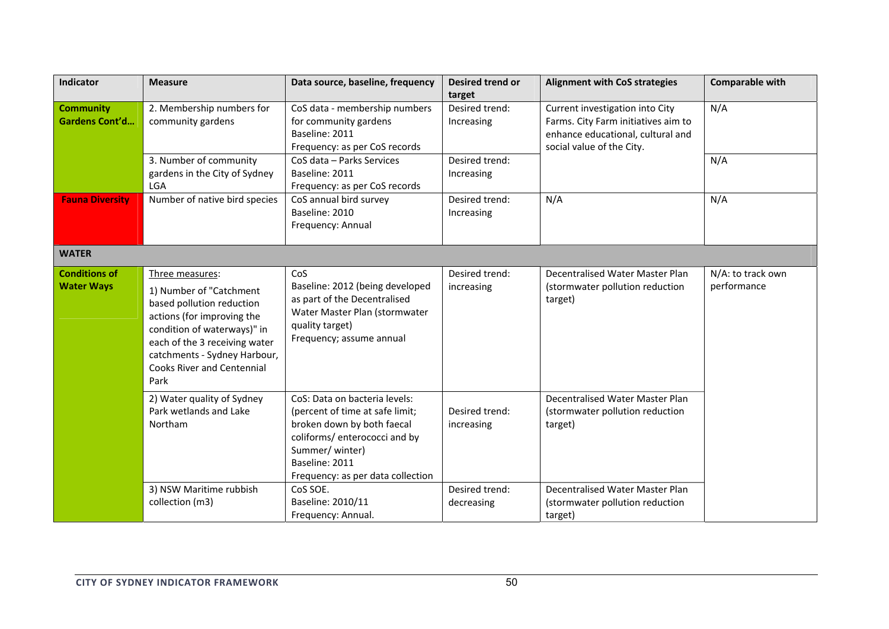| Indicator                                 | <b>Measure</b>                                                                                                                                                                                                                                                               | Desired trend or<br>Data source, baseline, frequency<br>target                                                                                         |                                     | <b>Alignment with CoS strategies</b>                                                                                                     | <b>Comparable with</b>           |
|-------------------------------------------|------------------------------------------------------------------------------------------------------------------------------------------------------------------------------------------------------------------------------------------------------------------------------|--------------------------------------------------------------------------------------------------------------------------------------------------------|-------------------------------------|------------------------------------------------------------------------------------------------------------------------------------------|----------------------------------|
| <b>Community</b><br>Gardens Cont'd        | 2. Membership numbers for<br>community gardens                                                                                                                                                                                                                               | CoS data - membership numbers<br>for community gardens<br>Baseline: 2011<br>Frequency: as per CoS records                                              | Desired trend:<br>Increasing        | Current investigation into City<br>Farms. City Farm initiatives aim to<br>enhance educational, cultural and<br>social value of the City. | N/A                              |
|                                           | 3. Number of community<br>gardens in the City of Sydney<br>LGA                                                                                                                                                                                                               | CoS data - Parks Services<br>Baseline: 2011<br>Frequency: as per CoS records                                                                           | Desired trend:<br>Increasing        |                                                                                                                                          | N/A                              |
| <b>Fauna Diversity</b>                    | Number of native bird species                                                                                                                                                                                                                                                | CoS annual bird survey<br>Baseline: 2010<br>Frequency: Annual                                                                                          | N/A<br>Desired trend:<br>Increasing |                                                                                                                                          | N/A                              |
| <b>WATER</b>                              |                                                                                                                                                                                                                                                                              |                                                                                                                                                        |                                     |                                                                                                                                          |                                  |
| <b>Conditions of</b><br><b>Water Ways</b> | Three measures:<br>1) Number of "Catchment<br>based pollution reduction<br>actions (for improving the<br>condition of waterways)" in<br>each of the 3 receiving water<br>catchments - Sydney Harbour,<br><b>Cooks River and Centennial</b><br>Park                           | CoS<br>Baseline: 2012 (being developed<br>as part of the Decentralised<br>Water Master Plan (stormwater<br>quality target)<br>Frequency; assume annual | Desired trend:<br>increasing        | Decentralised Water Master Plan<br>(stormwater pollution reduction<br>target)                                                            | N/A: to track own<br>performance |
|                                           | 2) Water quality of Sydney<br>CoS: Data on bacteria levels:<br>Park wetlands and Lake<br>(percent of time at safe limit;<br>Northam<br>broken down by both faecal<br>coliforms/ enterococci and by<br>Summer/ winter)<br>Baseline: 2011<br>Frequency: as per data collection |                                                                                                                                                        | Desired trend:<br>increasing        | Decentralised Water Master Plan<br>(stormwater pollution reduction<br>target)                                                            |                                  |
|                                           | 3) NSW Maritime rubbish<br>collection (m3)                                                                                                                                                                                                                                   | CoS SOE.<br>Baseline: 2010/11<br>Frequency: Annual.                                                                                                    | Desired trend:<br>decreasing        | Decentralised Water Master Plan<br>(stormwater pollution reduction<br>target)                                                            |                                  |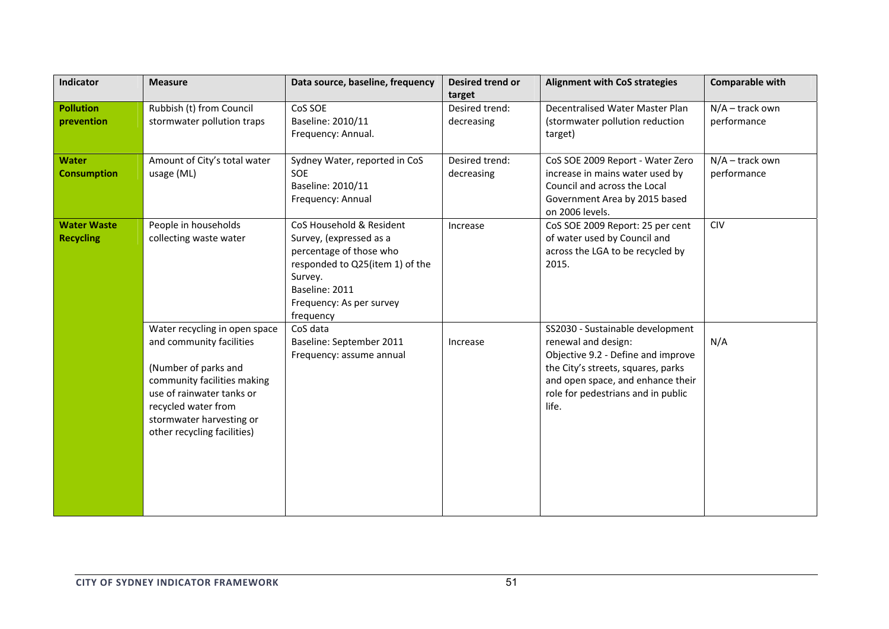| Indicator                              | <b>Measure</b>                                                                                                                                                                                                                  | Data source, baseline, frequency                                                                                                                                                        | <b>Desired trend or</b><br>target | <b>Alignment with CoS strategies</b>                                                                                                                                                                                    | <b>Comparable with</b>           |
|----------------------------------------|---------------------------------------------------------------------------------------------------------------------------------------------------------------------------------------------------------------------------------|-----------------------------------------------------------------------------------------------------------------------------------------------------------------------------------------|-----------------------------------|-------------------------------------------------------------------------------------------------------------------------------------------------------------------------------------------------------------------------|----------------------------------|
| <b>Pollution</b><br>prevention         | Rubbish (t) from Council<br>stormwater pollution traps                                                                                                                                                                          | CoS SOE<br>Baseline: 2010/11<br>Frequency: Annual.                                                                                                                                      | Desired trend:<br>decreasing      | Decentralised Water Master Plan<br>(stormwater pollution reduction<br>target)                                                                                                                                           | $N/A$ – track own<br>performance |
| <b>Water</b><br><b>Consumption</b>     | Amount of City's total water<br>usage (ML)                                                                                                                                                                                      | Sydney Water, reported in CoS<br><b>SOE</b><br>decreasing<br>Baseline: 2010/11<br>Frequency: Annual                                                                                     |                                   | Desired trend:<br>CoS SOE 2009 Report - Water Zero<br>increase in mains water used by<br>Council and across the Local<br>Government Area by 2015 based<br>on 2006 levels.                                               | $N/A$ – track own<br>performance |
| <b>Water Waste</b><br><b>Recycling</b> | People in households<br>collecting waste water                                                                                                                                                                                  | CoS Household & Resident<br>Survey, (expressed as a<br>percentage of those who<br>responded to Q25(item 1) of the<br>Survey.<br>Baseline: 2011<br>Frequency: As per survey<br>frequency | Increase                          | CoS SOE 2009 Report: 25 per cent<br>of water used by Council and<br>across the LGA to be recycled by<br>2015.                                                                                                           | <b>CIV</b>                       |
|                                        | Water recycling in open space<br>and community facilities<br>(Number of parks and<br>community facilities making<br>use of rainwater tanks or<br>recycled water from<br>stormwater harvesting or<br>other recycling facilities) | CoS data<br>Baseline: September 2011<br>Frequency: assume annual                                                                                                                        | Increase                          | SS2030 - Sustainable development<br>renewal and design:<br>Objective 9.2 - Define and improve<br>the City's streets, squares, parks<br>and open space, and enhance their<br>role for pedestrians and in public<br>life. | N/A                              |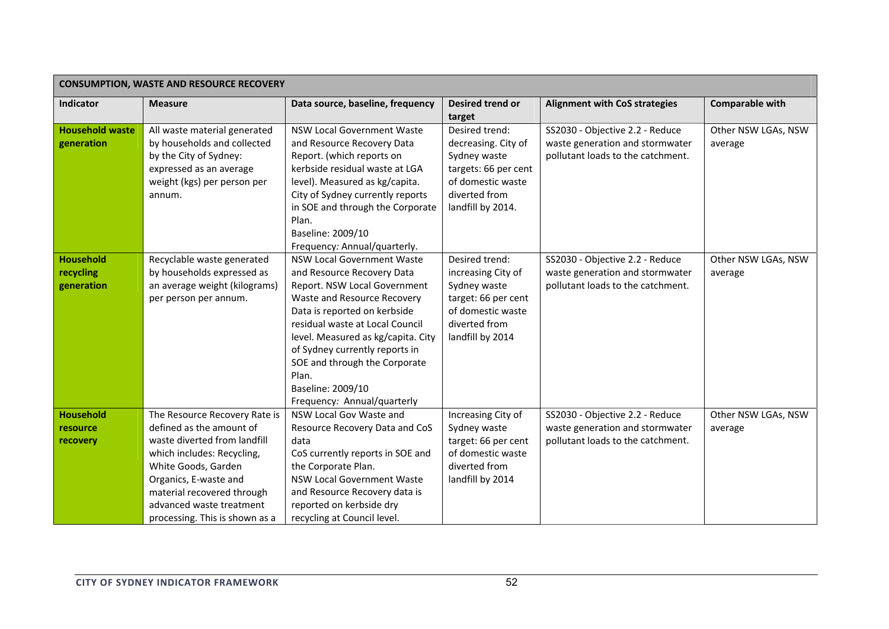| <b>CONSUMPTION, WASTE AND RESOURCE RECOVERY</b> |                                                                                                                                                                                                                                                                     |                                                                                                                                                                                                                                                                                                                                                                                                                              |                                                                                                                                          |                                                                                                         |                                |  |  |
|-------------------------------------------------|---------------------------------------------------------------------------------------------------------------------------------------------------------------------------------------------------------------------------------------------------------------------|------------------------------------------------------------------------------------------------------------------------------------------------------------------------------------------------------------------------------------------------------------------------------------------------------------------------------------------------------------------------------------------------------------------------------|------------------------------------------------------------------------------------------------------------------------------------------|---------------------------------------------------------------------------------------------------------|--------------------------------|--|--|
| Indicator                                       | <b>Measure</b>                                                                                                                                                                                                                                                      | Data source, baseline, frequency                                                                                                                                                                                                                                                                                                                                                                                             | Desired trend or<br>target                                                                                                               | <b>Alignment with CoS strategies</b>                                                                    | Comparable with                |  |  |
| <b>Household waste</b><br>generation            | All waste material generated<br>by households and collected<br>by the City of Sydney:<br>expressed as an average<br>weight (kgs) per person per<br>annum.                                                                                                           | <b>NSW Local Government Waste</b><br>and Resource Recovery Data<br>Report. (which reports on<br>kerbside residual waste at LGA<br>level). Measured as kg/capita.<br>City of Sydney currently reports<br>in SOE and through the Corporate<br>Plan.                                                                                                                                                                            | Desired trend:<br>decreasing. City of<br>Sydney waste<br>targets: 66 per cent<br>of domestic waste<br>diverted from<br>landfill by 2014. | SS2030 - Objective 2.2 - Reduce<br>waste generation and stormwater<br>pollutant loads to the catchment. | Other NSW LGAs, NSW<br>average |  |  |
| <b>Household</b><br>recycling<br>generation     | Recyclable waste generated<br>by households expressed as<br>an average weight (kilograms)<br>per person per annum.                                                                                                                                                  | Baseline: 2009/10<br>Frequency: Annual/quarterly.<br><b>NSW Local Government Waste</b><br>and Resource Recovery Data<br>Report. NSW Local Government<br>Waste and Resource Recovery<br>Data is reported on kerbside<br>residual waste at Local Council<br>level. Measured as kg/capita. City<br>of Sydney currently reports in<br>SOE and through the Corporate<br>Plan.<br>Baseline: 2009/10<br>Frequency: Annual/quarterly | Desired trend:<br>increasing City of<br>Sydney waste<br>target: 66 per cent<br>of domestic waste<br>diverted from<br>landfill by 2014    | SS2030 - Objective 2.2 - Reduce<br>waste generation and stormwater<br>pollutant loads to the catchment. | Other NSW LGAs, NSW<br>average |  |  |
| <b>Household</b><br>resource<br>recovery        | The Resource Recovery Rate is<br>defined as the amount of<br>waste diverted from landfill<br>which includes: Recycling,<br>White Goods, Garden<br>Organics, E-waste and<br>material recovered through<br>advanced waste treatment<br>processing. This is shown as a | NSW Local Gov Waste and<br>Resource Recovery Data and CoS<br>data<br>CoS currently reports in SOE and<br>the Corporate Plan.<br><b>NSW Local Government Waste</b><br>and Resource Recovery data is<br>reported on kerbside dry<br>recycling at Council level.                                                                                                                                                                | Increasing City of<br>Sydney waste<br>target: 66 per cent<br>of domestic waste<br>diverted from<br>landfill by 2014                      | SS2030 - Objective 2.2 - Reduce<br>waste generation and stormwater<br>pollutant loads to the catchment. | Other NSW LGAs, NSW<br>average |  |  |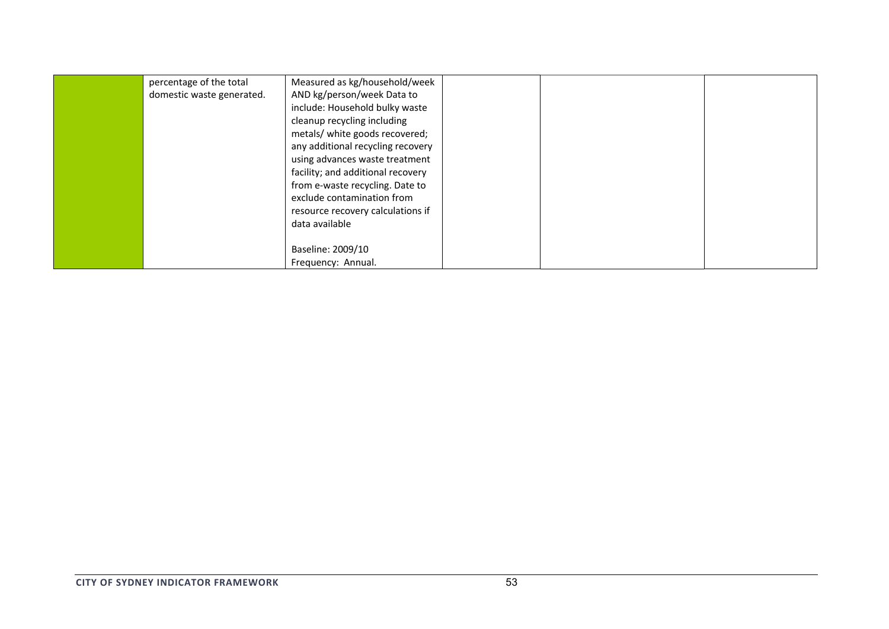| percentage of the total<br>domestic waste generated. | Measured as kg/household/week<br>AND kg/person/week Data to<br>include: Household bulky waste<br>cleanup recycling including<br>metals/ white goods recovered;<br>any additional recycling recovery<br>using advances waste treatment<br>facility; and additional recovery<br>from e-waste recycling. Date to<br>exclude contamination from<br>resource recovery calculations if<br>data available |  |  |
|------------------------------------------------------|----------------------------------------------------------------------------------------------------------------------------------------------------------------------------------------------------------------------------------------------------------------------------------------------------------------------------------------------------------------------------------------------------|--|--|
|                                                      | Baseline: 2009/10<br>Frequency: Annual.                                                                                                                                                                                                                                                                                                                                                            |  |  |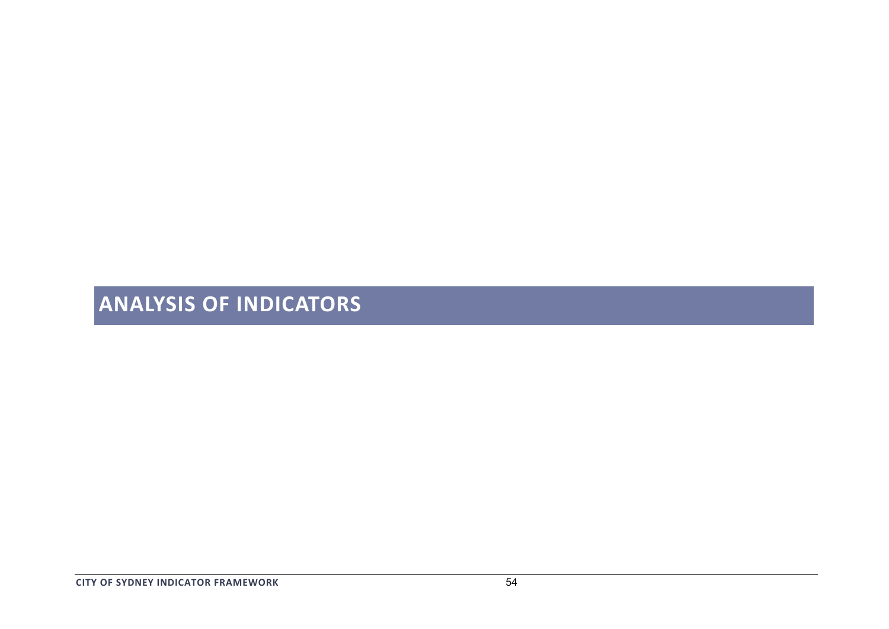# **ANALYSIS OF INDICATORS**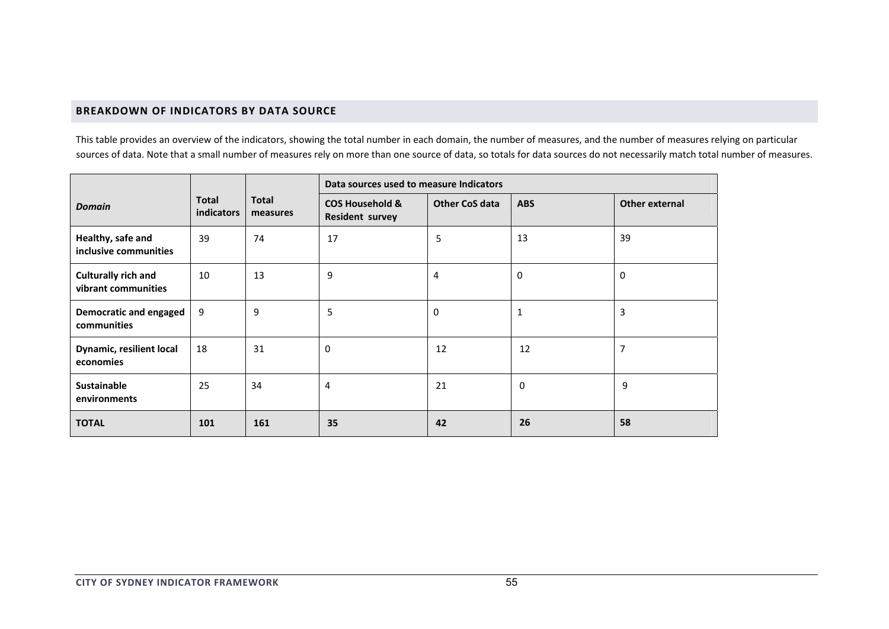# **BREAKDOWN OF INDICATORS BY DATA SOURCE**

This table provides an overview of the indicators, showing the total number in each domain, the number of measures, and the number of measures relying on particular sources of data. Note that <sup>a</sup> small number of measures rely on more than one source of data, so totals for data sources do not necessarily match total number of measures.

|                                                   |                            |                          | Data sources used to measure Indicators              |                       |             |                |  |
|---------------------------------------------------|----------------------------|--------------------------|------------------------------------------------------|-----------------------|-------------|----------------|--|
| <b>Domain</b>                                     | <b>Total</b><br>indicators | <b>Total</b><br>measures | <b>COS Household &amp;</b><br><b>Resident survey</b> | <b>Other CoS data</b> | <b>ABS</b>  | Other external |  |
| Healthy, safe and<br>inclusive communities        | 39                         | 74                       | 17                                                   | 5                     | 13          | 39             |  |
| <b>Culturally rich and</b><br>vibrant communities | 10                         | 13                       | 9                                                    | 4                     | $\Omega$    | $\mathbf 0$    |  |
| Democratic and engaged<br>communities             | 9                          | 9                        | 5                                                    | $\mathbf 0$           | 1           | 3              |  |
| <b>Dynamic, resilient local</b><br>economies      | 18                         | 31                       | 0                                                    | 12                    | 12          | 7              |  |
| <b>Sustainable</b><br>environments                | 25                         | 34                       | 4                                                    | 21                    | $\mathbf 0$ | 9              |  |
| <b>TOTAL</b>                                      | 101                        | 161                      | 35                                                   | 42                    | 26          | 58             |  |